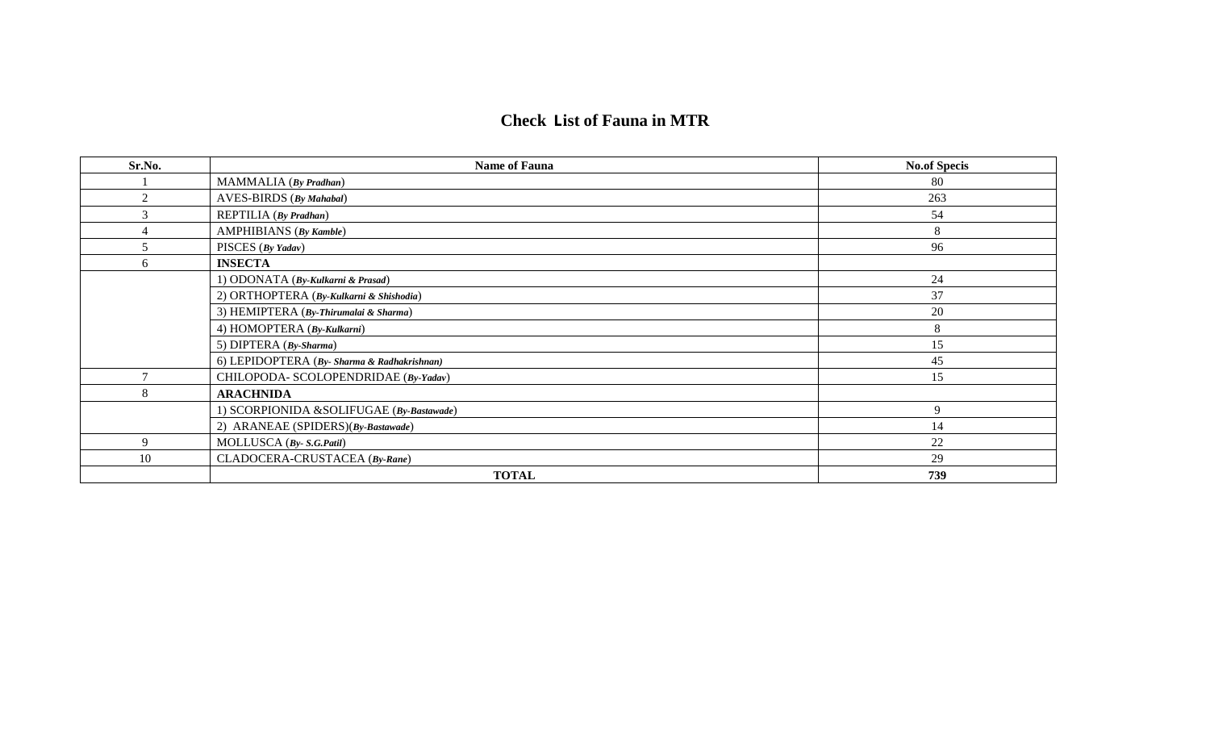# **Check List of Fauna in MTR**

| Sr.No.         | <b>Name of Fauna</b>                        | <b>No.of Specis</b> |
|----------------|---------------------------------------------|---------------------|
|                | MAMMALIA (By Pradhan)                       | 80                  |
| $\mathfrak{2}$ | <b>AVES-BIRDS</b> (By Mahabal)              | 263                 |
| 3              | REPTILIA (By Pradhan)                       | 54                  |
|                | <b>AMPHIBIANS</b> (By Kamble)               | 8                   |
| 5              | PISCES (By Yadav)                           | 96                  |
| 6              | <b>INSECTA</b>                              |                     |
|                | 1) ODONATA (By-Kulkarni & Prasad)           | 24                  |
|                | 2) ORTHOPTERA (By-Kulkarni & Shishodia)     | 37                  |
|                | 3) HEMIPTERA (By-Thirumalai & Sharma)       | 20                  |
|                | 4) HOMOPTERA (By-Kulkarni)                  | 8                   |
|                | 5) DIPTERA (By-Sharma)                      | 15                  |
|                | 6) LEPIDOPTERA (By- Sharma & Radhakrishnan) | 45                  |
| $\mathcal{I}$  | CHILOPODA- SCOLOPENDRIDAE (By-Yadav)        | 15                  |
| 8              | <b>ARACHNIDA</b>                            |                     |
|                | 1) SCORPIONIDA &SOLIFUGAE (By-Bastawade)    | 9                   |
|                | 2) ARANEAE (SPIDERS)(By-Bastawade)          | 14                  |
| 9              | MOLLUSCA (By- S.G.Patil)                    | 22                  |
| 10             | CLADOCERA-CRUSTACEA (By-Rane)               | 29                  |
|                | <b>TOTAL</b>                                | 739                 |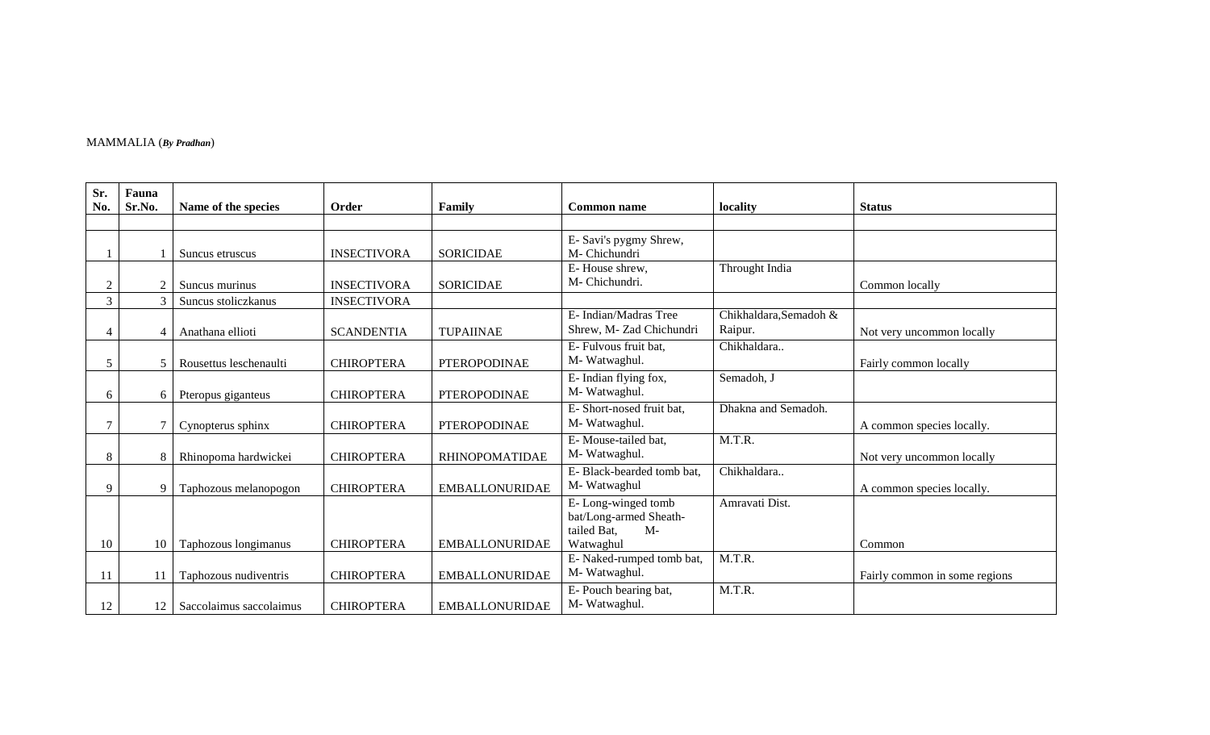# MAMMALIA (*By Pradhan*)

| Sr.<br>No.     | Fauna<br>Sr.No. | Name of the species     | Order              | Family                | <b>Common name</b>                                                               | locality                          | <b>Status</b>                 |
|----------------|-----------------|-------------------------|--------------------|-----------------------|----------------------------------------------------------------------------------|-----------------------------------|-------------------------------|
|                |                 |                         |                    |                       |                                                                                  |                                   |                               |
|                |                 | Suncus etruscus         | <b>INSECTIVORA</b> | <b>SORICIDAE</b>      | E- Savi's pygmy Shrew,<br>M- Chichundri                                          |                                   |                               |
| $\overline{c}$ | $\overline{2}$  | Suncus murinus          | <b>INSECTIVORA</b> | <b>SORICIDAE</b>      | E-House shrew,<br>M-Chichundri.                                                  | Throught India                    | Common locally                |
| $\overline{3}$ | $\mathcal{R}$   | Suncus stoliczkanus     | <b>INSECTIVORA</b> |                       |                                                                                  |                                   |                               |
| 4              |                 | Anathana ellioti        | <b>SCANDENTIA</b>  | <b>TUPAIINAE</b>      | E- Indian/Madras Tree<br>Shrew, M- Zad Chichundri                                | Chikhaldara, Semadoh &<br>Raipur. | Not very uncommon locally     |
| 5              | 5               | Rousettus leschenaulti  | <b>CHIROPTERA</b>  | <b>PTEROPODINAE</b>   | E- Fulvous fruit bat,<br>M-Watwaghul.                                            | Chikhaldara                       | Fairly common locally         |
| 6              | 6               | Pteropus giganteus      | <b>CHIROPTERA</b>  | <b>PTEROPODINAE</b>   | E- Indian flying fox,<br>M-Watwaghul.                                            | Semadoh, J                        |                               |
| 7              |                 | Cynopterus sphinx       | <b>CHIROPTERA</b>  | <b>PTEROPODINAE</b>   | E-Short-nosed fruit bat,<br>M-Watwaghul.                                         | Dhakna and Semadoh.               | A common species locally.     |
| 8              | 8               | Rhinopoma hardwickei    | <b>CHIROPTERA</b>  | <b>RHINOPOMATIDAE</b> | E-Mouse-tailed bat,<br>M-Watwaghul.                                              | M.T.R.                            | Not very uncommon locally     |
| 9              | 9               | Taphozous melanopogon   | <b>CHIROPTERA</b>  | <b>EMBALLONURIDAE</b> | E-Black-bearded tomb bat,<br>M-Watwaghul                                         | Chikhaldara                       | A common species locally.     |
| 10             | 10              | Taphozous longimanus    | <b>CHIROPTERA</b>  | <b>EMBALLONURIDAE</b> | E-Long-winged tomb<br>bat/Long-armed Sheath-<br>$M-$<br>tailed Bat,<br>Watwaghul | Amravati Dist.                    | Common                        |
| 11             |                 | Taphozous nudiventris   | <b>CHIROPTERA</b>  | <b>EMBALLONURIDAE</b> | E-Naked-rumped tomb bat,<br>M-Watwaghul.                                         | M.T.R.                            | Fairly common in some regions |
| 12             | 12              | Saccolaimus saccolaimus | <b>CHIROPTERA</b>  | <b>EMBALLONURIDAE</b> | E-Pouch bearing bat,<br>M-Watwaghul.                                             | M.T.R.                            |                               |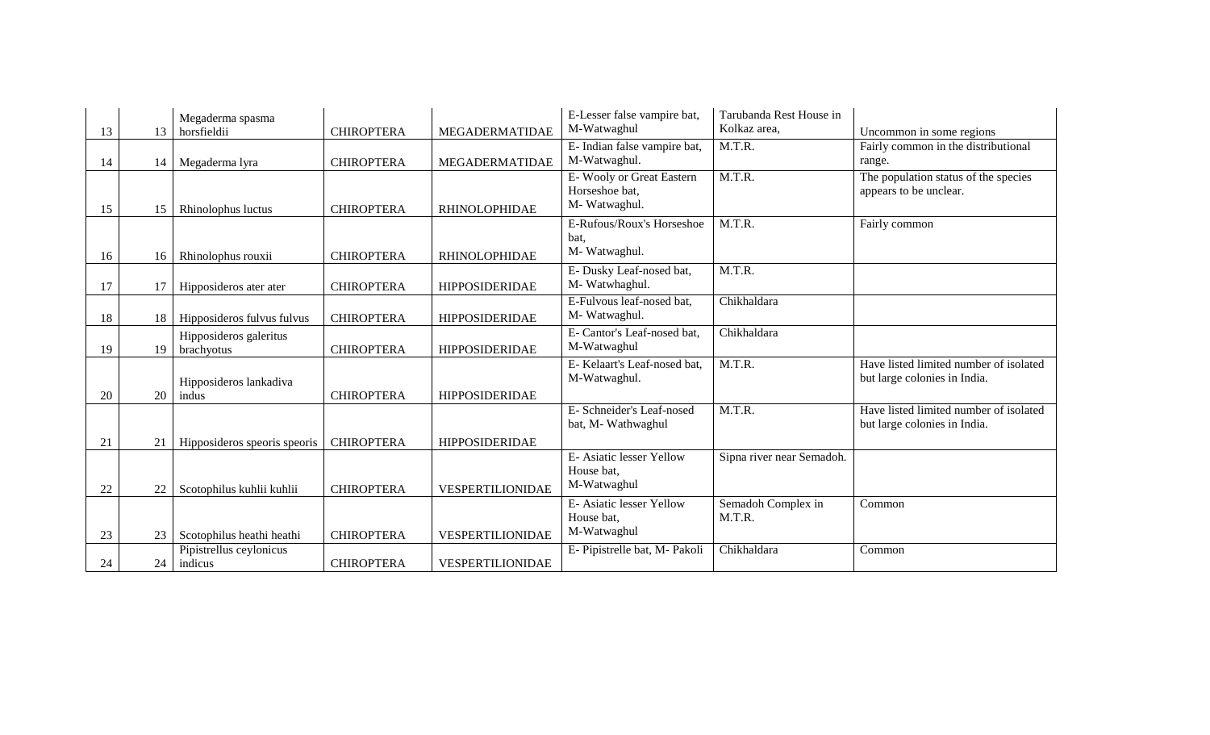|    |    | Megaderma spasma                |                   |                         | E-Lesser false vampire bat,<br>M-Watwaghul | Tarubanda Rest House in<br>Kolkaz area, |                                                                 |
|----|----|---------------------------------|-------------------|-------------------------|--------------------------------------------|-----------------------------------------|-----------------------------------------------------------------|
| 13 | 13 | horsfieldii                     | <b>CHIROPTERA</b> | MEGADERMATIDAE          | E- Indian false vampire bat,               | M.T.R.                                  | Uncommon in some regions<br>Fairly common in the distributional |
|    |    |                                 |                   |                         | M-Watwaghul.                               |                                         | range.                                                          |
| 14 | 14 | Megaderma lyra                  | <b>CHIROPTERA</b> | MEGADERMATIDAE          | E-Wooly or Great Eastern                   | M.T.R.                                  | The population status of the species                            |
|    |    |                                 |                   |                         | Horseshoe bat,                             |                                         | appears to be unclear.                                          |
|    |    |                                 | <b>CHIROPTERA</b> | <b>RHINOLOPHIDAE</b>    | M-Watwaghul.                               |                                         |                                                                 |
| 15 | 15 | Rhinolophus luctus              |                   |                         | E-Rufous/Roux's Horseshoe                  | M.T.R.                                  | Fairly common                                                   |
|    |    |                                 |                   |                         | bat.                                       |                                         |                                                                 |
|    |    |                                 |                   | <b>RHINOLOPHIDAE</b>    | M-Watwaghul.                               |                                         |                                                                 |
| 16 | 16 | Rhinolophus rouxii              | <b>CHIROPTERA</b> |                         | E- Dusky Leaf-nosed bat,                   | M.T.R.                                  |                                                                 |
|    |    |                                 |                   |                         | M- Watwhaghul.                             |                                         |                                                                 |
| 17 |    | Hipposideros ater ater          | <b>CHIROPTERA</b> | <b>HIPPOSIDERIDAE</b>   | E-Fulvous leaf-nosed bat,                  | Chikhaldara                             |                                                                 |
|    |    |                                 | <b>CHIROPTERA</b> |                         | M-Watwaghul.                               |                                         |                                                                 |
| 18 | 18 | Hipposideros fulvus fulvus      |                   | <b>HIPPOSIDERIDAE</b>   | E- Cantor's Leaf-nosed bat,                | Chikhaldara                             |                                                                 |
|    |    | Hipposideros galeritus          | <b>CHIROPTERA</b> |                         | M-Watwaghul                                |                                         |                                                                 |
| 19 | 19 | brachyotus                      |                   | <b>HIPPOSIDERIDAE</b>   | E-Kelaart's Leaf-nosed bat,                | M.T.R.                                  | Have listed limited number of isolated                          |
|    |    |                                 |                   |                         | M-Watwaghul.                               |                                         | but large colonies in India.                                    |
| 20 | 20 | Hipposideros lankadiva<br>indus | <b>CHIROPTERA</b> | <b>HIPPOSIDERIDAE</b>   |                                            |                                         |                                                                 |
|    |    |                                 |                   |                         | E- Schneider's Leaf-nosed                  | M.T.R.                                  | Have listed limited number of isolated                          |
|    |    |                                 |                   |                         | bat, M- Wathwaghul                         |                                         | but large colonies in India.                                    |
| 21 | 21 | Hipposideros speoris speoris    | <b>CHIROPTERA</b> | <b>HIPPOSIDERIDAE</b>   |                                            |                                         |                                                                 |
|    |    |                                 |                   |                         | E- Asiatic lesser Yellow                   | Sipna river near Semadoh.               |                                                                 |
|    |    |                                 |                   |                         | House bat,                                 |                                         |                                                                 |
| 22 | 22 | Scotophilus kuhlii kuhlii       | <b>CHIROPTERA</b> | VESPERTILIONIDAE        | M-Watwaghul                                |                                         |                                                                 |
|    |    |                                 |                   |                         | E- Asiatic lesser Yellow                   | Semadoh Complex in                      | Common                                                          |
|    |    |                                 |                   |                         | House bat.                                 | M.T.R.                                  |                                                                 |
| 23 | 23 | Scotophilus heathi heathi       | <b>CHIROPTERA</b> | VESPERTILIONIDAE        | M-Watwaghul                                |                                         |                                                                 |
|    |    | Pipistrellus ceylonicus         |                   |                         | E- Pipistrelle bat, M- Pakoli              | Chikhaldara                             | Common                                                          |
| 24 | 24 | indicus                         | <b>CHIROPTERA</b> | <b>VESPERTILIONIDAE</b> |                                            |                                         |                                                                 |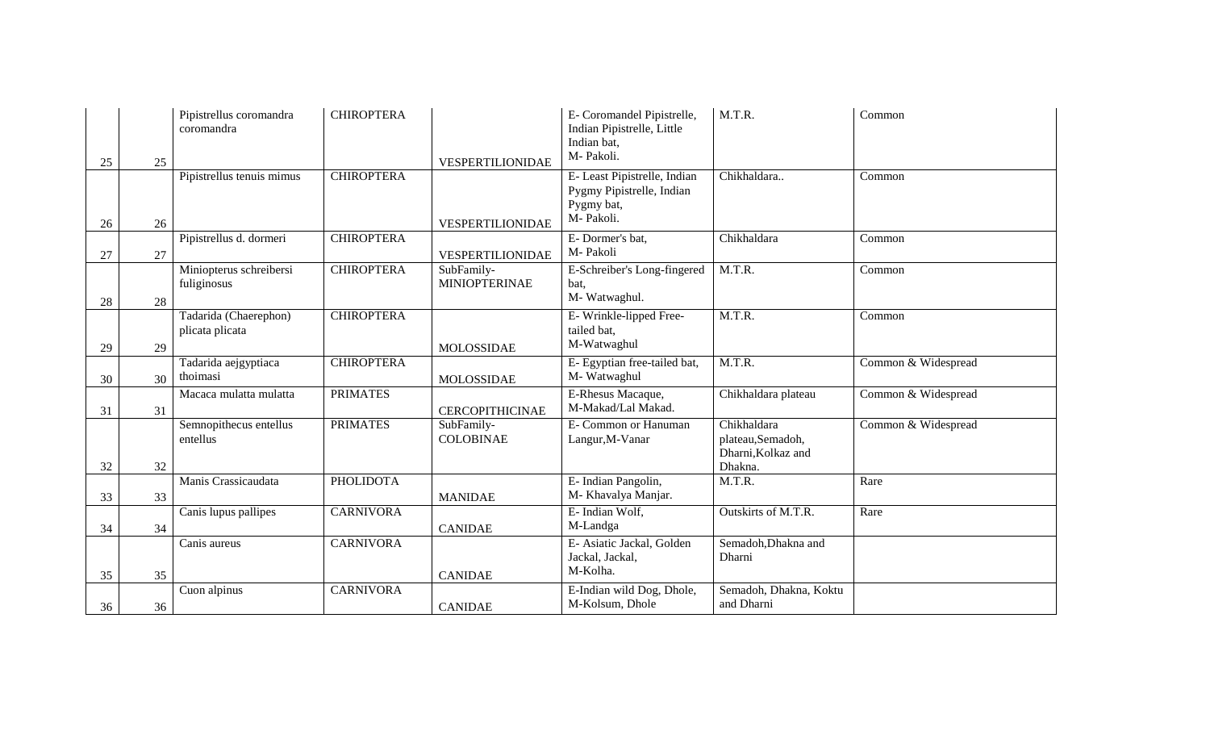| 25 | 25 | Pipistrellus coromandra<br>coromandra    | <b>CHIROPTERA</b> | VESPERTILIONIDAE                   | E- Coromandel Pipistrelle,<br>Indian Pipistrelle, Little<br>Indian bat,<br>M-Pakoli. | M.T.R.                                                           | Common              |
|----|----|------------------------------------------|-------------------|------------------------------------|--------------------------------------------------------------------------------------|------------------------------------------------------------------|---------------------|
| 26 | 26 | Pipistrellus tenuis mimus                | <b>CHIROPTERA</b> | VESPERTILIONIDAE                   | E- Least Pipistrelle, Indian<br>Pygmy Pipistrelle, Indian<br>Pygmy bat,<br>M-Pakoli. | Chikhaldara                                                      | Common              |
| 27 | 27 | Pipistrellus d. dormeri                  | <b>CHIROPTERA</b> | VESPERTILIONIDAE                   | E-Dormer's bat,<br>M-Pakoli                                                          | Chikhaldara                                                      | Common              |
| 28 | 28 | Miniopterus schreibersi<br>fuliginosus   | <b>CHIROPTERA</b> | SubFamily-<br><b>MINIOPTERINAE</b> | E-Schreiber's Long-fingered<br>bat,<br>M- Watwaghul.                                 | M.T.R.                                                           | Common              |
| 29 | 29 | Tadarida (Chaerephon)<br>plicata plicata | <b>CHIROPTERA</b> | <b>MOLOSSIDAE</b>                  | E-Wrinkle-lipped Free-<br>tailed bat,<br>M-Watwaghul                                 | M.T.R.                                                           | Common              |
| 30 | 30 | Tadarida aejgyptiaca<br>thoimasi         | <b>CHIROPTERA</b> | MOLOSSIDAE                         | E- Egyptian free-tailed bat,<br>M- Watwaghul                                         | M.T.R.                                                           | Common & Widespread |
| 31 | 31 | Macaca mulatta mulatta                   | <b>PRIMATES</b>   | <b>CERCOPITHICINAE</b>             | E-Rhesus Macaque,<br>M-Makad/Lal Makad.                                              | Chikhaldara plateau                                              | Common & Widespread |
| 32 | 32 | Semnopithecus entellus<br>entellus       | <b>PRIMATES</b>   | SubFamily-<br><b>COLOBINAE</b>     | E-Common or Hanuman<br>Langur, M-Vanar                                               | Chikhaldara<br>plateau,Semadoh,<br>Dharni, Kolkaz and<br>Dhakna. | Common & Widespread |
| 33 | 33 | Manis Crassicaudata                      | <b>PHOLIDOTA</b>  | <b>MANIDAE</b>                     | E- Indian Pangolin,<br>M- Khavalya Manjar.                                           | M.T.R.                                                           | Rare                |
| 34 | 34 | Canis lupus pallipes                     | <b>CARNIVORA</b>  | <b>CANIDAE</b>                     | E- Indian Wolf,<br>M-Landga                                                          | Outskirts of M.T.R.                                              | Rare                |
| 35 | 35 | Canis aureus                             | <b>CARNIVORA</b>  | <b>CANIDAE</b>                     | E- Asiatic Jackal, Golden<br>Jackal, Jackal,<br>M-Kolha.                             | Semadoh, Dhakna and<br>Dharni                                    |                     |
| 36 | 36 | Cuon alpinus                             | <b>CARNIVORA</b>  | <b>CANIDAE</b>                     | E-Indian wild Dog, Dhole,<br>M-Kolsum, Dhole                                         | Semadoh, Dhakna, Koktu<br>and Dharni                             |                     |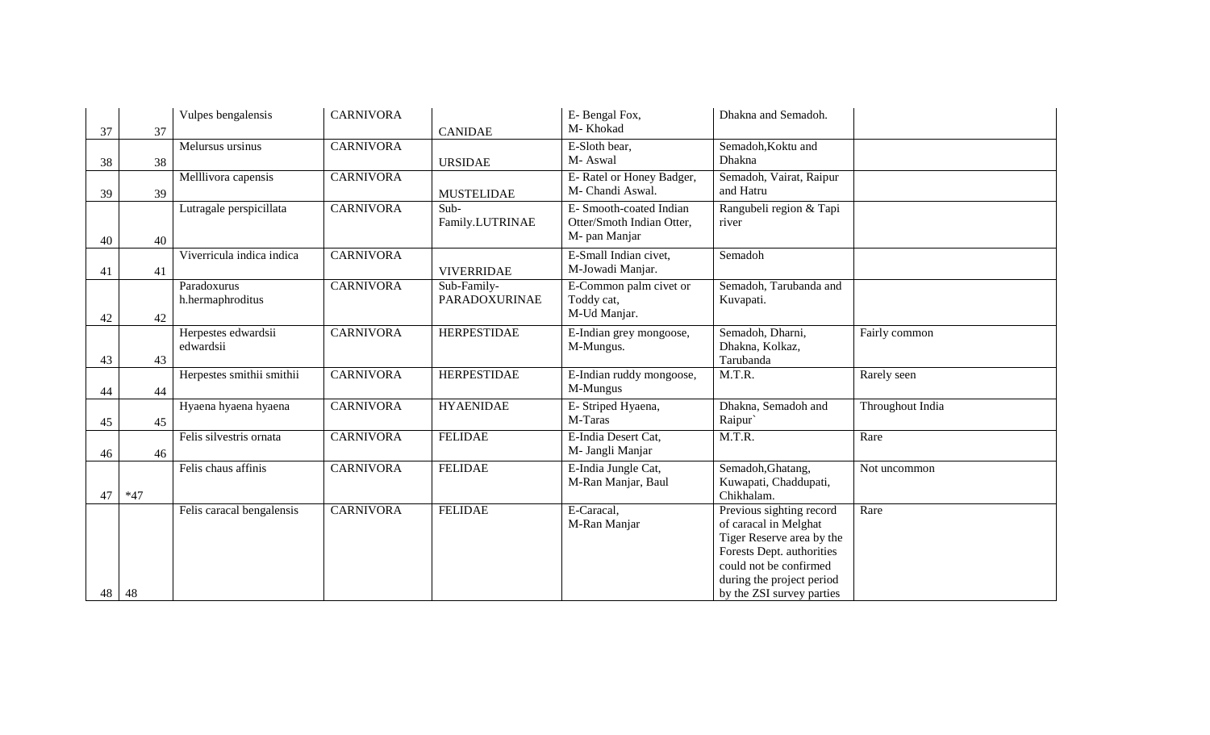|    |       | Vulpes bengalensis        | <b>CARNIVORA</b> |                      | E-Bengal Fox,                        | Dhakna and Semadoh.                                    |                  |
|----|-------|---------------------------|------------------|----------------------|--------------------------------------|--------------------------------------------------------|------------------|
| 37 | 37    |                           |                  | <b>CANIDAE</b>       | M-Khokad                             |                                                        |                  |
|    |       | Melursus ursinus          | <b>CARNIVORA</b> |                      | E-Sloth bear,                        | Semadoh, Koktu and                                     |                  |
| 38 | 38    |                           |                  | <b>URSIDAE</b>       | M-Aswal                              | Dhakna                                                 |                  |
|    |       | Melllivora capensis       | <b>CARNIVORA</b> |                      | E-Ratel or Honey Badger,             | Semadoh, Vairat, Raipur                                |                  |
| 39 | 39    |                           |                  | <b>MUSTELIDAE</b>    | M- Chandi Aswal.                     | and Hatru                                              |                  |
|    |       | Lutragale perspicillata   | <b>CARNIVORA</b> | $Sub-$               | E- Smooth-coated Indian              | Rangubeli region & Tapi                                |                  |
|    |       |                           |                  | Family.LUTRINAE      | Otter/Smoth Indian Otter,            | river                                                  |                  |
| 40 | 40    |                           |                  |                      | M- pan Manjar                        |                                                        |                  |
|    |       | Viverricula indica indica | <b>CARNIVORA</b> |                      | E-Small Indian civet,                | Semadoh                                                |                  |
| 41 | 41    |                           |                  | <b>VIVERRIDAE</b>    | M-Jowadi Manjar.                     |                                                        |                  |
|    |       | Paradoxurus               | <b>CARNIVORA</b> | Sub-Family-          | E-Common palm civet or               | Semadoh, Tarubanda and                                 |                  |
|    |       | h.hermaphroditus          |                  | <b>PARADOXURINAE</b> | Toddy cat,                           | Kuvapati.                                              |                  |
| 42 | 42    |                           |                  |                      | M-Ud Manjar.                         |                                                        |                  |
|    |       | Herpestes edwardsii       | <b>CARNIVORA</b> | <b>HERPESTIDAE</b>   | E-Indian grey mongoose,              | Semadoh, Dharni,                                       | Fairly common    |
|    |       | edwardsii                 |                  |                      | M-Mungus.                            | Dhakna, Kolkaz,                                        |                  |
| 43 | 43    |                           | <b>CARNIVORA</b> | <b>HERPESTIDAE</b>   |                                      | Tarubanda<br>M.T.R.                                    |                  |
|    |       | Herpestes smithii smithii |                  |                      | E-Indian ruddy mongoose,<br>M-Mungus |                                                        | Rarely seen      |
| 44 | 44    | Hyaena hyaena hyaena      | <b>CARNIVORA</b> | <b>HYAENIDAE</b>     | E- Striped Hyaena,                   | Dhakna, Semadoh and                                    | Throughout India |
|    |       |                           |                  |                      | M-Taras                              | Raipur`                                                |                  |
| 45 | 45    | Felis silvestris ornata   | <b>CARNIVORA</b> | <b>FELIDAE</b>       | E-India Desert Cat,                  | M.T.R.                                                 | Rare             |
|    | 46    |                           |                  |                      | M- Jangli Manjar                     |                                                        |                  |
| 46 |       | Felis chaus affinis       | <b>CARNIVORA</b> | <b>FELIDAE</b>       | E-India Jungle Cat,                  | Semadoh, Ghatang,                                      | Not uncommon     |
|    |       |                           |                  |                      | M-Ran Manjar, Baul                   | Kuwapati, Chaddupati,                                  |                  |
| 47 | $*47$ |                           |                  |                      |                                      | Chikhalam.                                             |                  |
|    |       | Felis caracal bengalensis | <b>CARNIVORA</b> | <b>FELIDAE</b>       | E-Caracal,                           | Previous sighting record                               | Rare             |
|    |       |                           |                  |                      | M-Ran Manjar                         | of caracal in Melghat                                  |                  |
|    |       |                           |                  |                      |                                      | Tiger Reserve area by the                              |                  |
|    |       |                           |                  |                      |                                      | Forests Dept. authorities                              |                  |
|    |       |                           |                  |                      |                                      | could not be confirmed                                 |                  |
| 48 | 48    |                           |                  |                      |                                      | during the project period<br>by the ZSI survey parties |                  |
|    |       |                           |                  |                      |                                      |                                                        |                  |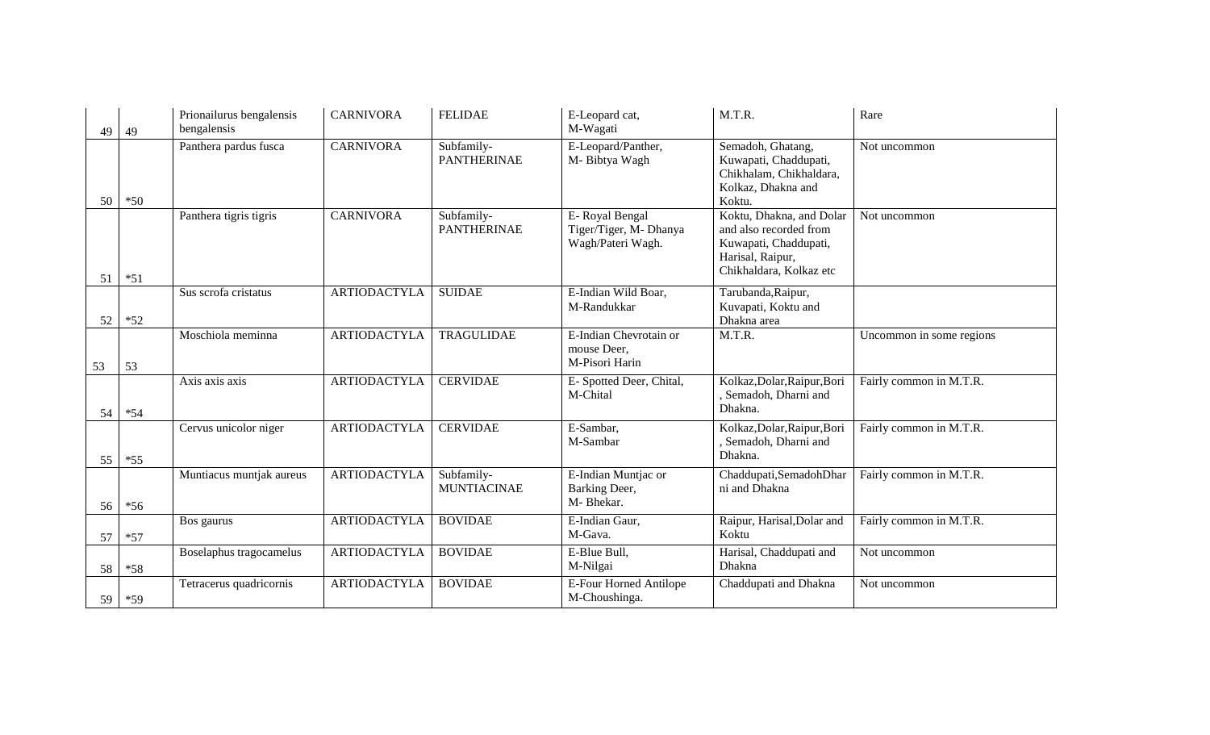| 49 | 49    | Prionailurus bengalensis<br>bengalensis | <b>CARNIVORA</b>    | <b>FELIDAE</b>                   | E-Leopard cat,<br>M-Wagati                                    | M.T.R.                                                                                                                     | Rare                     |
|----|-------|-----------------------------------------|---------------------|----------------------------------|---------------------------------------------------------------|----------------------------------------------------------------------------------------------------------------------------|--------------------------|
| 50 | $*50$ | Panthera pardus fusca                   | <b>CARNIVORA</b>    | Subfamily-<br><b>PANTHERINAE</b> | E-Leopard/Panther,<br>M-Bibtya Wagh                           | Semadoh, Ghatang,<br>Kuwapati, Chaddupati,<br>Chikhalam, Chikhaldara,<br>Kolkaz, Dhakna and<br>Koktu.                      | Not uncommon             |
| 51 | $*51$ | Panthera tigris tigris                  | <b>CARNIVORA</b>    | Subfamily-<br><b>PANTHERINAE</b> | E-Royal Bengal<br>Tiger/Tiger, M- Dhanya<br>Wagh/Pateri Wagh. | Koktu, Dhakna, and Dolar<br>and also recorded from<br>Kuwapati, Chaddupati,<br>Harisal, Raipur,<br>Chikhaldara, Kolkaz etc | Not uncommon             |
| 52 | $*52$ | Sus scrofa cristatus                    | <b>ARTIODACTYLA</b> | <b>SUIDAE</b>                    | E-Indian Wild Boar,<br>M-Randukkar                            | Tarubanda, Raipur,<br>Kuvapati, Koktu and<br>Dhakna area                                                                   |                          |
| 53 | 53    | Moschiola meminna                       | <b>ARTIODACTYLA</b> | <b>TRAGULIDAE</b>                | E-Indian Chevrotain or<br>mouse Deer,<br>M-Pisori Harin       | M.T.R.                                                                                                                     | Uncommon in some regions |
| 54 | $*54$ | Axis axis axis                          | <b>ARTIODACTYLA</b> | <b>CERVIDAE</b>                  | E- Spotted Deer, Chital,<br>M-Chital                          | Kolkaz, Dolar, Raipur, Bori<br>, Semadoh, Dharni and<br>Dhakna.                                                            | Fairly common in M.T.R.  |
| 55 | $*55$ | Cervus unicolor niger                   | <b>ARTIODACTYLA</b> | <b>CERVIDAE</b>                  | E-Sambar,<br>M-Sambar                                         | Kolkaz, Dolar, Raipur, Bori<br>, Semadoh, Dharni and<br>Dhakna.                                                            | Fairly common in M.T.R.  |
| 56 | $*56$ | Muntiacus muntjak aureus                | <b>ARTIODACTYLA</b> | Subfamily-<br><b>MUNTIACINAE</b> | E-Indian Muntjac or<br>Barking Deer,<br>M-Bhekar.             | Chaddupati, Semadoh Dhar<br>ni and Dhakna                                                                                  | Fairly common in M.T.R.  |
| 57 | $*57$ | Bos gaurus                              | <b>ARTIODACTYLA</b> | <b>BOVIDAE</b>                   | E-Indian Gaur,<br>M-Gava.                                     | Raipur, Harisal, Dolar and<br>Koktu                                                                                        | Fairly common in M.T.R.  |
| 58 | $*58$ | Boselaphus tragocamelus                 | <b>ARTIODACTYLA</b> | <b>BOVIDAE</b>                   | E-Blue Bull,<br>M-Nilgai                                      | Harisal, Chaddupati and<br>Dhakna                                                                                          | Not uncommon             |
| 59 | $*59$ | Tetracerus quadricornis                 | <b>ARTIODACTYLA</b> | <b>BOVIDAE</b>                   | E-Four Horned Antilope<br>M-Choushinga.                       | Chaddupati and Dhakna                                                                                                      | Not uncommon             |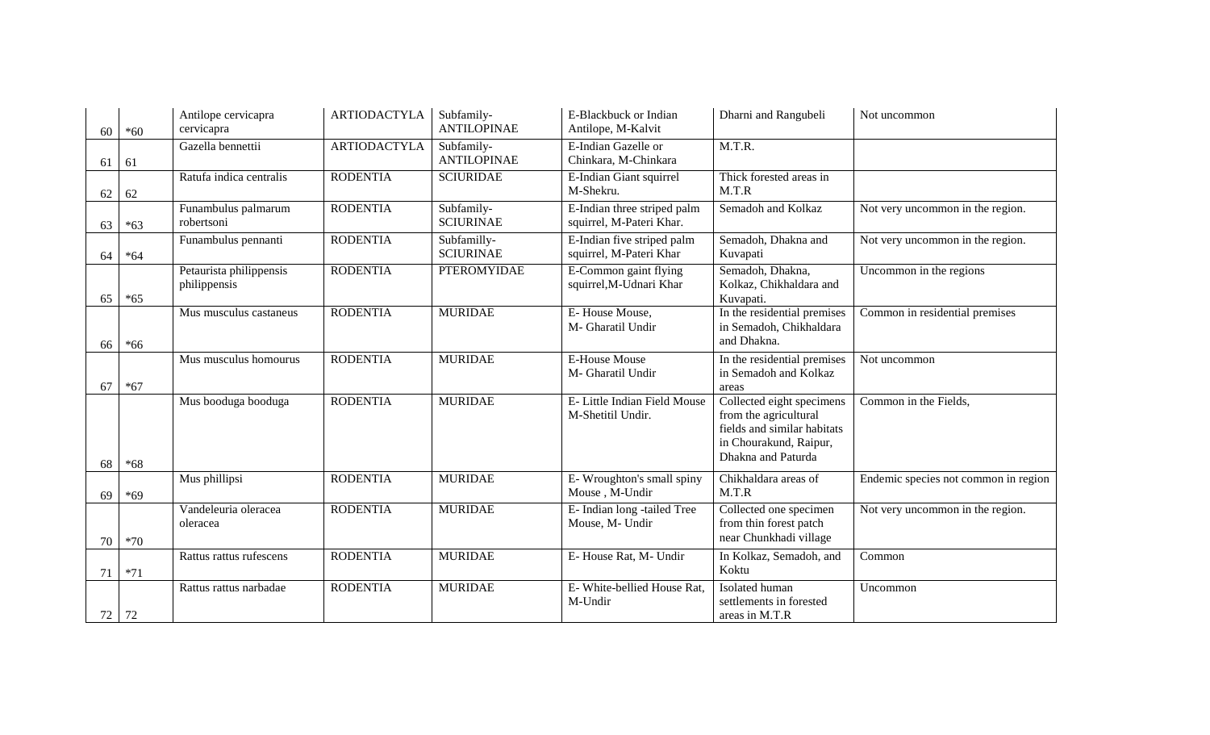| 60 | $*60$ | Antilope cervicapra<br>cervicapra       | <b>ARTIODACTYLA</b> | Subfamily-<br><b>ANTILOPINAE</b> | E-Blackbuck or Indian<br>Antilope, M-Kalvit             | Dharni and Rangubeli                                                                                                              | Not uncommon                         |
|----|-------|-----------------------------------------|---------------------|----------------------------------|---------------------------------------------------------|-----------------------------------------------------------------------------------------------------------------------------------|--------------------------------------|
| 61 | 61    | Gazella bennettii                       | <b>ARTIODACTYLA</b> | Subfamily-<br><b>ANTILOPINAE</b> | E-Indian Gazelle or<br>Chinkara, M-Chinkara             | M.T.R.                                                                                                                            |                                      |
| 62 | 62    | Ratufa indica centralis                 | <b>RODENTIA</b>     | <b>SCIURIDAE</b>                 | E-Indian Giant squirrel<br>M-Shekru.                    | Thick forested areas in<br>M.T.R                                                                                                  |                                      |
| 63 | $*63$ | Funambulus palmarum<br>robertsoni       | <b>RODENTIA</b>     | Subfamily-<br><b>SCIURINAE</b>   | E-Indian three striped palm<br>squirrel, M-Pateri Khar. | Semadoh and Kolkaz                                                                                                                | Not very uncommon in the region.     |
| 64 | $*64$ | Funambulus pennanti                     | <b>RODENTIA</b>     | Subfamilly-<br><b>SCIURINAE</b>  | E-Indian five striped palm<br>squirrel, M-Pateri Khar   | Semadoh, Dhakna and<br>Kuvapati                                                                                                   | Not very uncommon in the region.     |
| 65 | $*65$ | Petaurista philippensis<br>philippensis | <b>RODENTIA</b>     | <b>PTEROMYIDAE</b>               | E-Common gaint flying<br>squirrel, M-Udnari Khar        | Semadoh, Dhakna,<br>Kolkaz, Chikhaldara and<br>Kuvapati.                                                                          | Uncommon in the regions              |
| 66 | $*66$ | Mus musculus castaneus                  | <b>RODENTIA</b>     | <b>MURIDAE</b>                   | E-House Mouse,<br>M- Gharatil Undir                     | In the residential premises<br>in Semadoh, Chikhaldara<br>and Dhakna.                                                             | Common in residential premises       |
| 67 | $*67$ | Mus musculus homourus                   | <b>RODENTIA</b>     | <b>MURIDAE</b>                   | <b>E-House Mouse</b><br>M- Gharatil Undir               | In the residential premises<br>in Semadoh and Kolkaz<br>areas                                                                     | Not uncommon                         |
| 68 | $*68$ | Mus booduga booduga                     | <b>RODENTIA</b>     | <b>MURIDAE</b>                   | E- Little Indian Field Mouse<br>M-Shetitil Undir.       | Collected eight specimens<br>from the agricultural<br>fields and similar habitats<br>in Chourakund, Raipur,<br>Dhakna and Paturda | Common in the Fields,                |
| 69 | $*69$ | Mus phillipsi                           | <b>RODENTIA</b>     | <b>MURIDAE</b>                   | E-Wroughton's small spiny<br>Mouse, M-Undir             | Chikhaldara areas of<br>M.T.R                                                                                                     | Endemic species not common in region |
| 70 | $*70$ | Vandeleuria oleracea<br>oleracea        | <b>RODENTIA</b>     | <b>MURIDAE</b>                   | E- Indian long -tailed Tree<br>Mouse, M- Undir          | Collected one specimen<br>from thin forest patch<br>near Chunkhadi village                                                        | Not very uncommon in the region.     |
| 71 | $*71$ | Rattus rattus rufescens                 | <b>RODENTIA</b>     | <b>MURIDAE</b>                   | E-House Rat, M- Undir                                   | In Kolkaz, Semadoh, and<br>Koktu                                                                                                  | Common                               |
| 72 | 72    | Rattus rattus narbadae                  | <b>RODENTIA</b>     | <b>MURIDAE</b>                   | E- White-bellied House Rat,<br>M-Undir                  | Isolated human<br>settlements in forested<br>areas in M.T.R                                                                       | Uncommon                             |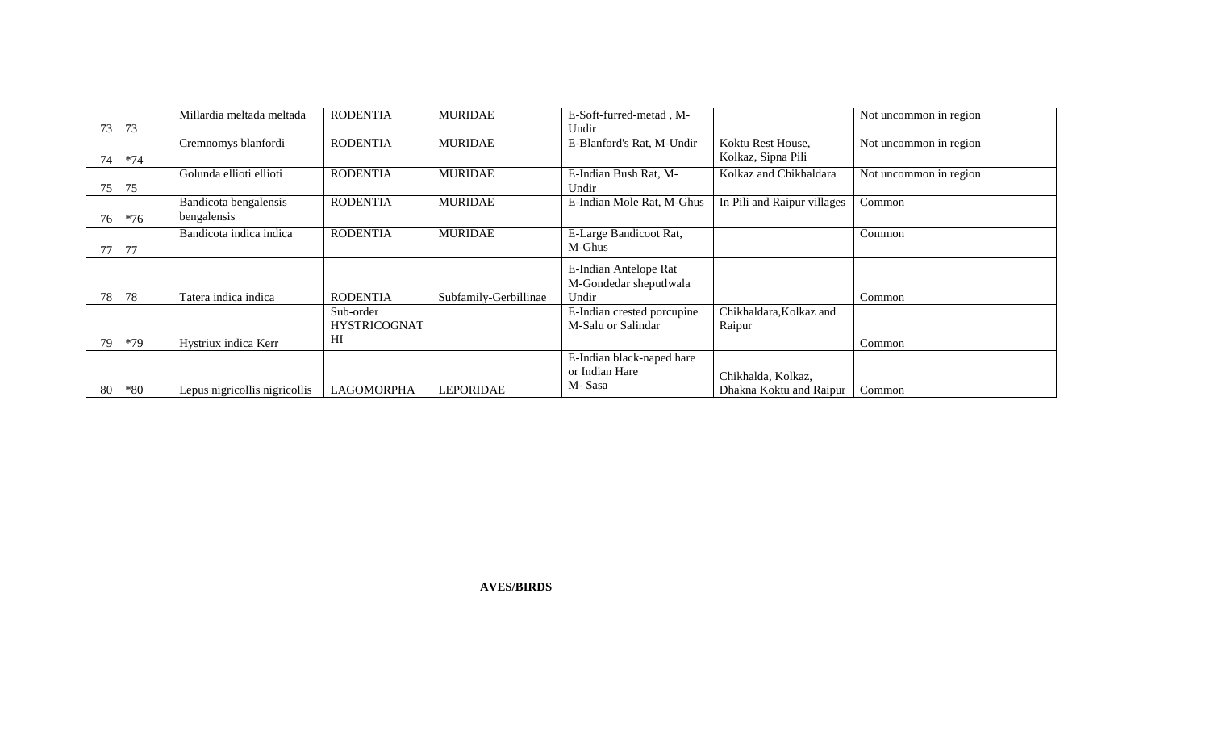|    |       | Millardia meltada meltada     | <b>RODENTIA</b>     | <b>MURIDAE</b>        | E-Soft-furred-metad, M-    |                             | Not uncommon in region |
|----|-------|-------------------------------|---------------------|-----------------------|----------------------------|-----------------------------|------------------------|
| 73 | 73    |                               |                     |                       | Undir                      |                             |                        |
|    |       | Cremnomys blanfordi           | <b>RODENTIA</b>     | <b>MURIDAE</b>        | E-Blanford's Rat, M-Undir  | Koktu Rest House,           | Not uncommon in region |
| 74 | $*74$ |                               |                     |                       |                            | Kolkaz, Sipna Pili          |                        |
|    |       | Golunda ellioti ellioti       | <b>RODENTIA</b>     | <b>MURIDAE</b>        | E-Indian Bush Rat, M-      | Kolkaz and Chikhaldara      | Not uncommon in region |
| 75 | 75    |                               |                     |                       | Undir                      |                             |                        |
|    |       | Bandicota bengalensis         | <b>RODENTIA</b>     | <b>MURIDAE</b>        | E-Indian Mole Rat, M-Ghus  | In Pili and Raipur villages | Common                 |
| 76 | $*76$ | bengalensis                   |                     |                       |                            |                             |                        |
|    |       | Bandicota indica indica       | <b>RODENTIA</b>     | <b>MURIDAE</b>        | E-Large Bandicoot Rat,     |                             | Common                 |
|    | 77    |                               |                     |                       | M-Ghus                     |                             |                        |
|    |       |                               |                     |                       | E-Indian Antelope Rat      |                             |                        |
|    |       |                               |                     |                       | M-Gondedar sheputlwala     |                             |                        |
| 78 | 78    | Tatera indica indica          | <b>RODENTIA</b>     | Subfamily-Gerbillinae | Undir                      |                             | Common                 |
|    |       |                               | Sub-order           |                       | E-Indian crested porcupine | Chikhaldara, Kolkaz and     |                        |
|    |       |                               | <b>HYSTRICOGNAT</b> |                       | M-Salu or Salindar         | Raipur                      |                        |
| 79 | $*79$ | Hystriux indica Kerr          | HI                  |                       |                            |                             | Common                 |
|    |       |                               |                     |                       |                            |                             |                        |
|    |       |                               |                     |                       | E-Indian black-naped hare  |                             |                        |
|    |       |                               |                     |                       | or Indian Hare             | Chikhalda, Kolkaz,          |                        |
| 80 | $*80$ | Lepus nigricollis nigricollis | <b>LAGOMORPHA</b>   | LEPORIDAE             | M-Sasa                     | Dhakna Koktu and Raipur     | Common                 |

**AVES/BIRDS**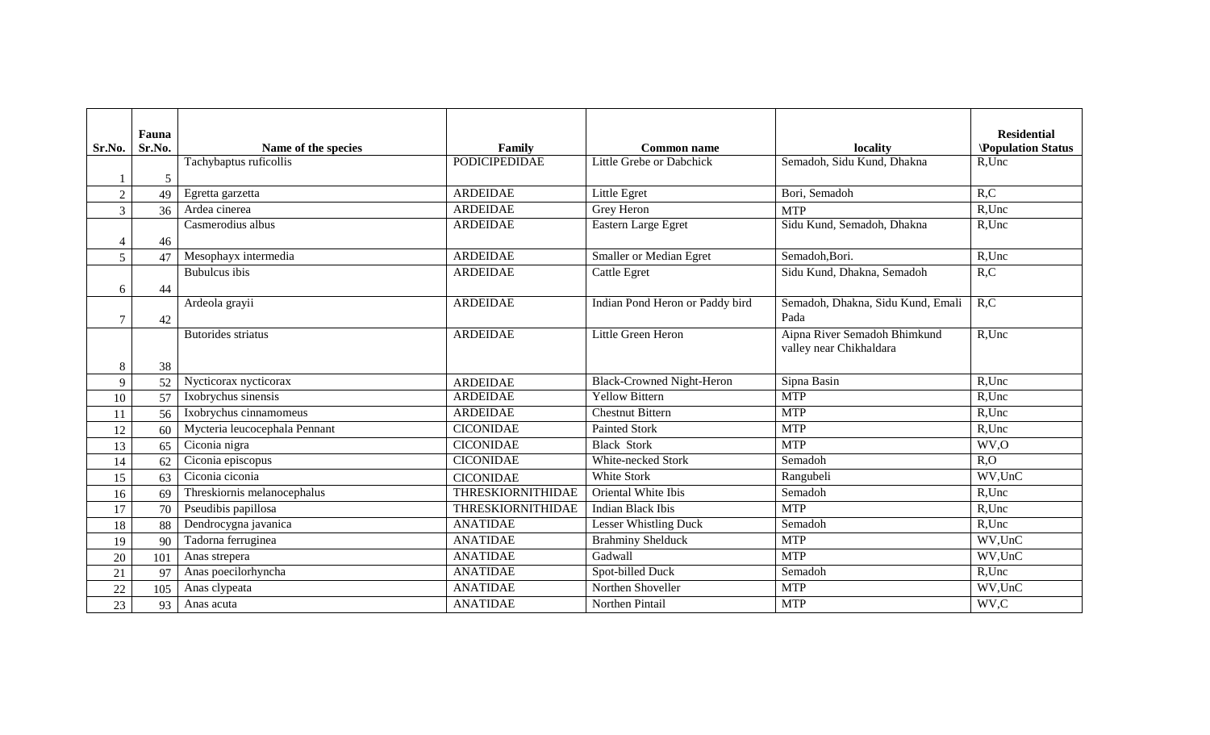|                | Fauna  |                               |                          |                                  |                                   | <b>Residential</b>       |
|----------------|--------|-------------------------------|--------------------------|----------------------------------|-----------------------------------|--------------------------|
| Sr.No.         | Sr.No. | Name of the species           | Family                   | <b>Common name</b>               | locality                          | <b>Population Status</b> |
|                |        | Tachybaptus ruficollis        | <b>PODICIPEDIDAE</b>     | Little Grebe or Dabchick         | Semadoh, Sidu Kund, Dhakna        | R,Unc                    |
|                | 5      |                               |                          |                                  |                                   |                          |
| $\overline{2}$ | 49     | Egretta garzetta              | <b>ARDEIDAE</b>          | Little Egret                     | Bori, Semadoh                     | R, C                     |
| 3              | 36     | Ardea cinerea                 | <b>ARDEIDAE</b>          | Grey Heron                       | <b>MTP</b>                        | $R$ , Unc                |
|                |        | Casmerodius albus             | <b>ARDEIDAE</b>          | Eastern Large Egret              | Sidu Kund, Semadoh, Dhakna        | R,Unc                    |
| $\overline{4}$ | 46     |                               |                          |                                  |                                   |                          |
| 5              | 47     | Mesophayx intermedia          | <b>ARDEIDAE</b>          | <b>Smaller or Median Egret</b>   | Semadoh, Bori.                    | R,Unc                    |
|                |        | <b>Bubulcus</b> ibis          | <b>ARDEIDAE</b>          | <b>Cattle Egret</b>              | Sidu Kund, Dhakna, Semadoh        | R, C                     |
| 6              | 44     |                               |                          |                                  |                                   |                          |
|                |        | Ardeola grayii                | <b>ARDEIDAE</b>          | Indian Pond Heron or Paddy bird  | Semadoh, Dhakna, Sidu Kund, Emali | R, C                     |
| 7              | 42     |                               |                          |                                  | Pada                              |                          |
|                |        | <b>Butorides</b> striatus     | <b>ARDEIDAE</b>          | Little Green Heron               | Aipna River Semadoh Bhimkund      | R,Unc                    |
|                |        |                               |                          |                                  | valley near Chikhaldara           |                          |
| 8              | 38     |                               |                          |                                  |                                   |                          |
| $\mathbf{Q}$   | 52     | Nycticorax nycticorax         | <b>ARDEIDAE</b>          | <b>Black-Crowned Night-Heron</b> | Sipna Basin                       | $\overline{R}$ , Unc     |
| 10             | 57     | Ixobrychus sinensis           | <b>ARDEIDAE</b>          | <b>Yellow Bittern</b>            | <b>MTP</b>                        | R,Unc                    |
| 11             | 56     | Ixobrychus cinnamomeus        | <b>ARDEIDAE</b>          | <b>Chestnut Bittern</b>          | <b>MTP</b>                        | R,Unc                    |
| 12             | 60     | Mycteria leucocephala Pennant | <b>CICONIDAE</b>         | <b>Painted Stork</b>             | <b>MTP</b>                        | $R$ , Unc                |
| 13             | 65     | Ciconia nigra                 | <b>CICONIDAE</b>         | <b>Black Stork</b>               | <b>MTP</b>                        | WV,O                     |
| 14             | 62     | Ciconia episcopus             | <b>CICONIDAE</b>         | White-necked Stork               | Semadoh                           | R, O                     |
| 15             | 63     | Ciconia ciconia               | <b>CICONIDAE</b>         | <b>White Stork</b>               | Rangubeli                         | WV,UnC                   |
| 16             | 69     | Threskiornis melanocephalus   | <b>THRESKIORNITHIDAE</b> | Oriental White Ibis              | Semadoh                           | R,Unc                    |
| 17             | 70     | Pseudibis papillosa           | THRESKIORNITHIDAE        | <b>Indian Black Ibis</b>         | <b>MTP</b>                        | R,Unc                    |
| 18             | 88     | Dendrocygna javanica          | <b>ANATIDAE</b>          | <b>Lesser Whistling Duck</b>     | Semadoh                           | $R$ , Unc                |
| 19             | 90     | Tadorna ferruginea            | <b>ANATIDAE</b>          | <b>Brahminy Shelduck</b>         | <b>MTP</b>                        | WV,UnC                   |
| 20             | 101    | Anas strepera                 | <b>ANATIDAE</b>          | Gadwall                          | <b>MTP</b>                        | WV,UnC                   |
| 21             | 97     | Anas poecilorhyncha           | <b>ANATIDAE</b>          | Spot-billed Duck                 | Semadoh                           | $R$ , Unc                |
| 22             | 105    | Anas clypeata                 | <b>ANATIDAE</b>          | Northen Shoveller                | <b>MTP</b>                        | WV,UnC                   |
| 23             | 93     | Anas acuta                    | <b>ANATIDAE</b>          | Northen Pintail                  | <b>MTP</b>                        | WV,C                     |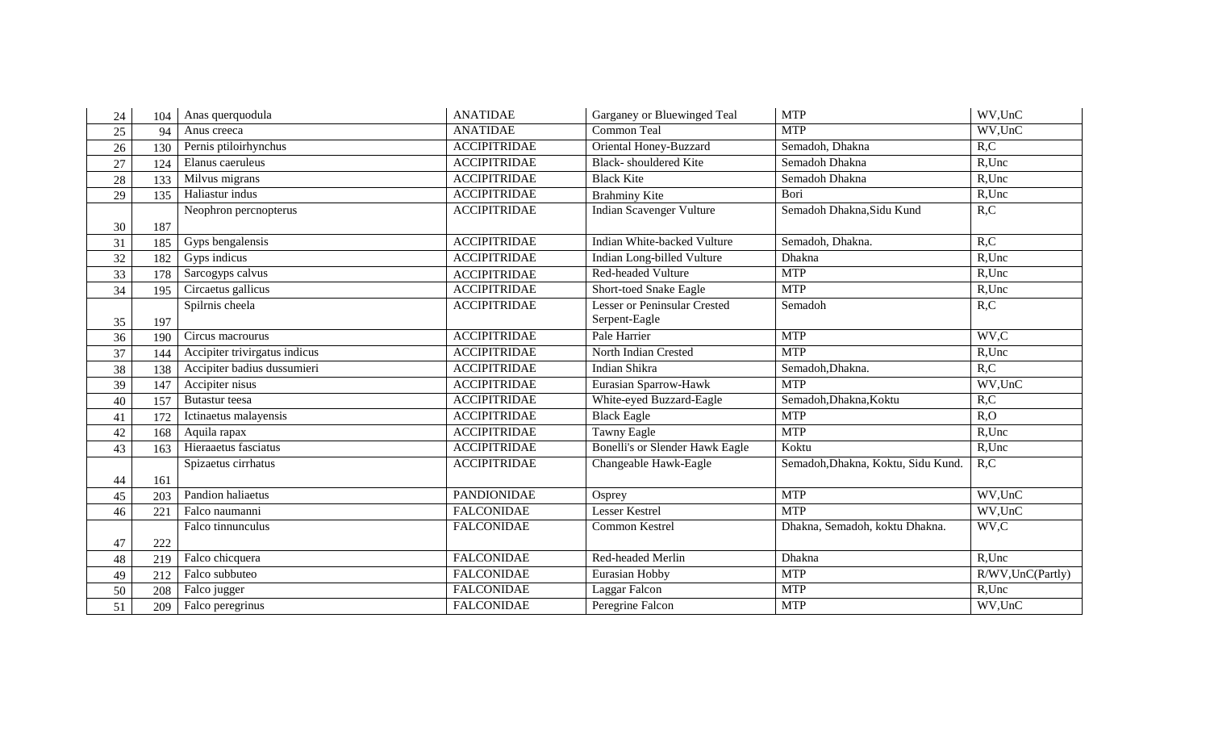| 24 | 104 | Anas querquodula              | <b>ANATIDAE</b>     | Garganey or Bluewinged Teal            | <b>MTP</b>                         | WV,UnC                |
|----|-----|-------------------------------|---------------------|----------------------------------------|------------------------------------|-----------------------|
| 25 | 94  | Anus creeca                   | <b>ANATIDAE</b>     | <b>Common Teal</b>                     | <b>MTP</b>                         | WV,UnC                |
| 26 | 130 | Pernis ptiloirhynchus         | <b>ACCIPITRIDAE</b> | Oriental Honey-Buzzard                 | Semadoh, Dhakna                    | R, C                  |
| 27 | 124 | Elanus caeruleus              | <b>ACCIPITRIDAE</b> | <b>Black-</b> shouldered Kite          | Semadoh Dhakna                     | R,Unc                 |
| 28 | 133 | Milvus migrans                | <b>ACCIPITRIDAE</b> | <b>Black Kite</b>                      | Semadoh Dhakna                     | $R$ , Unc             |
| 29 | 135 | Haliastur indus               | <b>ACCIPITRIDAE</b> | <b>Brahminy Kite</b>                   | Bori                               | R,Unc                 |
|    |     | Neophron percnopterus         | <b>ACCIPITRIDAE</b> | <b>Indian Scavenger Vulture</b>        | Semadoh Dhakna, Sidu Kund          | R, C                  |
| 30 | 187 |                               |                     |                                        |                                    |                       |
| 31 | 185 | Gyps bengalensis              | <b>ACCIPITRIDAE</b> | Indian White-backed Vulture            | Semadoh, Dhakna.                   | R, C                  |
| 32 | 182 | Gyps indicus                  | <b>ACCIPITRIDAE</b> | Indian Long-billed Vulture             | Dhakna                             | R,Unc                 |
| 33 | 178 | Sarcogyps calvus              | <b>ACCIPITRIDAE</b> | Red-headed Vulture                     | <b>MTP</b>                         | $R$ , Unc             |
| 34 | 195 | Circaetus gallicus            | <b>ACCIPITRIDAE</b> | <b>Short-toed Snake Eagle</b>          | <b>MTP</b>                         | R,Unc                 |
|    |     | Spilrnis cheela               | <b>ACCIPITRIDAE</b> | <b>Lesser or Peninsular Crested</b>    | Semadoh                            | R, C                  |
| 35 | 197 |                               |                     | Serpent-Eagle                          |                                    |                       |
| 36 | 190 | Circus macrourus              | <b>ACCIPITRIDAE</b> | Pale Harrier                           | <b>MTP</b>                         | WV,C                  |
| 37 | 144 | Accipiter trivirgatus indicus | <b>ACCIPITRIDAE</b> | <b>North Indian Crested</b>            | <b>MTP</b>                         | $R$ , Unc             |
| 38 | 138 | Accipiter badius dussumieri   | <b>ACCIPITRIDAE</b> | Indian Shikra                          | Semadoh, Dhakna.                   | R, C                  |
| 39 | 147 | Accipiter nisus               | <b>ACCIPITRIDAE</b> | Eurasian Sparrow-Hawk                  | <b>MTP</b>                         | WV,UnC                |
| 40 | 157 | Butastur teesa                | <b>ACCIPITRIDAE</b> | White-eyed Buzzard-Eagle               | Semadoh, Dhakna, Koktu             | R, C                  |
| 41 | 172 | Ictinaetus malayensis         | <b>ACCIPITRIDAE</b> | <b>Black Eagle</b>                     | <b>MTP</b>                         | R, O                  |
| 42 | 168 | Aquila rapax                  | <b>ACCIPITRIDAE</b> | <b>Tawny Eagle</b>                     | <b>MTP</b>                         | R,Unc                 |
| 43 | 163 | Hieraaetus fasciatus          | <b>ACCIPITRIDAE</b> | <b>Bonelli's or Slender Hawk Eagle</b> | Koktu                              | R,Unc                 |
|    |     | Spizaetus cirrhatus           | <b>ACCIPITRIDAE</b> | Changeable Hawk-Eagle                  | Semadoh, Dhakna, Koktu, Sidu Kund. | R, C                  |
| 44 | 161 |                               |                     |                                        |                                    |                       |
| 45 | 203 | Pandion haliaetus             | <b>PANDIONIDAE</b>  | Osprey                                 | <b>MTP</b>                         | WV,UnC                |
| 46 | 221 | Falco naumanni                | <b>FALCONIDAE</b>   | <b>Lesser Kestrel</b>                  | <b>MTP</b>                         | $\overline{WV}$ , UnC |
|    |     | Falco tinnunculus             | <b>FALCONIDAE</b>   | Common Kestrel                         | Dhakna, Semadoh, koktu Dhakna.     | WV,C                  |
| 47 | 222 |                               |                     |                                        |                                    |                       |
| 48 | 219 | Falco chicquera               | <b>FALCONIDAE</b>   | Red-headed Merlin                      | Dhakna                             | R,Unc                 |
| 49 | 212 | Falco subbuteo                | <b>FALCONIDAE</b>   | Eurasian Hobby                         | <b>MTP</b>                         | R/WV, UnC(Partly)     |
| 50 | 208 | Falco jugger                  | <b>FALCONIDAE</b>   | Laggar Falcon                          | <b>MTP</b>                         | R,Unc                 |
| 51 | 209 | Falco peregrinus              | <b>FALCONIDAE</b>   | Peregrine Falcon                       | <b>MTP</b>                         | WV,UnC                |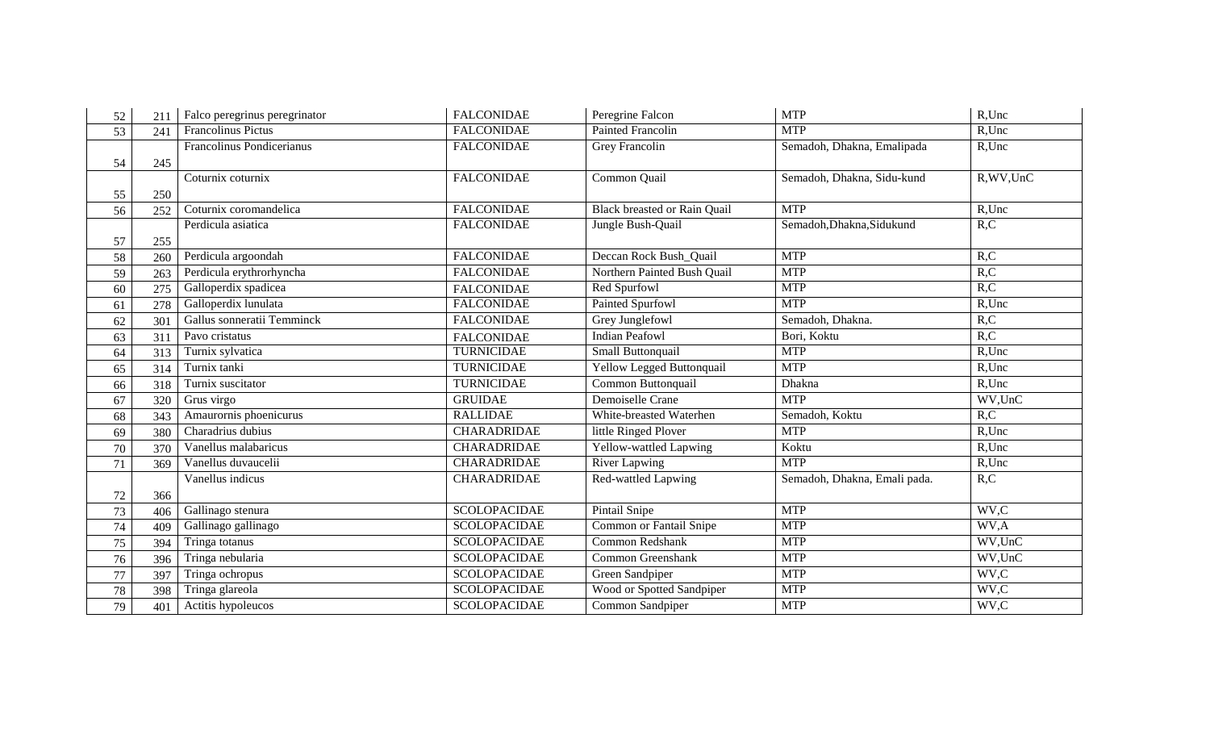| 52     | 211 | Falco peregrinus peregrinator | <b>FALCONIDAE</b>   | Peregrine Falcon                    | <b>MTP</b>                   | R,Unc      |
|--------|-----|-------------------------------|---------------------|-------------------------------------|------------------------------|------------|
| 53     | 241 | Francolinus Pictus            | <b>FALCONIDAE</b>   | <b>Painted Francolin</b>            | <b>MTP</b>                   | $R$ , Unc  |
|        |     | Francolinus Pondicerianus     | <b>FALCONIDAE</b>   | Grey Francolin                      | Semadoh, Dhakna, Emalipada   | R,Unc      |
| 54     | 245 |                               |                     |                                     |                              |            |
|        |     | Coturnix coturnix             | <b>FALCONIDAE</b>   | Common Quail                        | Semadoh, Dhakna, Sidu-kund   | R, WV, UnC |
| 55     | 250 |                               |                     |                                     |                              |            |
| 56     | 252 | Coturnix coromandelica        | <b>FALCONIDAE</b>   | <b>Black breasted or Rain Quail</b> | <b>MTP</b>                   | $R$ , Unc  |
|        |     | Perdicula asiatica            | <b>FALCONIDAE</b>   | Jungle Bush-Quail                   | Semadoh, Dhakna, Sidukund    | R, C       |
| 57     | 255 |                               |                     |                                     |                              |            |
| 58     | 260 | Perdicula argoondah           | <b>FALCONIDAE</b>   | Deccan Rock Bush_Quail              | <b>MTP</b>                   | R, C       |
| 59     | 263 | Perdicula erythrorhyncha      | <b>FALCONIDAE</b>   | Northern Painted Bush Quail         | <b>MTP</b>                   | R, C       |
| 60     | 275 | Galloperdix spadicea          | <b>FALCONIDAE</b>   | Red Spurfowl                        | <b>MTP</b>                   | R, C       |
| 61     | 278 | Galloperdix lunulata          | <b>FALCONIDAE</b>   | Painted Spurfowl                    | <b>MTP</b>                   | R,Unc      |
| 62     | 301 | Gallus sonneratii Temminck    | <b>FALCONIDAE</b>   | Grey Junglefowl                     | Semadoh, Dhakna.             | R, C       |
| 63     | 311 | Pavo cristatus                | <b>FALCONIDAE</b>   | <b>Indian Peafowl</b>               | Bori, Koktu                  | R, C       |
| 64     | 313 | Turnix sylvatica              | <b>TURNICIDAE</b>   | Small Buttonquail                   | <b>MTP</b>                   | R,Unc      |
| 65     | 314 | Turnix tanki                  | <b>TURNICIDAE</b>   | <b>Yellow Legged Buttonquail</b>    | <b>MTP</b>                   | $R$ , Unc  |
| 66     | 318 | Turnix suscitator             | <b>TURNICIDAE</b>   | Common Buttonquail                  | Dhakna                       | R,Unc      |
| 67     | 320 | Grus virgo                    | <b>GRUIDAE</b>      | Demoiselle Crane                    | <b>MTP</b>                   | WV,UnC     |
| 68     | 343 | Amaurornis phoenicurus        | <b>RALLIDAE</b>     | White-breasted Waterhen             | Semadoh, Koktu               | R, C       |
| 69     | 380 | Charadrius dubius             | <b>CHARADRIDAE</b>  | little Ringed Plover                | <b>MTP</b>                   | R,Unc      |
| $70\,$ | 370 | Vanellus malabaricus          | CHARADRIDAE         | Yellow-wattled Lapwing              | Koktu                        | $R$ , Unc  |
| 71     | 369 | Vanellus duvaucelii           | <b>CHARADRIDAE</b>  | River Lapwing                       | <b>MTP</b>                   | $R$ , Unc  |
|        |     | Vanellus indicus              | <b>CHARADRIDAE</b>  | Red-wattled Lapwing                 | Semadoh, Dhakna, Emali pada. | R, C       |
| 72     | 366 |                               |                     |                                     |                              |            |
| 73     | 406 | Gallinago stenura             | <b>SCOLOPACIDAE</b> | Pintail Snipe                       | <b>MTP</b>                   | WV,C       |
| 74     | 409 | Gallinago gallinago           | <b>SCOLOPACIDAE</b> | <b>Common or Fantail Snipe</b>      | <b>MTP</b>                   | WV,A       |
| $75\,$ | 394 | Tringa totanus                | <b>SCOLOPACIDAE</b> | Common Redshank                     | <b>MTP</b>                   | WV,UnC     |
| 76     | 396 | Tringa nebularia              | <b>SCOLOPACIDAE</b> | Common Greenshank                   | <b>MTP</b>                   | WV,UnC     |
| 77     | 397 | Tringa ochropus               | <b>SCOLOPACIDAE</b> | Green Sandpiper                     | <b>MTP</b>                   | WV,C       |
| 78     | 398 | Tringa glareola               | <b>SCOLOPACIDAE</b> | Wood or Spotted Sandpiper           | <b>MTP</b>                   | WV,C       |
| 79     | 401 | Actitis hypoleucos            | <b>SCOLOPACIDAE</b> | Common Sandpiper                    | <b>MTP</b>                   | WV,C       |
|        |     |                               |                     |                                     |                              |            |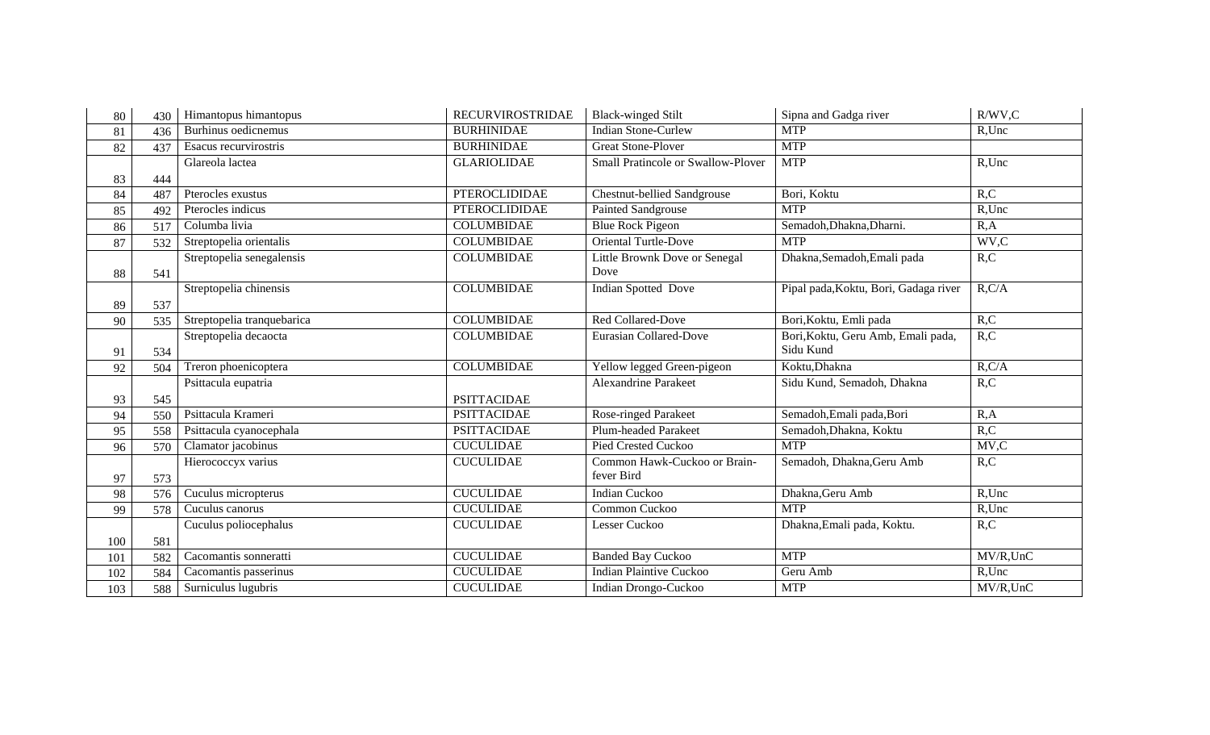| 80  | 430 | Himantopus himantopus      | <b>RECURVIROSTRIDAE</b> | <b>Black-winged Stilt</b>          | Sipna and Gadga river                 | $R/WV$ , $C$ |
|-----|-----|----------------------------|-------------------------|------------------------------------|---------------------------------------|--------------|
| 81  | 436 | Burhinus oedicnemus        | <b>BURHINIDAE</b>       | <b>Indian Stone-Curlew</b>         | <b>MTP</b>                            | $R$ , Unc    |
| 82  | 437 | Esacus recurvirostris      | <b>BURHINIDAE</b>       | <b>Great Stone-Plover</b>          | <b>MTP</b>                            |              |
|     |     | Glareola lactea            | <b>GLARIOLIDAE</b>      | Small Pratincole or Swallow-Plover | <b>MTP</b>                            | R,Unc        |
| 83  | 444 |                            |                         |                                    |                                       |              |
| 84  | 487 | Pterocles exustus          | <b>PTEROCLIDIDAE</b>    | <b>Chestnut-bellied Sandgrouse</b> | Bori, Koktu                           | R, C         |
| 85  | 492 | Pterocles indicus          | <b>PTEROCLIDIDAE</b>    | <b>Painted Sandgrouse</b>          | <b>MTP</b>                            | R,Unc        |
| 86  | 517 | Columba livia              | <b>COLUMBIDAE</b>       | <b>Blue Rock Pigeon</b>            | Semadoh, Dhakna, Dharni.              | R, A         |
| 87  | 532 | Streptopelia orientalis    | <b>COLUMBIDAE</b>       | <b>Oriental Turtle-Dove</b>        | <b>MTP</b>                            | WV,C         |
|     |     | Streptopelia senegalensis  | <b>COLUMBIDAE</b>       | Little Brownk Dove or Senegal      | Dhakna, Semadoh, Emali pada           | R, C         |
| 88  | 541 |                            |                         | Dove                               |                                       |              |
|     |     | Streptopelia chinensis     | <b>COLUMBIDAE</b>       | Indian Spotted Dove                | Pipal pada, Koktu, Bori, Gadaga river | R, C/A       |
| 89  | 537 |                            |                         |                                    |                                       |              |
| 90  | 535 | Streptopelia tranquebarica | <b>COLUMBIDAE</b>       | Red Collared-Dove                  | Bori, Koktu, Emli pada                | R, C         |
|     |     | Streptopelia decaocta      | <b>COLUMBIDAE</b>       | <b>Eurasian Collared-Dove</b>      | Bori, Koktu, Geru Amb, Emali pada,    | R, C         |
| 91  | 534 |                            |                         |                                    | Sidu Kund                             |              |
| 92  | 504 | Treron phoenicoptera       | <b>COLUMBIDAE</b>       | Yellow legged Green-pigeon         | Koktu, Dhakna                         | R, C/A       |
|     |     | Psittacula eupatria        |                         | Alexandrine Parakeet               | Sidu Kund, Semadoh, Dhakna            | R, C         |
| 93  | 545 |                            | <b>PSITTACIDAE</b>      |                                    |                                       |              |
| 94  | 550 | Psittacula Krameri         | <b>PSITTACIDAE</b>      | Rose-ringed Parakeet               | Semadoh, Emali pada, Bori             | R, A         |
| 95  | 558 | Psittacula cyanocephala    | <b>PSITTACIDAE</b>      | <b>Plum-headed Parakeet</b>        | Semadoh, Dhakna, Koktu                | R, C         |
| 96  | 570 | Clamator jacobinus         | <b>CUCULIDAE</b>        | <b>Pied Crested Cuckoo</b>         | <b>MTP</b>                            | MV, C        |
|     |     | Hierococcyx varius         | <b>CUCULIDAE</b>        | Common Hawk-Cuckoo or Brain-       | Semadoh, Dhakna, Geru Amb             | R, C         |
| 97  | 573 |                            |                         | fever Bird                         |                                       |              |
| 98  | 576 | Cuculus micropterus        | <b>CUCULIDAE</b>        | <b>Indian Cuckoo</b>               | Dhakna, Geru Amb                      | R,Unc        |
| 99  | 578 | Cuculus canorus            | <b>CUCULIDAE</b>        | Common Cuckoo                      | <b>MTP</b>                            | R,Unc        |
|     |     | Cuculus poliocephalus      | <b>CUCULIDAE</b>        | Lesser Cuckoo                      | Dhakna, Emali pada, Koktu.            | R, C         |
| 100 | 581 |                            |                         |                                    |                                       |              |
| 101 | 582 | Cacomantis sonneratti      | <b>CUCULIDAE</b>        | <b>Banded Bay Cuckoo</b>           | <b>MTP</b>                            | MV/R,UnC     |
| 102 | 584 | Cacomantis passerinus      | <b>CUCULIDAE</b>        | <b>Indian Plaintive Cuckoo</b>     | Geru Amb                              | R,Unc        |
| 103 | 588 | Surniculus lugubris        | <b>CUCULIDAE</b>        | Indian Drongo-Cuckoo               | <b>MTP</b>                            | MV/R,UnC     |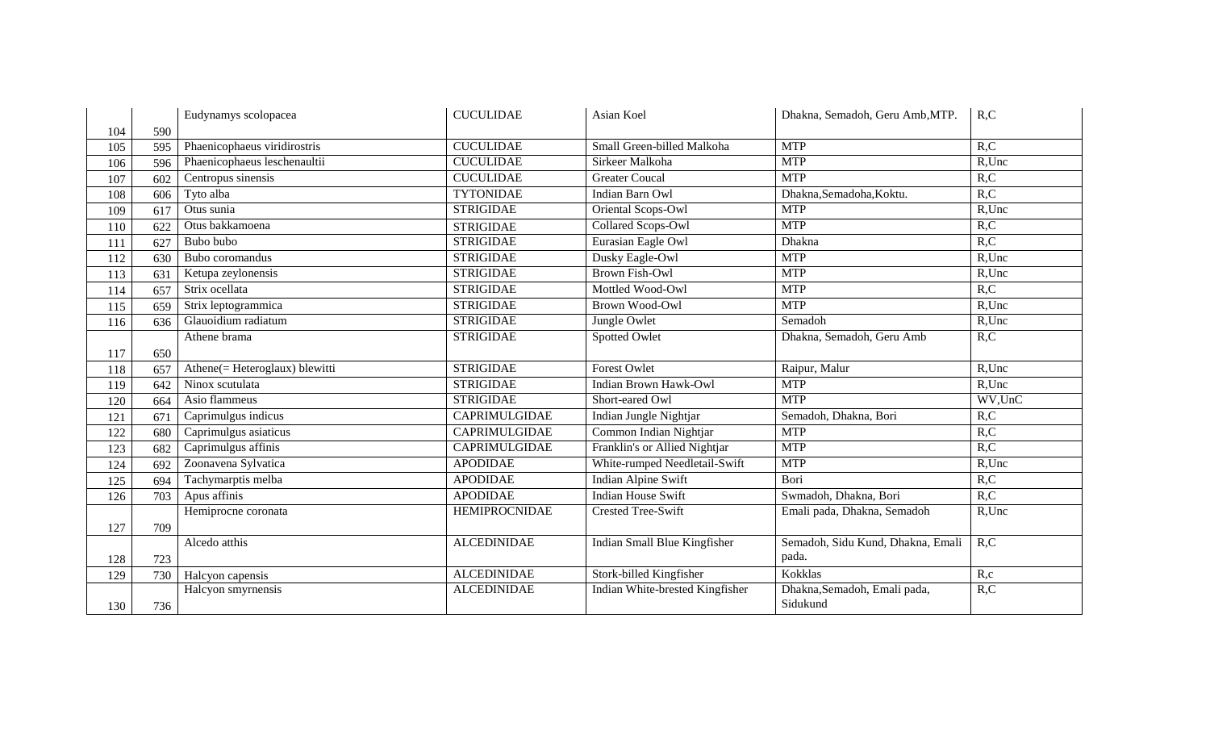|     |     | Eudynamys scolopacea           | <b>CUCULIDAE</b>     | Asian Koel                      | Dhakna, Semadoh, Geru Amb, MTP.   | R, C      |
|-----|-----|--------------------------------|----------------------|---------------------------------|-----------------------------------|-----------|
| 104 | 590 |                                |                      |                                 |                                   |           |
| 105 | 595 | Phaenicophaeus viridirostris   | <b>CUCULIDAE</b>     | Small Green-billed Malkoha      | <b>MTP</b>                        | R, C      |
| 106 | 596 | Phaenicophaeus leschenaultii   | <b>CUCULIDAE</b>     | Sirkeer Malkoha                 | <b>MTP</b>                        | R,Unc     |
| 107 | 602 | Centropus sinensis             | <b>CUCULIDAE</b>     | <b>Greater Coucal</b>           | <b>MTP</b>                        | R, C      |
| 108 | 606 | Tyto alba                      | <b>TYTONIDAE</b>     | Indian Barn Owl                 | Dhakna, Semadoha, Koktu.          | R, C      |
| 109 | 617 | Otus sunia                     | <b>STRIGIDAE</b>     | Oriental Scops-Owl              | <b>MTP</b>                        | R,Unc     |
| 110 | 622 | Otus bakkamoena                | <b>STRIGIDAE</b>     | Collared Scops-Owl              | <b>MTP</b>                        | R, C      |
| 111 | 627 | Bubo bubo                      | <b>STRIGIDAE</b>     | Eurasian Eagle Owl              | Dhakna                            | R, C      |
| 112 | 630 | Bubo coromandus                | <b>STRIGIDAE</b>     | Dusky Eagle-Owl                 | <b>MTP</b>                        | R,Unc     |
| 113 | 631 | Ketupa zeylonensis             | <b>STRIGIDAE</b>     | <b>Brown Fish-Owl</b>           | <b>MTP</b>                        | R,Unc     |
| 114 | 657 | Strix ocellata                 | <b>STRIGIDAE</b>     | Mottled Wood-Owl                | <b>MTP</b>                        | R, C      |
| 115 | 659 | Strix leptogrammica            | <b>STRIGIDAE</b>     | <b>Brown Wood-Owl</b>           | <b>MTP</b>                        | R,Unc     |
| 116 | 636 | Glauoidium radiatum            | <b>STRIGIDAE</b>     | Jungle Owlet                    | Semadoh                           | $R$ , Unc |
|     |     | Athene brama                   | <b>STRIGIDAE</b>     | Spotted Owlet                   | Dhakna, Semadoh, Geru Amb         | R, C      |
| 117 | 650 |                                |                      |                                 |                                   |           |
| 118 | 657 | Athene(= Heteroglaux) blewitti | <b>STRIGIDAE</b>     | Forest Owlet                    | Raipur, Malur                     | R,Unc     |
| 119 | 642 | Ninox scutulata                | <b>STRIGIDAE</b>     | <b>Indian Brown Hawk-Owl</b>    | <b>MTP</b>                        | R,Unc     |
| 120 | 664 | Asio flammeus                  | <b>STRIGIDAE</b>     | Short-eared Owl                 | <b>MTP</b>                        | WV,UnC    |
| 121 | 671 | Caprimulgus indicus            | CAPRIMULGIDAE        | Indian Jungle Nightjar          | Semadoh, Dhakna, Bori             | R, C      |
| 122 | 680 | Caprimulgus asiaticus          | CAPRIMULGIDAE        | Common Indian Nightjar          | <b>MTP</b>                        | R, C      |
| 123 | 682 | Caprimulgus affinis            | CAPRIMULGIDAE        | Franklin's or Allied Nightjar   | <b>MTP</b>                        | R, C      |
| 124 | 692 | Zoonavena Sylvatica            | <b>APODIDAE</b>      | White-rumped Needletail-Swift   | <b>MTP</b>                        | R,Unc     |
| 125 | 694 | Tachymarptis melba             | <b>APODIDAE</b>      | Indian Alpine Swift             | Bori                              | R, C      |
| 126 | 703 | Apus affinis                   | <b>APODIDAE</b>      | <b>Indian House Swift</b>       | Swmadoh, Dhakna, Bori             | R, C      |
|     |     | Hemiprocne coronata            | <b>HEMIPROCNIDAE</b> | <b>Crested Tree-Swift</b>       | Emali pada, Dhakna, Semadoh       | R,Unc     |
| 127 | 709 |                                |                      |                                 |                                   |           |
|     |     | Alcedo atthis                  | <b>ALCEDINIDAE</b>   | Indian Small Blue Kingfisher    | Semadoh, Sidu Kund, Dhakna, Emali | R, C      |
| 128 | 723 |                                |                      |                                 | pada.                             |           |
| 129 | 730 | Halcyon capensis               | <b>ALCEDINIDAE</b>   | Stork-billed Kingfisher         | Kokklas                           | R,c       |
|     |     | Halcyon smyrnensis             | <b>ALCEDINIDAE</b>   | Indian White-brested Kingfisher | Dhakna, Semadoh, Emali pada,      | R, C      |
| 130 | 736 |                                |                      |                                 | Sidukund                          |           |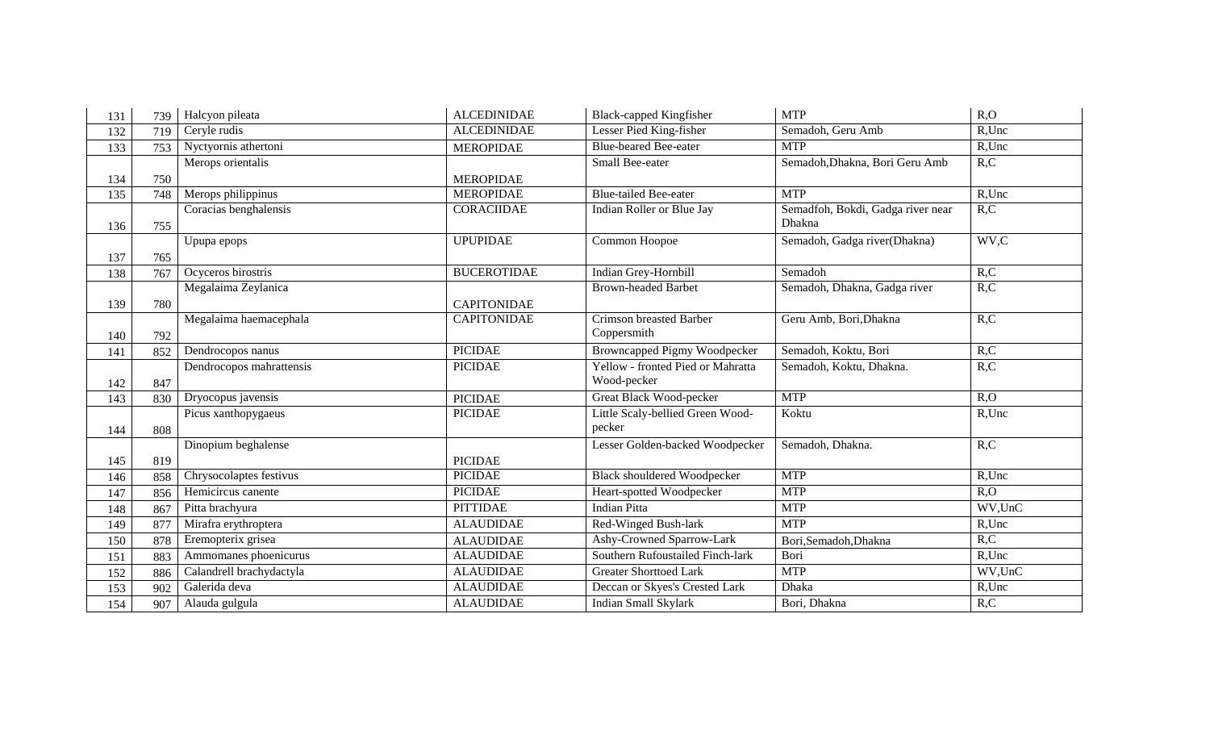| 131 | 739 | Halcyon pileata          | <b>ALCEDINIDAE</b> | <b>Black-capped Kingfisher</b>      | <b>MTP</b>                        | R, O             |
|-----|-----|--------------------------|--------------------|-------------------------------------|-----------------------------------|------------------|
| 132 | 719 | Ceryle rudis             | <b>ALCEDINIDAE</b> | Lesser Pied King-fisher             | Semadoh, Geru Amb                 | R,Unc            |
| 133 | 753 | Nyctyornis athertoni     | <b>MEROPIDAE</b>   | <b>Blue-beared Bee-eater</b>        | <b>MTP</b>                        | R,Unc            |
|     |     | Merops orientalis        |                    | Small Bee-eater                     | Semadoh, Dhakna, Bori Geru Amb    | R, C             |
| 134 | 750 |                          | <b>MEROPIDAE</b>   |                                     |                                   |                  |
| 135 | 748 | Merops philippinus       | <b>MEROPIDAE</b>   | <b>Blue-tailed Bee-eater</b>        | <b>MTP</b>                        | R,Unc            |
|     |     | Coracias benghalensis    | <b>CORACIIDAE</b>  | Indian Roller or Blue Jay           | Semadfoh, Bokdi, Gadga river near | R, C             |
| 136 | 755 |                          |                    |                                     | Dhakna                            |                  |
|     |     | Upupa epops              | <b>UPUPIDAE</b>    | Common Hoopoe                       | Semadoh, Gadga river(Dhakna)      | WV,C             |
| 137 | 765 |                          |                    |                                     |                                   |                  |
| 138 | 767 | Ocyceros birostris       | <b>BUCEROTIDAE</b> | Indian Grey-Hornbill                | Semadoh                           | R, C             |
|     |     | Megalaima Zeylanica      |                    | <b>Brown-headed Barbet</b>          | Semadoh, Dhakna, Gadga river      | R, C             |
| 139 | 780 |                          | <b>CAPITONIDAE</b> |                                     |                                   |                  |
|     |     | Megalaima haemacephala   | <b>CAPITONIDAE</b> | <b>Crimson breasted Barber</b>      | Geru Amb, Bori, Dhakna            | R, C             |
| 140 | 792 |                          |                    | Coppersmith                         |                                   |                  |
| 141 | 852 | Dendrocopos nanus        | <b>PICIDAE</b>     | <b>Browncapped Pigmy Woodpecker</b> | Semadoh, Koktu, Bori              | R, C             |
|     |     | Dendrocopos mahrattensis | <b>PICIDAE</b>     | Yellow - fronted Pied or Mahratta   | Semadoh, Koktu, Dhakna.           | R, C             |
| 142 | 847 |                          |                    | Wood-pecker                         |                                   |                  |
| 143 | 830 | Dryocopus javensis       | <b>PICIDAE</b>     | <b>Great Black Wood-pecker</b>      | <b>MTP</b>                        | R, O             |
|     |     | Picus xanthopygaeus      | <b>PICIDAE</b>     | Little Scaly-bellied Green Wood-    | Koktu                             | R,Unc            |
| 144 | 808 |                          |                    | pecker                              |                                   |                  |
|     |     | Dinopium beghalense      |                    | Lesser Golden-backed Woodpecker     | Semadoh, Dhakna.                  | R, C             |
| 145 | 819 |                          | <b>PICIDAE</b>     |                                     |                                   |                  |
| 146 | 858 | Chrysocolaptes festivus  | <b>PICIDAE</b>     | <b>Black shouldered Woodpecker</b>  | <b>MTP</b>                        | R,Unc            |
| 147 | 856 | Hemicircus canente       | <b>PICIDAE</b>     | Heart-spotted Woodpecker            | <b>MTP</b>                        | $\overline{R,0}$ |
| 148 | 867 | Pitta brachyura          | <b>PITTIDAE</b>    | <b>Indian Pitta</b>                 | <b>MTP</b>                        | WV,UnC           |
| 149 | 877 | Mirafra erythroptera     | <b>ALAUDIDAE</b>   | Red-Winged Bush-lark                | <b>MTP</b>                        | R,Unc            |
| 150 | 878 | Eremopterix grisea       | <b>ALAUDIDAE</b>   | Ashy-Crowned Sparrow-Lark           | Bori, Semadoh, Dhakna             | R, C             |
| 151 | 883 | Ammomanes phoenicurus    | <b>ALAUDIDAE</b>   | Southern Rufoustailed Finch-lark    | Bori                              | R,Unc            |
| 152 | 886 | Calandrell brachydactyla | <b>ALAUDIDAE</b>   | <b>Greater Shorttoed Lark</b>       | <b>MTP</b>                        | WV,UnC           |
| 153 | 902 | Galerida deva            | <b>ALAUDIDAE</b>   | Deccan or Skyes's Crested Lark      | <b>Dhaka</b>                      | R,Unc            |
| 154 | 907 | Alauda gulgula           | <b>ALAUDIDAE</b>   | Indian Small Skylark                | Bori, Dhakna                      | R, C             |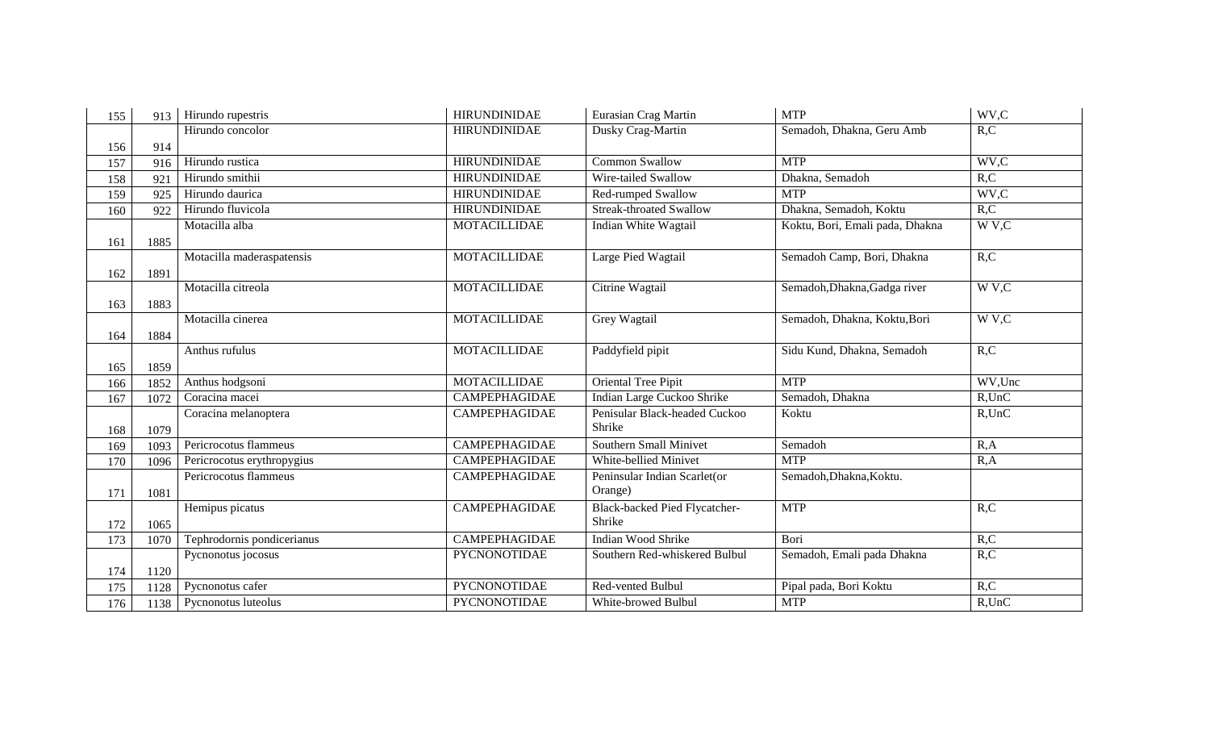| 155 | 913  | Hirundo rupestris          | <b>HIRUNDINIDAE</b>  | Eurasian Crag Martin                 | <b>MTP</b>                      | WV,C      |
|-----|------|----------------------------|----------------------|--------------------------------------|---------------------------------|-----------|
|     |      | Hirundo concolor           | <b>HIRUNDINIDAE</b>  | Dusky Crag-Martin                    | Semadoh, Dhakna, Geru Amb       | R, C      |
| 156 | 914  |                            |                      |                                      |                                 |           |
| 157 | 916  | Hirundo rustica            | <b>HIRUNDINIDAE</b>  | <b>Common Swallow</b>                | <b>MTP</b>                      | WV,C      |
| 158 | 921  | Hirundo smithii            | <b>HIRUNDINIDAE</b>  | Wire-tailed Swallow                  | Dhakna, Semadoh                 | R, C      |
| 159 | 925  | Hirundo daurica            | <b>HIRUNDINIDAE</b>  | Red-rumped Swallow                   | <b>MTP</b>                      | WV,C      |
| 160 | 922  | Hirundo fluvicola          | <b>HIRUNDINIDAE</b>  | <b>Streak-throated Swallow</b>       | Dhakna, Semadoh, Koktu          | R, C      |
|     |      | Motacilla alba             | <b>MOTACILLIDAE</b>  | Indian White Wagtail                 | Koktu, Bori, Emali pada, Dhakna | W V,C     |
| 161 | 1885 |                            |                      |                                      |                                 |           |
|     |      | Motacilla maderaspatensis  | <b>MOTACILLIDAE</b>  | Large Pied Wagtail                   | Semadoh Camp, Bori, Dhakna      | R, C      |
| 162 | 1891 |                            |                      |                                      |                                 |           |
|     |      | Motacilla citreola         | <b>MOTACILLIDAE</b>  | Citrine Wagtail                      | Semadoh, Dhakna, Gadga river    | W V,C     |
| 163 | 1883 |                            |                      |                                      |                                 |           |
|     |      | Motacilla cinerea          | <b>MOTACILLIDAE</b>  | Grey Wagtail                         | Semadoh, Dhakna, Koktu,Bori     | W V,C     |
| 164 | 1884 |                            |                      |                                      |                                 |           |
|     |      | Anthus rufulus             | <b>MOTACILLIDAE</b>  | Paddyfield pipit                     | Sidu Kund, Dhakna, Semadoh      | R, C      |
| 165 | 1859 |                            |                      |                                      |                                 |           |
| 166 | 1852 | Anthus hodgsoni            | <b>MOTACILLIDAE</b>  | Oriental Tree Pipit                  | <b>MTP</b>                      | WV,Unc    |
| 167 | 1072 | Coracina macei             | <b>CAMPEPHAGIDAE</b> | Indian Large Cuckoo Shrike           | Semadoh, Dhakna                 | $R$ , UnC |
|     |      | Coracina melanoptera       | <b>CAMPEPHAGIDAE</b> | Penisular Black-headed Cuckoo        | Koktu                           | $R$ , UnC |
| 168 | 1079 |                            |                      | Shrike                               |                                 |           |
| 169 | 1093 | Pericrocotus flammeus      | <b>CAMPEPHAGIDAE</b> | Southern Small Minivet               | Semadoh                         | R, A      |
| 170 | 1096 | Pericrocotus erythropygius | <b>CAMPEPHAGIDAE</b> | White-bellied Minivet                | <b>MTP</b>                      | R, A      |
|     |      | Pericrocotus flammeus      | <b>CAMPEPHAGIDAE</b> | Peninsular Indian Scarlet(or         | Semadoh, Dhakna, Koktu.         |           |
| 171 | 1081 |                            |                      | Orange)                              |                                 |           |
|     |      | Hemipus picatus            | <b>CAMPEPHAGIDAE</b> | <b>Black-backed Pied Flycatcher-</b> | <b>MTP</b>                      | R, C      |
| 172 | 1065 |                            |                      | Shrike                               |                                 |           |
| 173 | 1070 | Tephrodornis pondicerianus | <b>CAMPEPHAGIDAE</b> | Indian Wood Shrike                   | Bori                            | R, C      |
|     |      | Pycnonotus jocosus         | <b>PYCNONOTIDAE</b>  | Southern Red-whiskered Bulbul        | Semadoh, Emali pada Dhakna      | R, C      |
| 174 | 1120 |                            |                      |                                      |                                 |           |
| 175 | 1128 | Pycnonotus cafer           | <b>PYCNONOTIDAE</b>  | Red-vented Bulbul                    | Pipal pada, Bori Koktu          | R, C      |
| 176 | 1138 | Pycnonotus luteolus        | <b>PYCNONOTIDAE</b>  | White-browed Bulbul                  | <b>MTP</b>                      | $R$ , UnC |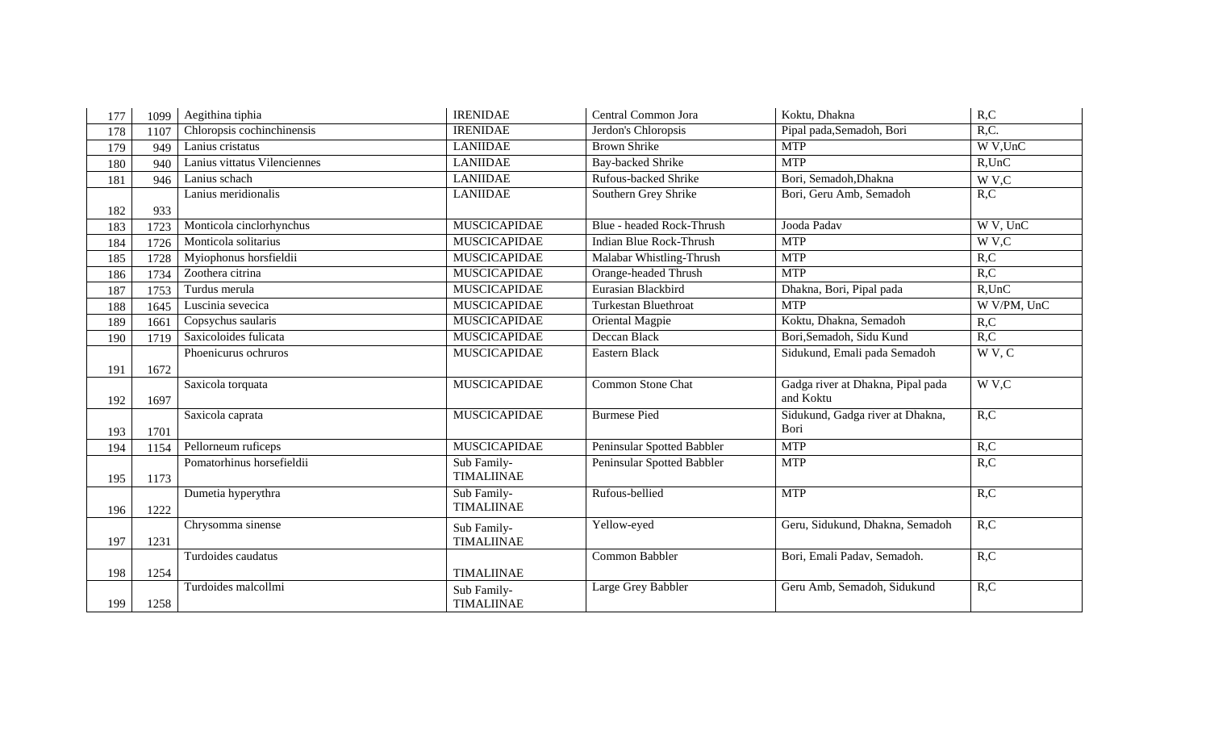| 177 | 1099 | Aegithina tiphia             | <b>IRENIDAE</b>     | Central Common Jora            | Koktu, Dhakna                     | R, C              |
|-----|------|------------------------------|---------------------|--------------------------------|-----------------------------------|-------------------|
| 178 | 1107 | Chloropsis cochinchinensis   | <b>IRENIDAE</b>     | Jerdon's Chloropsis            | Pipal pada, Semadoh, Bori         | R, C.             |
| 179 | 949  | Lanius cristatus             | <b>LANIIDAE</b>     | <b>Brown Shrike</b>            | <b>MTP</b>                        | W V,UnC           |
| 180 | 940  | Lanius vittatus Vilenciennes | <b>LANIIDAE</b>     | Bay-backed Shrike              | <b>MTP</b>                        | $R$ , UnC         |
| 181 | 946  | Lanius schach                | <b>LANIIDAE</b>     | Rufous-backed Shrike           | Bori, Semadoh, Dhakna             | W V,C             |
|     |      | Lanius meridionalis          | <b>LANIIDAE</b>     | Southern Grey Shrike           | Bori, Geru Amb, Semadoh           | R, C              |
| 182 | 933  |                              |                     |                                |                                   |                   |
| 183 | 1723 | Monticola cinclorhynchus     | <b>MUSCICAPIDAE</b> | Blue - headed Rock-Thrush      | Jooda Padav                       | W V, UnC          |
| 184 | 1726 | Monticola solitarius         | <b>MUSCICAPIDAE</b> | <b>Indian Blue Rock-Thrush</b> | <b>MTP</b>                        | W <sub>V</sub> ,C |
| 185 | 1728 | Myiophonus horsfieldii       | <b>MUSCICAPIDAE</b> | Malabar Whistling-Thrush       | <b>MTP</b>                        | R, C              |
| 186 | 1734 | Zoothera citrina             | <b>MUSCICAPIDAE</b> | Orange-headed Thrush           | <b>MTP</b>                        | R, C              |
| 187 | 1753 | Turdus merula                | <b>MUSCICAPIDAE</b> | Eurasian Blackbird             | Dhakna, Bori, Pipal pada          | $R$ , UnC         |
| 188 | 1645 | Luscinia sevecica            | <b>MUSCICAPIDAE</b> | <b>Turkestan Bluethroat</b>    | <b>MTP</b>                        | W V/PM, UnC       |
| 189 | 1661 | Copsychus saularis           | <b>MUSCICAPIDAE</b> | Oriental Magpie                | Koktu, Dhakna, Semadoh            | R, C              |
| 190 | 1719 | Saxicoloides fulicata        | <b>MUSCICAPIDAE</b> | Deccan Black                   | Bori, Semadoh, Sidu Kund          | R, C              |
|     |      | Phoenicurus ochruros         | <b>MUSCICAPIDAE</b> | Eastern Black                  | Sidukund, Emali pada Semadoh      | WV, C             |
| 191 | 1672 |                              |                     |                                |                                   |                   |
|     |      | Saxicola torquata            | <b>MUSCICAPIDAE</b> | <b>Common Stone Chat</b>       | Gadga river at Dhakna, Pipal pada | W V,C             |
| 192 | 1697 |                              |                     |                                | and Koktu                         |                   |
|     |      | Saxicola caprata             | <b>MUSCICAPIDAE</b> | <b>Burmese Pied</b>            | Sidukund, Gadga river at Dhakna,  | R, C              |
| 193 | 1701 |                              |                     |                                | Bori                              |                   |
| 194 | 1154 | Pellorneum ruficeps          | <b>MUSCICAPIDAE</b> | Peninsular Spotted Babbler     | <b>MTP</b>                        | R, C              |
|     |      | Pomatorhinus horsefieldii    | Sub Family-         | Peninsular Spotted Babbler     | <b>MTP</b>                        | R, C              |
| 195 | 1173 |                              | <b>TIMALIINAE</b>   |                                |                                   |                   |
|     |      | Dumetia hyperythra           | Sub Family-         | Rufous-bellied                 | <b>MTP</b>                        | R, C              |
| 196 | 1222 |                              | <b>TIMALIINAE</b>   |                                |                                   |                   |
|     |      | Chrysomma sinense            | Sub Family-         | Yellow-eyed                    | Geru, Sidukund, Dhakna, Semadoh   | R, C              |
| 197 | 1231 |                              | <b>TIMALIINAE</b>   |                                |                                   |                   |
|     |      | Turdoides caudatus           |                     | Common Babbler                 | Bori, Emali Padav, Semadoh.       | R, C              |
| 198 | 1254 |                              | <b>TIMALIINAE</b>   |                                |                                   |                   |
|     |      | Turdoides malcollmi          | Sub Family-         | Large Grey Babbler             | Geru Amb, Semadoh, Sidukund       | R, C              |
| 199 | 1258 |                              | <b>TIMALIINAE</b>   |                                |                                   |                   |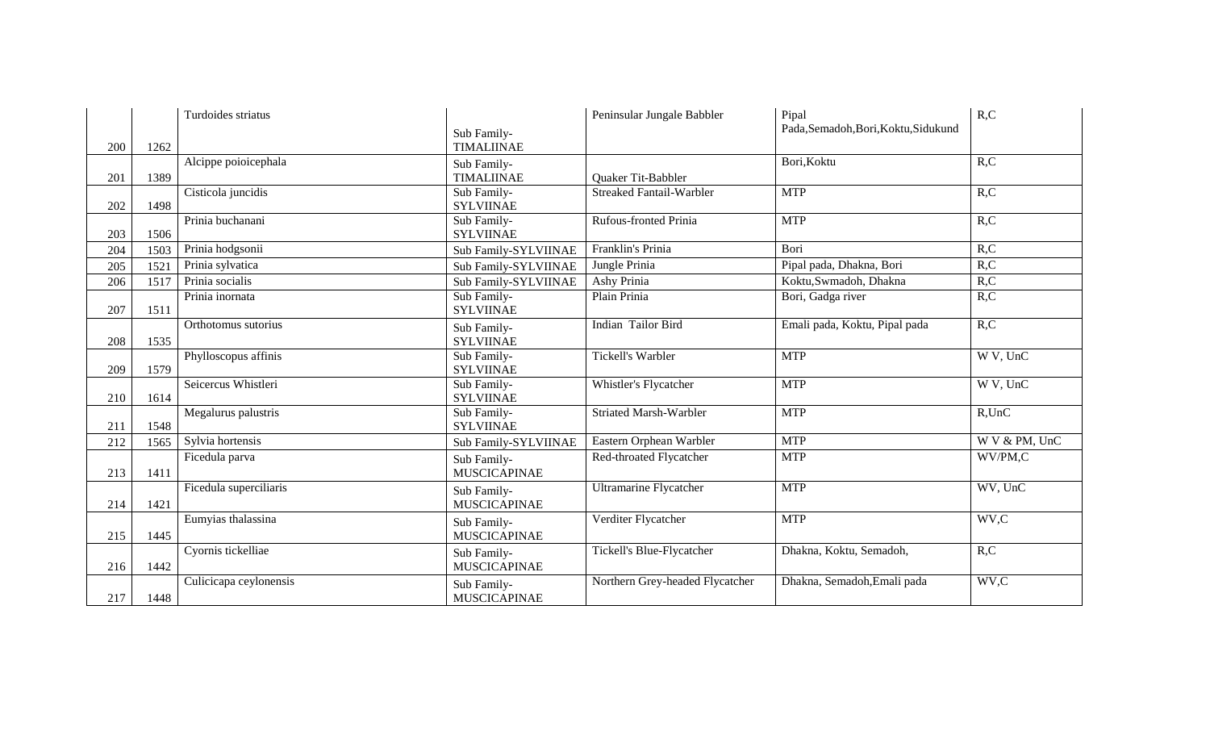|     |      | Turdoides striatus     |                                    | Peninsular Jungale Babbler      | Pipal                                | R, C          |
|-----|------|------------------------|------------------------------------|---------------------------------|--------------------------------------|---------------|
|     |      |                        | Sub Family-                        |                                 | Pada, Semadoh, Bori, Koktu, Sidukund |               |
| 200 | 1262 |                        | <b>TIMALIINAE</b>                  |                                 |                                      |               |
|     |      | Alcippe poioicephala   | Sub Family-                        |                                 | Bori, Koktu                          | R, C          |
| 201 | 1389 |                        | <b>TIMALIINAE</b>                  | <b>Ouaker Tit-Babbler</b>       |                                      |               |
| 202 | 1498 | Cisticola juncidis     | Sub Family-<br><b>SYLVIINAE</b>    | <b>Streaked Fantail-Warbler</b> | <b>MTP</b>                           | R, C          |
|     |      | Prinia buchanani       | Sub Family-                        | <b>Rufous-fronted Prinia</b>    | <b>MTP</b>                           | R, C          |
| 203 | 1506 |                        | <b>SYLVIINAE</b>                   |                                 |                                      |               |
| 204 | 1503 | Prinia hodgsonii       | Sub Family-SYLVIINAE               | Franklin's Prinia               | Bori                                 | R, C          |
| 205 | 1521 | Prinia sylvatica       | Sub Family-SYLVIINAE               | Jungle Prinia                   | Pipal pada, Dhakna, Bori             | R, C          |
| 206 | 1517 | Prinia socialis        | Sub Family-SYLVIINAE               | Ashy Prinia                     | Koktu, Swmadoh, Dhakna               | R, C          |
| 207 | 1511 | Prinia inornata        | Sub Family-<br><b>SYLVIINAE</b>    | Plain Prinia                    | Bori, Gadga river                    | R, C          |
| 208 | 1535 | Orthotomus sutorius    | Sub Family-<br><b>SYLVIINAE</b>    | Indian Tailor Bird              | Emali pada, Koktu, Pipal pada        | R, C          |
| 209 | 1579 | Phylloscopus affinis   | Sub Family-<br><b>SYLVIINAE</b>    | <b>Tickell's Warbler</b>        | <b>MTP</b>                           | W V, UnC      |
|     |      | Seicercus Whistleri    | Sub Family-                        | Whistler's Flycatcher           | <b>MTP</b>                           | W V, UnC      |
| 210 | 1614 |                        | <b>SYLVIINAE</b>                   |                                 |                                      |               |
| 211 | 1548 | Megalurus palustris    | Sub Family-<br><b>SYLVIINAE</b>    | <b>Striated Marsh-Warbler</b>   | <b>MTP</b>                           | $R$ , UnC     |
| 212 | 1565 | Sylvia hortensis       | Sub Family-SYLVIINAE               | Eastern Orphean Warbler         | <b>MTP</b>                           | W V & PM, UnC |
| 213 | 1411 | Ficedula parva         | Sub Family-<br><b>MUSCICAPINAE</b> | Red-throated Flycatcher         | <b>MTP</b>                           | WV/PM,C       |
|     |      | Ficedula superciliaris | Sub Family-                        | <b>Ultramarine Flycatcher</b>   | <b>MTP</b>                           | WV, UnC       |
| 214 | 1421 |                        | <b>MUSCICAPINAE</b>                |                                 |                                      |               |
| 215 | 1445 | Eumyias thalassina     | Sub Family-<br><b>MUSCICAPINAE</b> | Verditer Flycatcher             | <b>MTP</b>                           | WV,C          |
| 216 | 1442 | Cyornis tickelliae     | Sub Family-<br><b>MUSCICAPINAE</b> | Tickell's Blue-Flycatcher       | Dhakna, Koktu, Semadoh,              | R, C          |
| 217 | 1448 | Culicicapa ceylonensis | Sub Family-<br><b>MUSCICAPINAE</b> | Northern Grey-headed Flycatcher | Dhakna, Semadoh, Emali pada          | WV,C          |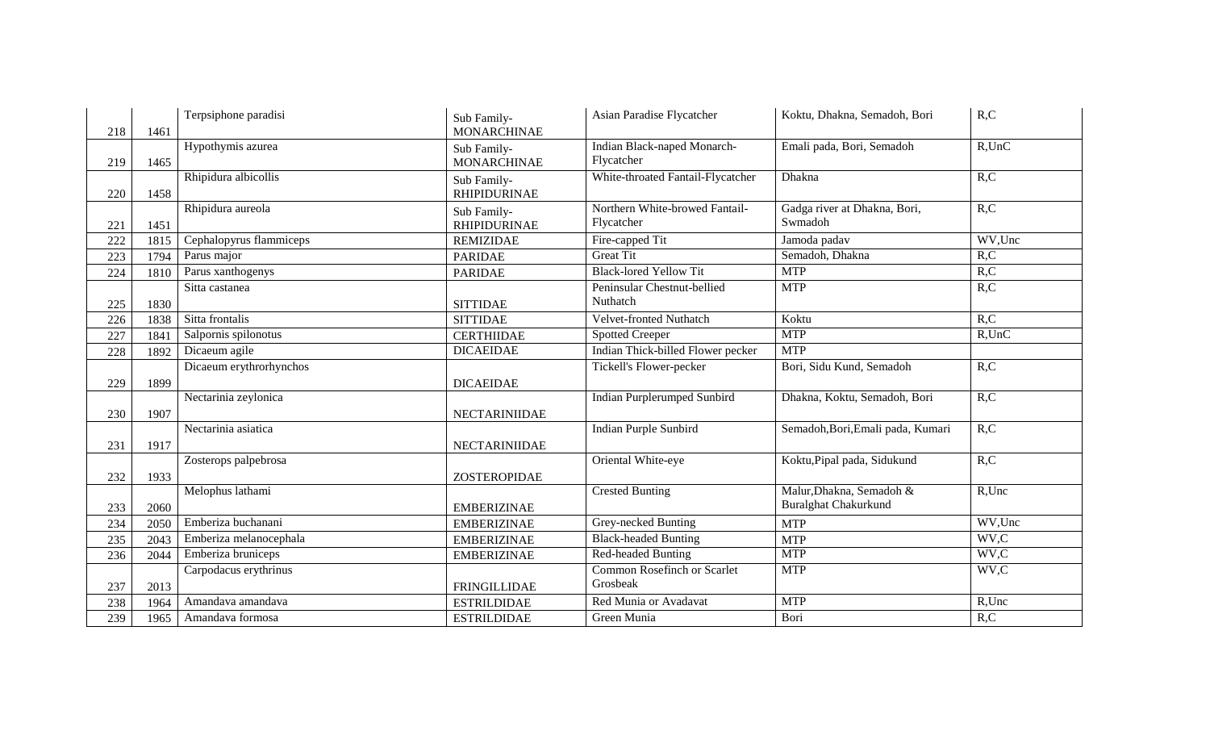| 218 | 1461 | Terpsiphone paradisi    | Sub Family-<br><b>MONARCHINAE</b>  | Asian Paradise Flycatcher                    | Koktu, Dhakna, Semadoh, Bori            | R, C      |
|-----|------|-------------------------|------------------------------------|----------------------------------------------|-----------------------------------------|-----------|
| 219 | 1465 | Hypothymis azurea       | Sub Family-<br><b>MONARCHINAE</b>  | Indian Black-naped Monarch-<br>Flycatcher    | Emali pada, Bori, Semadoh               | $R$ ,UnC  |
| 220 | 1458 | Rhipidura albicollis    | Sub Family-<br><b>RHIPIDURINAE</b> | White-throated Fantail-Flycatcher            | Dhakna                                  | R, C      |
| 221 | 1451 | Rhipidura aureola       | Sub Family-<br><b>RHIPIDURINAE</b> | Northern White-browed Fantail-<br>Flycatcher | Gadga river at Dhakna, Bori,<br>Swmadoh | R, C      |
| 222 | 1815 | Cephalopyrus flammiceps | <b>REMIZIDAE</b>                   | Fire-capped Tit                              | Jamoda padav                            | WV,Unc    |
| 223 | 1794 | Parus major             | <b>PARIDAE</b>                     | <b>Great Tit</b>                             | Semadoh, Dhakna                         | R, C      |
| 224 | 1810 | Parus xanthogenys       | <b>PARIDAE</b>                     | <b>Black-lored Yellow Tit</b>                | <b>MTP</b>                              | R, C      |
| 225 | 1830 | Sitta castanea          | <b>SITTIDAE</b>                    | Peninsular Chestnut-bellied<br>Nuthatch      | <b>MTP</b>                              | R, C      |
| 226 | 1838 | Sitta frontalis         | <b>SITTIDAE</b>                    | Velvet-fronted Nuthatch                      | Koktu                                   | R, C      |
| 227 | 1841 | Salpornis spilonotus    | <b>CERTHIIDAE</b>                  | <b>Spotted Creeper</b>                       | <b>MTP</b>                              | $R$ , UnC |
| 228 | 1892 | Dicaeum agile           | <b>DICAEIDAE</b>                   | Indian Thick-billed Flower pecker            | <b>MTP</b>                              |           |
|     |      | Dicaeum erythrorhynchos |                                    | Tickell's Flower-pecker                      | Bori, Sidu Kund, Semadoh                | R, C      |
| 229 | 1899 |                         | <b>DICAEIDAE</b>                   |                                              |                                         |           |
|     |      | Nectarinia zeylonica    |                                    | <b>Indian Purplerumped Sunbird</b>           | Dhakna, Koktu, Semadoh, Bori            | R, C      |
| 230 | 1907 |                         | NECTARINIIDAE                      |                                              |                                         |           |
|     |      | Nectarinia asiatica     |                                    | <b>Indian Purple Sunbird</b>                 | Semadoh, Bori, Emali pada, Kumari       | R, C      |
| 231 | 1917 |                         | <b>NECTARINIIDAE</b>               |                                              |                                         |           |
|     |      | Zosterops palpebrosa    |                                    | Oriental White-eye                           | Koktu, Pipal pada, Sidukund             | R, C      |
| 232 | 1933 |                         | ZOSTEROPIDAE                       |                                              |                                         |           |
|     |      | Melophus lathami        |                                    | <b>Crested Bunting</b>                       | Malur, Dhakna, Semadoh &                | R,Unc     |
| 233 | 2060 |                         | <b>EMBERIZINAE</b>                 |                                              | <b>Buralghat Chakurkund</b>             |           |
| 234 | 2050 | Emberiza buchanani      | <b>EMBERIZINAE</b>                 | Grey-necked Bunting                          | <b>MTP</b>                              | WV,Unc    |
| 235 | 2043 | Emberiza melanocephala  | <b>EMBERIZINAE</b>                 | <b>Black-headed Bunting</b>                  | <b>MTP</b>                              | WV,C      |
| 236 | 2044 | Emberiza bruniceps      | <b>EMBERIZINAE</b>                 | Red-headed Bunting                           | <b>MTP</b>                              | WV,C      |
|     |      | Carpodacus erythrinus   |                                    | Common Rosefinch or Scarlet                  | <b>MTP</b>                              | WV,C      |
| 237 | 2013 |                         | <b>FRINGILLIDAE</b>                | Grosbeak                                     |                                         |           |
| 238 | 1964 | Amandava amandava       | <b>ESTRILDIDAE</b>                 | Red Munia or Avadavat                        | <b>MTP</b>                              | R,Unc     |
| 239 | 1965 | Amandava formosa        | <b>ESTRILDIDAE</b>                 | Green Munia                                  | Bori                                    | R, C      |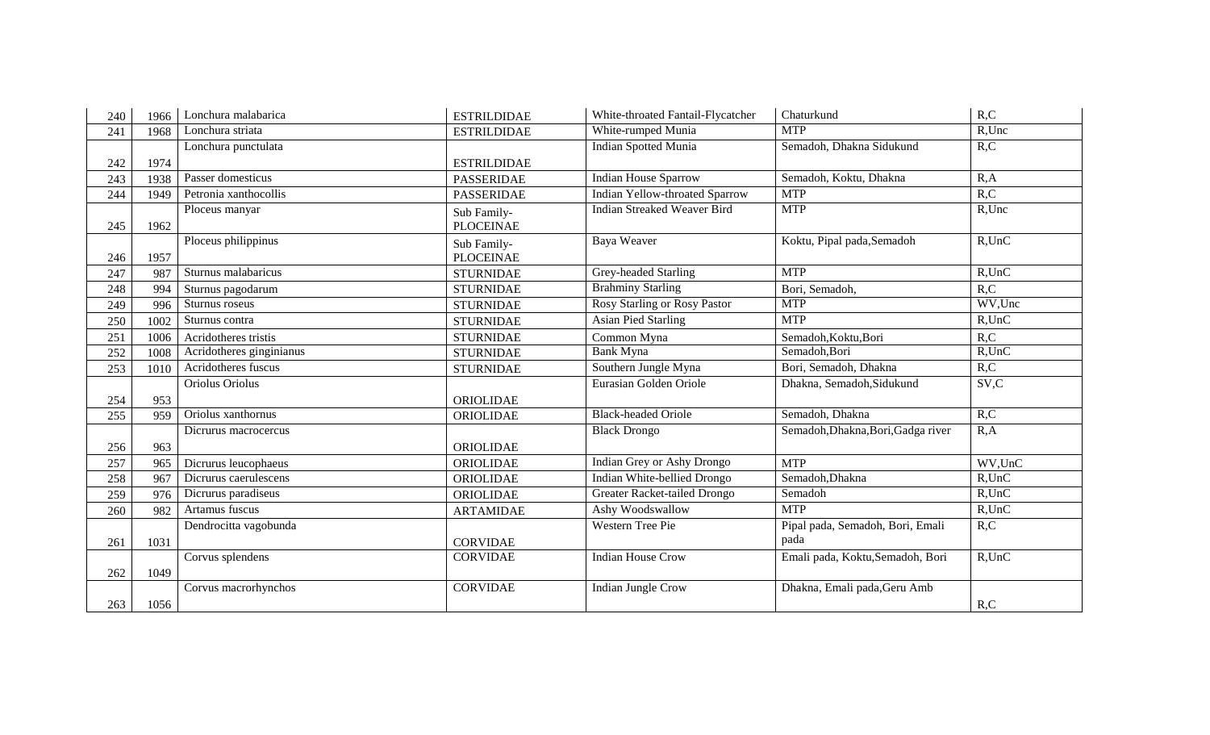| 240 | 1966 | Lonchura malabarica      | <b>ESTRILDIDAE</b>              | White-throated Fantail-Flycatcher     | Chaturkund                         | R, C      |
|-----|------|--------------------------|---------------------------------|---------------------------------------|------------------------------------|-----------|
| 241 | 1968 | Lonchura striata         | <b>ESTRILDIDAE</b>              | White-rumped Munia                    | <b>MTP</b>                         | R,Unc     |
|     |      | Lonchura punctulata      |                                 | <b>Indian Spotted Munia</b>           | Semadoh, Dhakna Sidukund           | R, C      |
| 242 | 1974 |                          | <b>ESTRILDIDAE</b>              |                                       |                                    |           |
| 243 | 1938 | Passer domesticus        | <b>PASSERIDAE</b>               | <b>Indian House Sparrow</b>           | Semadoh, Koktu, Dhakna             | R, A      |
| 244 | 1949 | Petronia xanthocollis    | <b>PASSERIDAE</b>               | <b>Indian Yellow-throated Sparrow</b> | <b>MTP</b>                         | R, C      |
| 245 | 1962 | Ploceus manyar           | Sub Family-<br><b>PLOCEINAE</b> | <b>Indian Streaked Weaver Bird</b>    | <b>MTP</b>                         | R,Unc     |
| 246 | 1957 | Ploceus philippinus      | Sub Family-<br><b>PLOCEINAE</b> | Baya Weaver                           | Koktu, Pipal pada, Semadoh         | $R$ , UnC |
| 247 | 987  | Sturnus malabaricus      | <b>STURNIDAE</b>                | Grey-headed Starling                  | <b>MTP</b>                         | $R$ , UnC |
| 248 | 994  | Sturnus pagodarum        | <b>STURNIDAE</b>                | <b>Brahminy Starling</b>              | Bori, Semadoh,                     | R, C      |
| 249 | 996  | Sturnus roseus           | <b>STURNIDAE</b>                | Rosy Starling or Rosy Pastor          | <b>MTP</b>                         | WV,Unc    |
| 250 | 1002 | Sturnus contra           | <b>STURNIDAE</b>                | <b>Asian Pied Starling</b>            | <b>MTP</b>                         | $R$ , UnC |
| 251 | 1006 | Acridotheres tristis     | <b>STURNIDAE</b>                | Common Myna                           | Semadoh, Koktu, Bori               | R, C      |
| 252 | 1008 | Acridotheres ginginianus | <b>STURNIDAE</b>                | Bank Myna                             | Semadoh, Bori                      | $R$ , UnC |
| 253 | 1010 | Acridotheres fuscus      | <b>STURNIDAE</b>                | Southern Jungle Myna                  | Bori, Semadoh, Dhakna              | R, C      |
|     |      | Oriolus Oriolus          |                                 | Eurasian Golden Oriole                | Dhakna, Semadoh, Sidukund          | SV,C      |
| 254 | 953  |                          | ORIOLIDAE                       |                                       |                                    |           |
| 255 | 959  | Oriolus xanthornus       | ORIOLIDAE                       | <b>Black-headed Oriole</b>            | Semadoh, Dhakna                    | R, C      |
|     |      | Dicrurus macrocercus     |                                 | <b>Black Drongo</b>                   | Semadoh, Dhakna, Bori, Gadga river | R, A      |
| 256 | 963  |                          | ORIOLIDAE                       |                                       |                                    |           |
| 257 | 965  | Dicrurus leucophaeus     | ORIOLIDAE                       | Indian Grey or Ashy Drongo            | <b>MTP</b>                         | WV,UnC    |
| 258 | 967  | Dicrurus caerulescens    | ORIOLIDAE                       | Indian White-bellied Drongo           | Semadoh, Dhakna                    | $R$ , UnC |
| 259 | 976  | Dicrurus paradiseus      | ORIOLIDAE                       | Greater Racket-tailed Drongo          | Semadoh                            | $R$ , UnC |
| 260 | 982  | Artamus fuscus           | <b>ARTAMIDAE</b>                | Ashy Woodswallow                      | <b>MTP</b>                         | $R$ , UnC |
|     |      | Dendrocitta vagobunda    |                                 | Western Tree Pie                      | Pipal pada, Semadoh, Bori, Emali   | R, C      |
| 261 | 1031 |                          | <b>CORVIDAE</b>                 |                                       | pada                               |           |
|     |      | Corvus splendens         | <b>CORVIDAE</b>                 | <b>Indian House Crow</b>              | Emali pada, Koktu, Semadoh, Bori   | $R$ , UnC |
| 262 | 1049 |                          |                                 |                                       |                                    |           |
|     |      | Corvus macrorhynchos     | <b>CORVIDAE</b>                 | <b>Indian Jungle Crow</b>             | Dhakna, Emali pada, Geru Amb       |           |
| 263 | 1056 |                          |                                 |                                       |                                    | R, C      |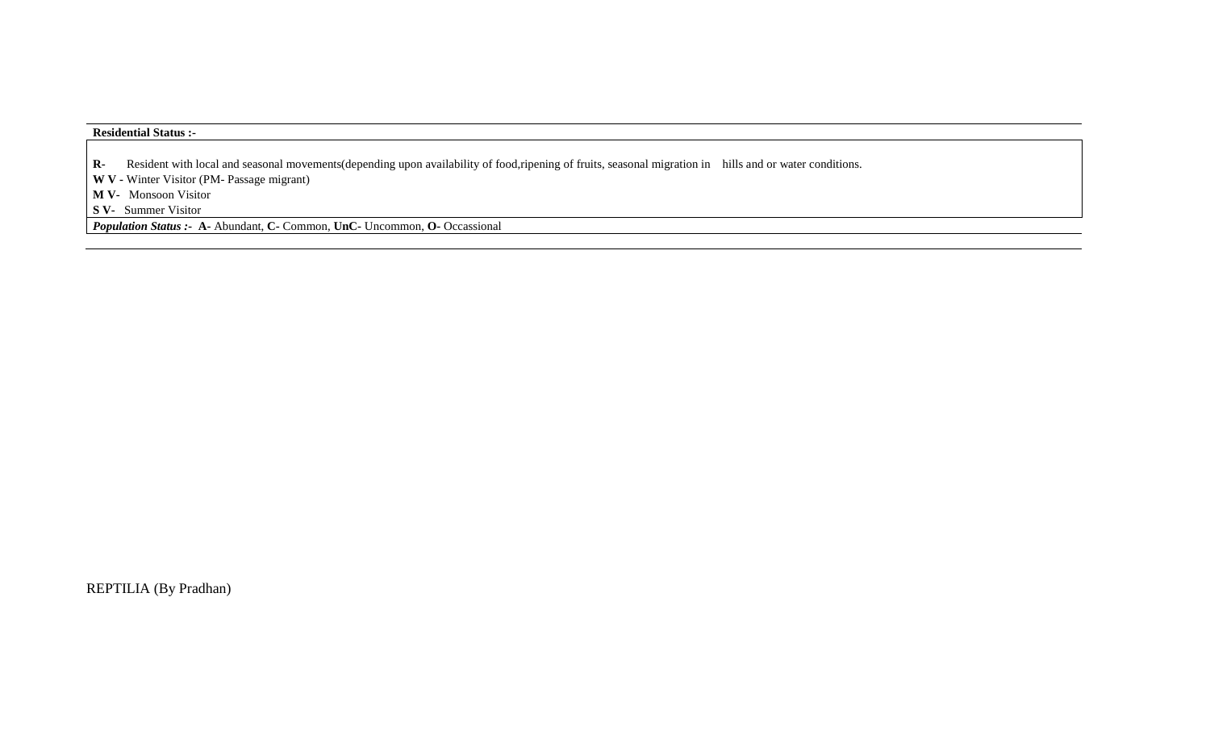### **Residential Status :-**

**R-** Resident with local and seasonal movements(depending upon availability of food,ripening of fruits, seasonal migration in hills and or water conditions.

**W V -** Winter Visitor (PM- Passage migrant)

**M V-** Monsoon Visitor

**S V-** Summer Visitor

*Population Status :-* **A-** Abundant, **C-** Common, **UnC-** Uncommon, **O-** Occassional

REPTILIA (By Pradhan)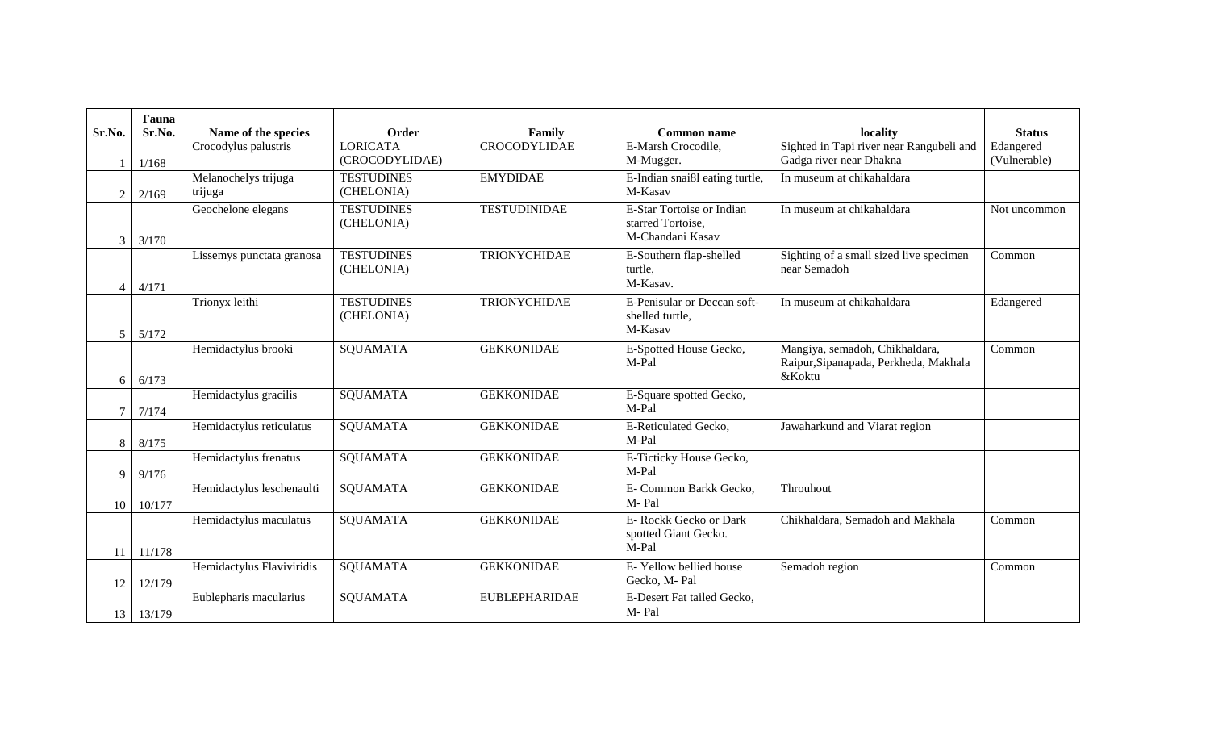| Sr.No.         | Fauna<br>Sr.No.  | Name of the species       | Order             | Family               | <b>Common name</b>               | locality                                 | <b>Status</b> |
|----------------|------------------|---------------------------|-------------------|----------------------|----------------------------------|------------------------------------------|---------------|
|                |                  | Crocodylus palustris      | <b>LORICATA</b>   | <b>CROCODYLIDAE</b>  | E-Marsh Crocodile,               | Sighted in Tapi river near Rangubeli and | Edangered     |
|                | 1/168            |                           | (CROCODYLIDAE)    |                      | M-Mugger.                        | Gadga river near Dhakna                  | (Vulnerable)  |
|                |                  | Melanochelys trijuga      | <b>TESTUDINES</b> | <b>EMYDIDAE</b>      | E-Indian snai8l eating turtle,   | In museum at chikahaldara                |               |
| $\overline{2}$ | 2/169            | trijuga                   | (CHELONIA)        |                      | M-Kasav                          |                                          |               |
|                |                  | Geochelone elegans        | <b>TESTUDINES</b> | <b>TESTUDINIDAE</b>  | E-Star Tortoise or Indian        | In museum at chikahaldara                | Not uncommon  |
|                |                  |                           | (CHELONIA)        |                      | starred Tortoise.                |                                          |               |
| 3              | 3/170            |                           |                   |                      | M-Chandani Kasav                 |                                          |               |
|                |                  | Lissemys punctata granosa | <b>TESTUDINES</b> | <b>TRIONYCHIDAE</b>  | E-Southern flap-shelled          | Sighting of a small sized live specimen  | Common        |
|                |                  |                           | (CHELONIA)        |                      | turtle,                          | near Semadoh                             |               |
| 4              | 4/171            |                           |                   |                      | M-Kasav.                         |                                          |               |
|                |                  | Trionyx leithi            | <b>TESTUDINES</b> | <b>TRIONYCHIDAE</b>  | E-Penisular or Deccan soft-      | In museum at chikahaldara                | Edangered     |
|                |                  |                           | (CHELONIA)        |                      | shelled turtle,                  |                                          |               |
| 5              | 5/172            |                           |                   |                      | M-Kasav                          |                                          |               |
|                |                  | Hemidactylus brooki       | <b>SQUAMATA</b>   | <b>GEKKONIDAE</b>    | E-Spotted House Gecko,           | Mangiya, semadoh, Chikhaldara,           | Common        |
|                |                  |                           |                   |                      | M-Pal                            | Raipur, Sipanapada, Perkheda, Makhala    |               |
| 6              | 6/173            |                           |                   |                      |                                  | &Koktu                                   |               |
|                |                  | Hemidactylus gracilis     | <b>SQUAMATA</b>   | <b>GEKKONIDAE</b>    | E-Square spotted Gecko,          |                                          |               |
| 7              | 7/174            |                           |                   |                      | M-Pal                            |                                          |               |
|                |                  | Hemidactylus reticulatus  | <b>SQUAMATA</b>   | <b>GEKKONIDAE</b>    | E-Reticulated Gecko,             | Jawaharkund and Viarat region            |               |
| 8              | 8/175            |                           |                   |                      | M-Pal                            |                                          |               |
|                |                  | Hemidactylus frenatus     | <b>SQUAMATA</b>   | <b>GEKKONIDAE</b>    | E-Ticticky House Gecko,<br>M-Pal |                                          |               |
| 9              | 9/176            |                           |                   | <b>GEKKONIDAE</b>    | E- Common Barkk Gecko,           | Throuhout                                |               |
|                | $10 \mid 10/177$ | Hemidactylus leschenaulti | <b>SQUAMATA</b>   |                      | M-Pal                            |                                          |               |
|                |                  | Hemidactylus maculatus    | <b>SQUAMATA</b>   | <b>GEKKONIDAE</b>    | E- Rockk Gecko or Dark           | Chikhaldara, Semadoh and Makhala         | Common        |
|                |                  |                           |                   |                      | spotted Giant Gecko.             |                                          |               |
| 11             | 11/178           |                           |                   |                      | M-Pal                            |                                          |               |
|                |                  | Hemidactylus Flaviviridis | <b>SQUAMATA</b>   | <b>GEKKONIDAE</b>    | E-Yellow bellied house           | Semadoh region                           | Common        |
| 12             | 12/179           |                           |                   |                      | Gecko, M-Pal                     |                                          |               |
|                |                  | Eublepharis macularius    | <b>SQUAMATA</b>   | <b>EUBLEPHARIDAE</b> | E-Desert Fat tailed Gecko,       |                                          |               |
| 13             | 13/179           |                           |                   |                      | M-Pal                            |                                          |               |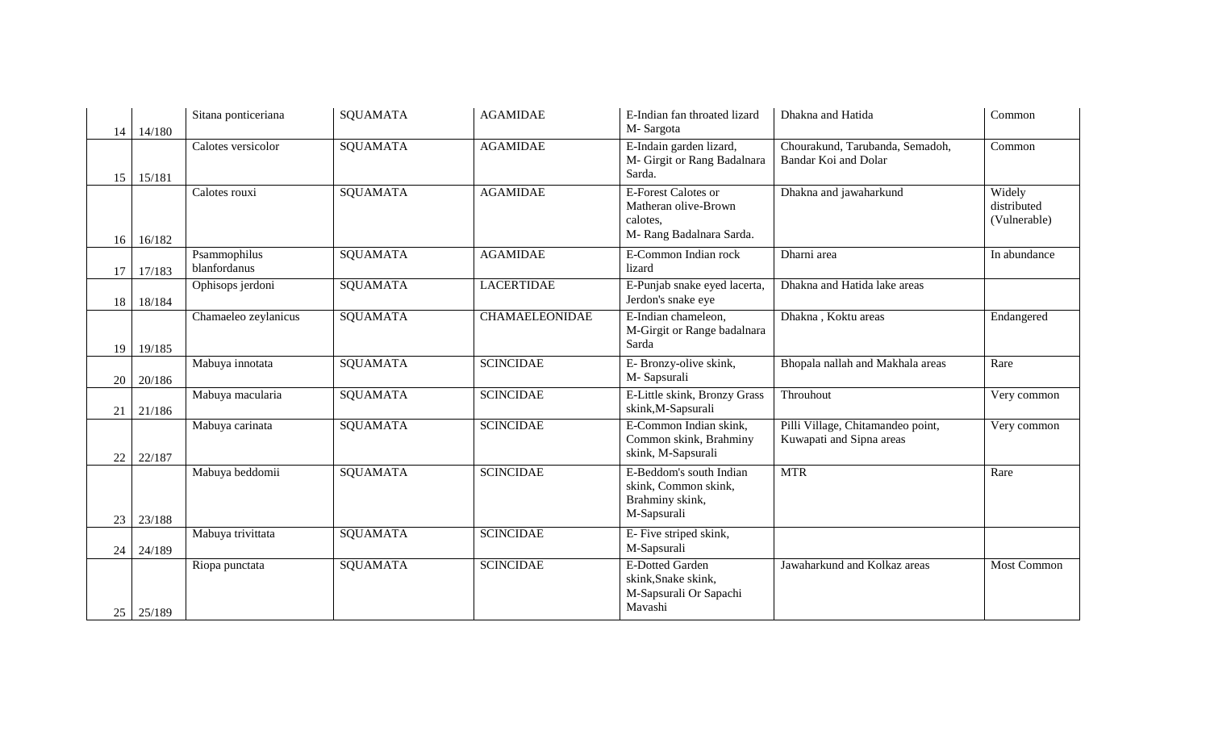| 14       | 14/180           | Sitana ponticeriana          | <b>SQUAMATA</b> | <b>AGAMIDAE</b>       | E-Indian fan throated lizard<br>M-Sargota                                                         | Dhakna and Hatida                                             | Common                                |
|----------|------------------|------------------------------|-----------------|-----------------------|---------------------------------------------------------------------------------------------------|---------------------------------------------------------------|---------------------------------------|
| 15       | 15/181           | Calotes versicolor           | <b>SQUAMATA</b> | <b>AGAMIDAE</b>       | E-Indain garden lizard,<br>M- Girgit or Rang Badalnara<br>Sarda.                                  | Chourakund, Tarubanda, Semadoh,<br>Bandar Koi and Dolar       | Common                                |
| 16       | 16/182           | Calotes rouxi                | SQUAMATA        | <b>AGAMIDAE</b>       | <b>E-Forest Calotes or</b><br>Matheran olive-Brown<br>calotes,<br>M-Rang Badalnara Sarda.         | Dhakna and jawaharkund                                        | Widely<br>distributed<br>(Vulnerable) |
| 17       | 17/183           | Psammophilus<br>blanfordanus | SQUAMATA        | <b>AGAMIDAE</b>       | E-Common Indian rock<br>lizard                                                                    | Dharni area                                                   | In abundance                          |
| 18       | 18/184           | Ophisops jerdoni             | <b>SQUAMATA</b> | <b>LACERTIDAE</b>     | E-Punjab snake eyed lacerta,<br>Jerdon's snake eye                                                | Dhakna and Hatida lake areas                                  |                                       |
| 19       | 19/185           | Chamaeleo zeylanicus         | <b>SQUAMATA</b> | <b>CHAMAELEONIDAE</b> | E-Indian chameleon,<br>M-Girgit or Range badalnara<br>Sarda                                       | Dhakna, Koktu areas                                           | Endangered                            |
| 20       | 20/186           | Mabuya innotata              | <b>SQUAMATA</b> | <b>SCINCIDAE</b>      | E- Bronzy-olive skink,<br>M-Sapsurali                                                             | Bhopala nallah and Makhala areas                              | Rare                                  |
| 21       | 21/186           | Mabuya macularia             | <b>SQUAMATA</b> | <b>SCINCIDAE</b>      | E-Little skink, Bronzy Grass<br>skink, M-Sapsurali                                                | Throuhout                                                     | Very common                           |
| 22       | 22/187           | Mabuya carinata              | <b>SQUAMATA</b> | <b>SCINCIDAE</b>      | E-Common Indian skink,<br>Common skink, Brahminy<br>skink, M-Sapsurali                            | Pilli Village, Chitamandeo point,<br>Kuwapati and Sipna areas | Very common                           |
| 23       | 23/188           | Mabuya beddomii              | <b>SQUAMATA</b> | <b>SCINCIDAE</b>      | E-Beddom's south Indian<br>skink, Common skink,<br>Brahminy skink,<br>M-Sapsurali                 | <b>MTR</b>                                                    | Rare                                  |
|          |                  | Mabuya trivittata            | SQUAMATA        | <b>SCINCIDAE</b>      | E- Five striped skink,                                                                            |                                                               |                                       |
| 24<br>25 | 24/189<br>25/189 | Riopa punctata               | SQUAMATA        | <b>SCINCIDAE</b>      | M-Sapsurali<br><b>E-Dotted Garden</b><br>skink, Snake skink,<br>M-Sapsurali Or Sapachi<br>Mavashi | Jawaharkund and Kolkaz areas                                  | Most Common                           |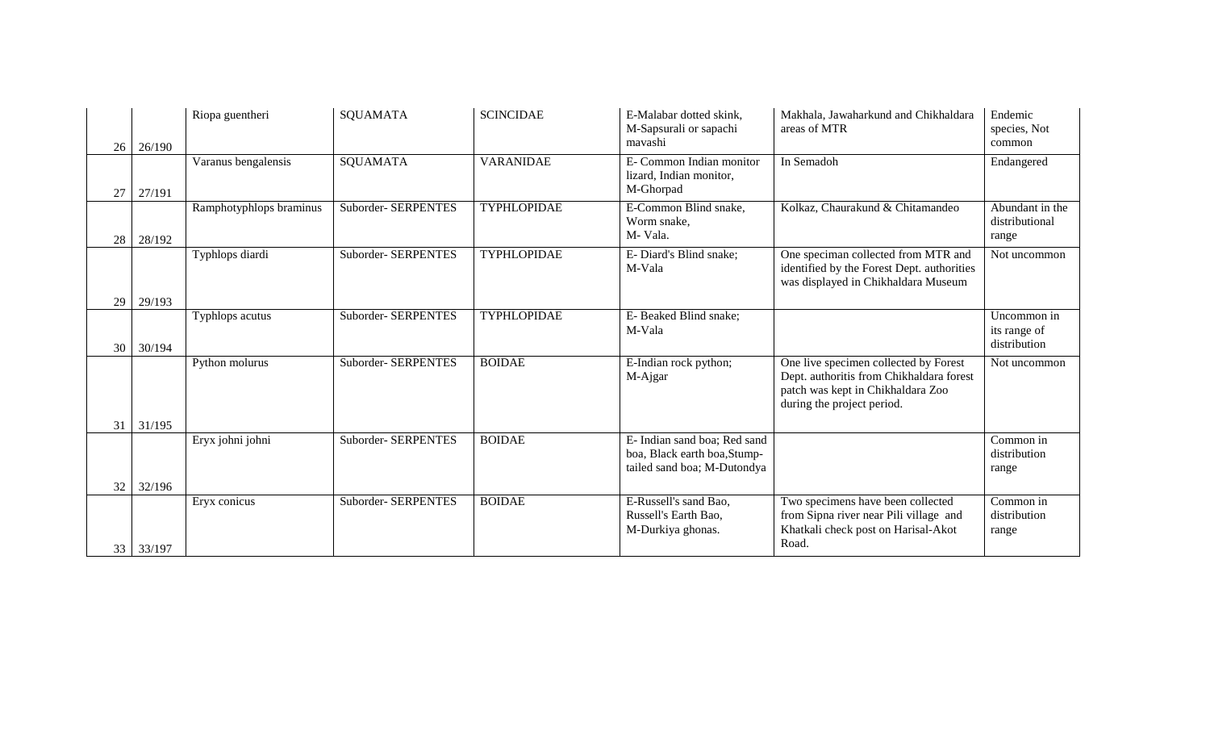| 26 <sup>1</sup> | 26/190           | Riopa guentheri         | <b>SQUAMATA</b>     | <b>SCINCIDAE</b>   | E-Malabar dotted skink,<br>M-Sapsurali or sapachi<br>mavashi                                | Makhala, Jawaharkund and Chikhaldara<br>areas of MTR                                                                                                 | Endemic<br>species, Not<br>common           |
|-----------------|------------------|-------------------------|---------------------|--------------------|---------------------------------------------------------------------------------------------|------------------------------------------------------------------------------------------------------------------------------------------------------|---------------------------------------------|
| 27              | 27/191           | Varanus bengalensis     | <b>SQUAMATA</b>     | <b>VARANIDAE</b>   | E- Common Indian monitor<br>lizard, Indian monitor,<br>M-Ghorpad                            | In Semadoh                                                                                                                                           | Endangered                                  |
| 28              | 28/192           | Ramphotyphlops braminus | Suborder- SERPENTES | <b>TYPHLOPIDAE</b> | E-Common Blind snake,<br>Worm snake,<br>M-Vala.                                             | Kolkaz, Chaurakund & Chitamandeo                                                                                                                     | Abundant in the<br>distributional<br>range  |
| 29              | 29/193           | Typhlops diardi         | Suborder- SERPENTES | <b>TYPHLOPIDAE</b> | E-Diard's Blind snake;<br>M-Vala                                                            | One speciman collected from MTR and<br>identified by the Forest Dept. authorities<br>was displayed in Chikhaldara Museum                             | Not uncommon                                |
| 30              | 30/194           | Typhlops acutus         | Suborder- SERPENTES | TYPHLOPIDAE        | E-Beaked Blind snake;<br>M-Vala                                                             |                                                                                                                                                      | Uncommon in<br>its range of<br>distribution |
|                 |                  | Python molurus          | Suborder- SERPENTES | <b>BOIDAE</b>      | E-Indian rock python;<br>M-Ajgar                                                            | One live specimen collected by Forest<br>Dept. authoritis from Chikhaldara forest<br>patch was kept in Chikhaldara Zoo<br>during the project period. | Not uncommon                                |
| 31<br>32        | 31/195<br>32/196 | Eryx johni johni        | Suborder- SERPENTES | <b>BOIDAE</b>      | E- Indian sand boa; Red sand<br>boa, Black earth boa, Stump-<br>tailed sand boa; M-Dutondya |                                                                                                                                                      | Common in<br>distribution<br>range          |
| 33              | 33/197           | Eryx conicus            | Suborder- SERPENTES | <b>BOIDAE</b>      | E-Russell's sand Bao,<br>Russell's Earth Bao,<br>M-Durkiya ghonas.                          | Two specimens have been collected<br>from Sipna river near Pili village and<br>Khatkali check post on Harisal-Akot<br>Road.                          | Common in<br>distribution<br>range          |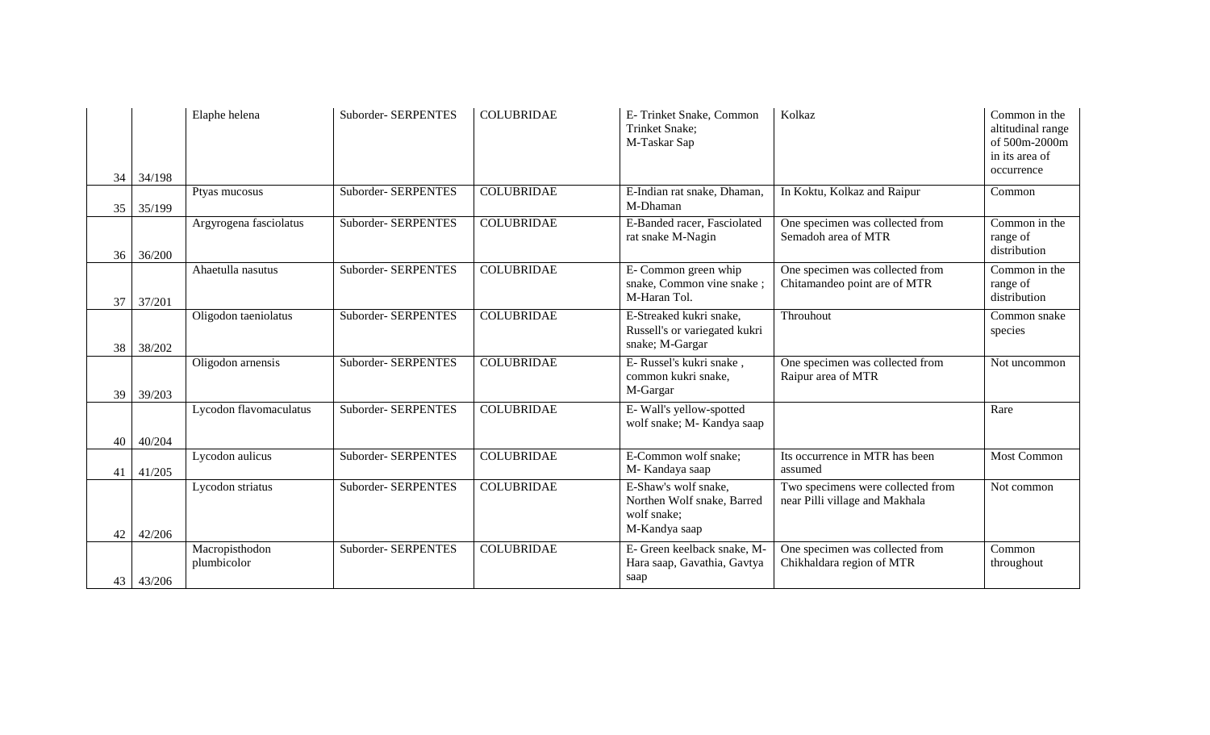| 34 | 34/198 | Elaphe helena                 | Suborder- SERPENTES | <b>COLUBRIDAE</b> | E-Trinket Snake, Common<br>Trinket Snake:<br>M-Taskar Sap                          | Kolkaz                                                              | Common in the<br>altitudinal range<br>of 500m-2000m<br>in its area of<br>occurrence |
|----|--------|-------------------------------|---------------------|-------------------|------------------------------------------------------------------------------------|---------------------------------------------------------------------|-------------------------------------------------------------------------------------|
| 35 | 35/199 | Ptyas mucosus                 | Suborder- SERPENTES | <b>COLUBRIDAE</b> | E-Indian rat snake, Dhaman,<br>M-Dhaman                                            | In Koktu, Kolkaz and Raipur                                         | Common                                                                              |
| 36 | 36/200 | Argyrogena fasciolatus        | Suborder- SERPENTES | <b>COLUBRIDAE</b> | E-Banded racer, Fasciolated<br>rat snake M-Nagin                                   | One specimen was collected from<br>Semadoh area of MTR              | Common in the<br>range of<br>distribution                                           |
| 37 | 37/201 | Ahaetulla nasutus             | Suborder- SERPENTES | <b>COLUBRIDAE</b> | E- Common green whip<br>snake, Common vine snake;<br>M-Haran Tol.                  | One specimen was collected from<br>Chitamandeo point are of MTR     | Common in the<br>range of<br>distribution                                           |
| 38 | 38/202 | Oligodon taeniolatus          | Suborder- SERPENTES | <b>COLUBRIDAE</b> | E-Streaked kukri snake,<br>Russell's or variegated kukri<br>snake; M-Gargar        | Throuhout                                                           | Common snake<br>species                                                             |
| 39 | 39/203 | Oligodon arnensis             | Suborder- SERPENTES | <b>COLUBRIDAE</b> | E- Russel's kukri snake,<br>common kukri snake,<br>M-Gargar                        | One specimen was collected from<br>Raipur area of MTR               | Not uncommon                                                                        |
| 40 | 40/204 | Lycodon flavomaculatus        | Suborder- SERPENTES | <b>COLUBRIDAE</b> | E-Wall's yellow-spotted<br>wolf snake; M- Kandya saap                              |                                                                     | Rare                                                                                |
| 41 | 41/205 | Lycodon aulicus               | Suborder- SERPENTES | <b>COLUBRIDAE</b> | E-Common wolf snake;<br>M-Kandaya saap                                             | Its occurrence in MTR has been<br>assumed                           | Most Common                                                                         |
| 42 | 42/206 | Lycodon striatus              | Suborder- SERPENTES | <b>COLUBRIDAE</b> | E-Shaw's wolf snake,<br>Northen Wolf snake, Barred<br>wolf snake;<br>M-Kandya saap | Two specimens were collected from<br>near Pilli village and Makhala | Not common                                                                          |
| 43 | 43/206 | Macropisthodon<br>plumbicolor | Suborder- SERPENTES | <b>COLUBRIDAE</b> | E- Green keelback snake, M-<br>Hara saap, Gavathia, Gavtya<br>saap                 | One specimen was collected from<br>Chikhaldara region of MTR        | Common<br>throughout                                                                |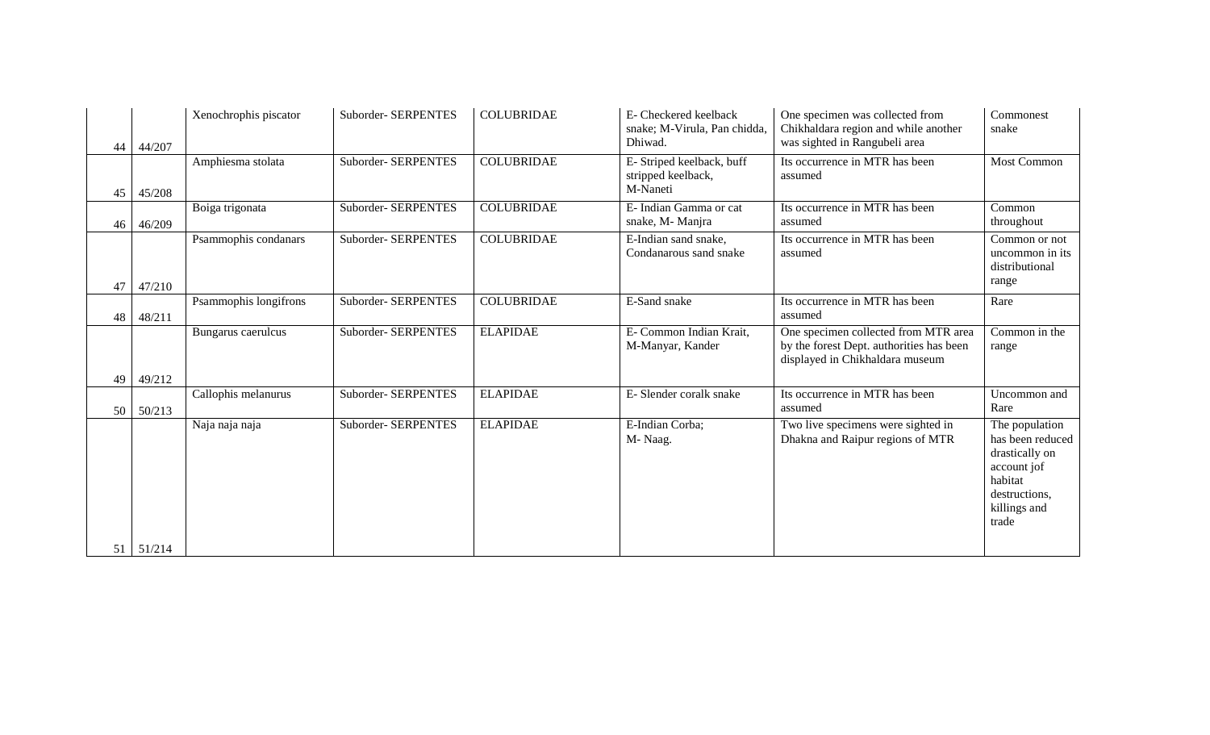| 44 | 44/207           | Xenochrophis piscator | Suborder- SERPENTES | <b>COLUBRIDAE</b> | E- Checkered keelback<br>snake; M-Virula, Pan chidda,<br>Dhiwad. | One specimen was collected from<br>Chikhaldara region and while another<br>was sighted in Rangubeli area            | Commonest<br>snake                                                                                                       |
|----|------------------|-----------------------|---------------------|-------------------|------------------------------------------------------------------|---------------------------------------------------------------------------------------------------------------------|--------------------------------------------------------------------------------------------------------------------------|
| 45 | 45/208           | Amphiesma stolata     | Suborder- SERPENTES | <b>COLUBRIDAE</b> | E- Striped keelback, buff<br>stripped keelback,<br>M-Naneti      | Its occurrence in MTR has been<br>assumed                                                                           | <b>Most Common</b>                                                                                                       |
| 46 | 46/209           | Boiga trigonata       | Suborder- SERPENTES | <b>COLUBRIDAE</b> | E- Indian Gamma or cat<br>snake, M- Manjra                       | Its occurrence in MTR has been<br>assumed                                                                           | Common<br>throughout                                                                                                     |
| 47 | 47/210           | Psammophis condanars  | Suborder- SERPENTES | <b>COLUBRIDAE</b> | E-Indian sand snake,<br>Condanarous sand snake                   | Its occurrence in MTR has been<br>assumed                                                                           | Common or not<br>uncommon in its<br>distributional<br>range                                                              |
| 48 | 48/211           | Psammophis longifrons | Suborder- SERPENTES | <b>COLUBRIDAE</b> | E-Sand snake                                                     | Its occurrence in MTR has been<br>assumed                                                                           | Rare                                                                                                                     |
|    |                  | Bungarus caerulcus    | Suborder- SERPENTES | <b>ELAPIDAE</b>   | E- Common Indian Krait,<br>M-Manyar, Kander                      | One specimen collected from MTR area<br>by the forest Dept. authorities has been<br>displayed in Chikhaldara museum | Common in the<br>range                                                                                                   |
| 49 | 49/212           |                       |                     |                   |                                                                  |                                                                                                                     |                                                                                                                          |
| 50 | 50/213           | Callophis melanurus   | Suborder- SERPENTES | <b>ELAPIDAE</b>   | E-Slender coralk snake                                           | Its occurrence in MTR has been<br>assumed                                                                           | Uncommon and<br>Rare                                                                                                     |
|    | $51 \mid 51/214$ | Naja naja naja        | Suborder- SERPENTES | <b>ELAPIDAE</b>   | E-Indian Corba;<br>M-Naag.                                       | Two live specimens were sighted in<br>Dhakna and Raipur regions of MTR                                              | The population<br>has been reduced<br>drastically on<br>account jof<br>habitat<br>destructions,<br>killings and<br>trade |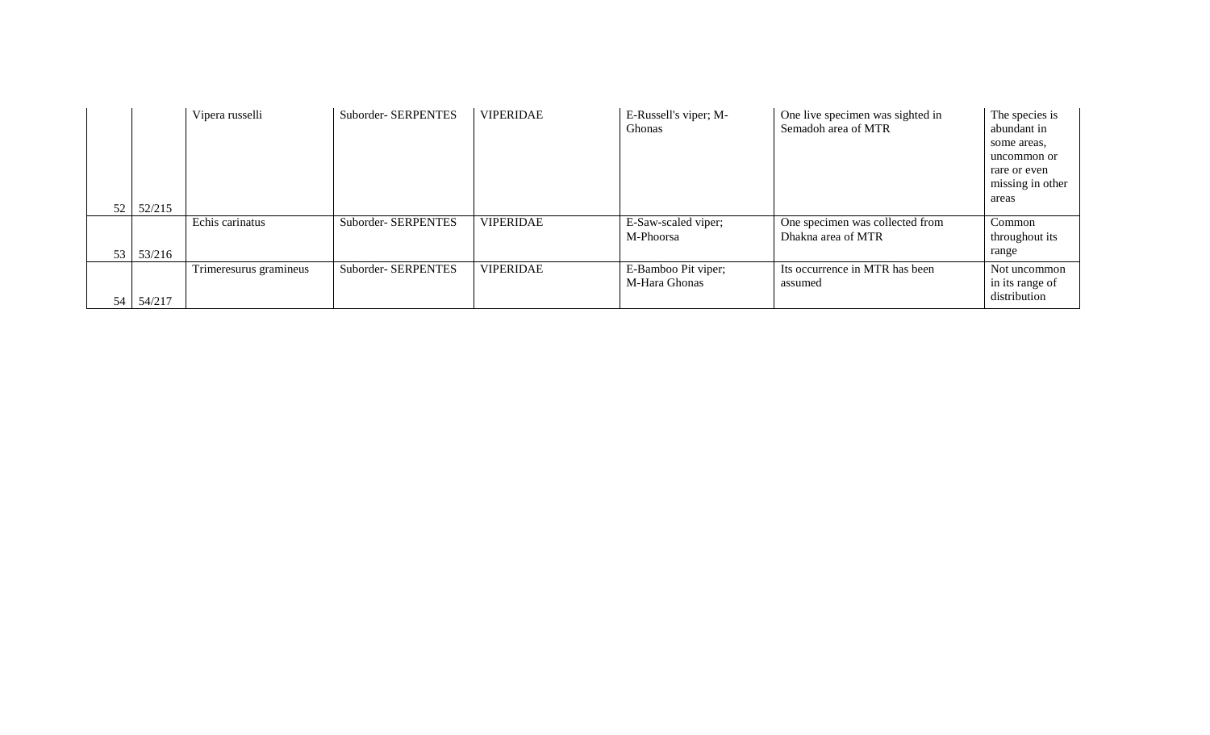|    |        | Vipera russelli        | Suborder-SERPENTES  | <b>VIPERIDAE</b> | E-Russell's viper; M-<br>Ghonas | One live specimen was sighted in<br>Semadoh area of MTR | The species is<br>abundant in |
|----|--------|------------------------|---------------------|------------------|---------------------------------|---------------------------------------------------------|-------------------------------|
|    |        |                        |                     |                  |                                 |                                                         | some areas,                   |
|    |        |                        |                     |                  |                                 |                                                         | uncommon or                   |
|    |        |                        |                     |                  |                                 |                                                         | rare or even                  |
|    |        |                        |                     |                  |                                 |                                                         | missing in other              |
| 52 | 52/215 |                        |                     |                  |                                 |                                                         | areas                         |
|    |        |                        |                     |                  |                                 |                                                         |                               |
|    |        | Echis carinatus        | Suborder- SERPENTES | <b>VIPERIDAE</b> | E-Saw-scaled viper;             | One specimen was collected from                         | Common                        |
|    |        |                        |                     |                  | M-Phoorsa                       | Dhakna area of MTR                                      | throughout its                |
| 53 | 53/216 |                        |                     |                  |                                 |                                                         | range                         |
|    |        | Trimeresurus gramineus | Suborder-SERPENTES  | <b>VIPERIDAE</b> | E-Bamboo Pit viper;             | Its occurrence in MTR has been                          | Not uncommon                  |
|    |        |                        |                     |                  | M-Hara Ghonas                   | assumed                                                 | in its range of               |
| 54 | 54/217 |                        |                     |                  |                                 |                                                         | distribution                  |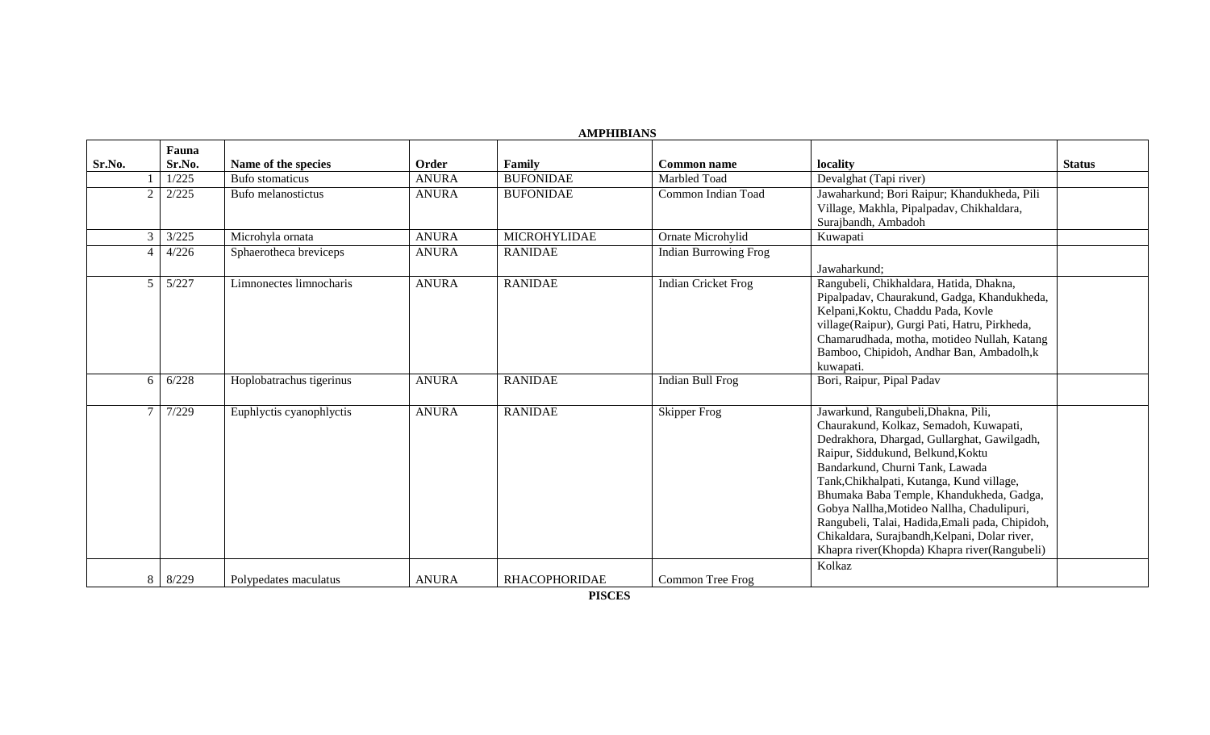|                | <b>AMPHIBIANS</b> |                          |              |                      |                              |                                                                                                                                                                                                                                                                                                                                                                                                                                                                                                           |               |  |  |  |  |
|----------------|-------------------|--------------------------|--------------|----------------------|------------------------------|-----------------------------------------------------------------------------------------------------------------------------------------------------------------------------------------------------------------------------------------------------------------------------------------------------------------------------------------------------------------------------------------------------------------------------------------------------------------------------------------------------------|---------------|--|--|--|--|
| Sr.No.         | Fauna<br>Sr.No.   | Name of the species      | Order        | Family               | <b>Common name</b>           | locality                                                                                                                                                                                                                                                                                                                                                                                                                                                                                                  | <b>Status</b> |  |  |  |  |
|                | 1/225             | Bufo stomaticus          | <b>ANURA</b> | <b>BUFONIDAE</b>     | Marbled Toad                 | Devalghat (Tapi river)                                                                                                                                                                                                                                                                                                                                                                                                                                                                                    |               |  |  |  |  |
| $\mathcal{D}$  | 2/225             | Bufo melanostictus       | <b>ANURA</b> | <b>BUFONIDAE</b>     | Common Indian Toad           | Jawaharkund; Bori Raipur; Khandukheda, Pili<br>Village, Makhla, Pipalpadav, Chikhaldara,<br>Surajbandh, Ambadoh                                                                                                                                                                                                                                                                                                                                                                                           |               |  |  |  |  |
| $\mathfrak{Z}$ | 3/225             | Microhyla ornata         | <b>ANURA</b> | <b>MICROHYLIDAE</b>  | Ornate Microhylid            | Kuwapati                                                                                                                                                                                                                                                                                                                                                                                                                                                                                                  |               |  |  |  |  |
| $\overline{4}$ | 4/226             | Sphaerotheca breviceps   | <b>ANURA</b> | <b>RANIDAE</b>       | <b>Indian Burrowing Frog</b> | Jawaharkund;                                                                                                                                                                                                                                                                                                                                                                                                                                                                                              |               |  |  |  |  |
| 5              | 5/227             | Limnonectes limnocharis  | <b>ANURA</b> | <b>RANIDAE</b>       | <b>Indian Cricket Frog</b>   | Rangubeli, Chikhaldara, Hatida, Dhakna,<br>Pipalpadav, Chaurakund, Gadga, Khandukheda,<br>Kelpani, Koktu, Chaddu Pada, Kovle<br>village(Raipur), Gurgi Pati, Hatru, Pirkheda,<br>Chamarudhada, motha, motideo Nullah, Katang<br>Bamboo, Chipidoh, Andhar Ban, Ambadolh,k<br>kuwapati.                                                                                                                                                                                                                     |               |  |  |  |  |
| 6              | 6/228             | Hoplobatrachus tigerinus | <b>ANURA</b> | <b>RANIDAE</b>       | Indian Bull Frog             | Bori, Raipur, Pipal Padav                                                                                                                                                                                                                                                                                                                                                                                                                                                                                 |               |  |  |  |  |
| $\tau$         | 7/229             | Euphlyctis cyanophlyctis | <b>ANURA</b> | <b>RANIDAE</b>       | <b>Skipper Frog</b>          | Jawarkund, Rangubeli, Dhakna, Pili,<br>Chaurakund, Kolkaz, Semadoh, Kuwapati,<br>Dedrakhora, Dhargad, Gullarghat, Gawilgadh,<br>Raipur, Siddukund, Belkund, Koktu<br>Bandarkund, Churni Tank, Lawada<br>Tank, Chikhalpati, Kutanga, Kund village,<br>Bhumaka Baba Temple, Khandukheda, Gadga,<br>Gobya Nallha, Motideo Nallha, Chadulipuri,<br>Rangubeli, Talai, Hadida, Emali pada, Chipidoh,<br>Chikaldara, Surajbandh, Kelpani, Dolar river,<br>Khapra river(Khopda) Khapra river(Rangubeli)<br>Kolkaz |               |  |  |  |  |
|                | 8 8/229           | Polypedates maculatus    | <b>ANURA</b> | <b>RHACOPHORIDAE</b> | Common Tree Frog             |                                                                                                                                                                                                                                                                                                                                                                                                                                                                                                           |               |  |  |  |  |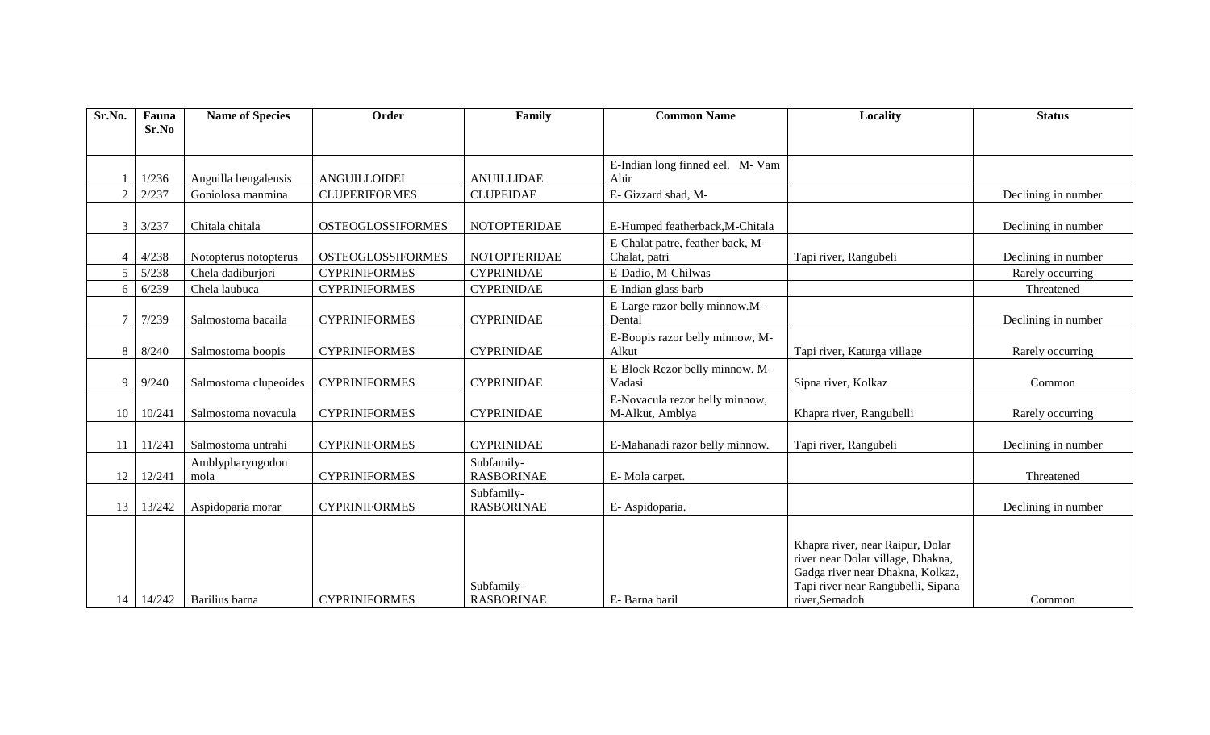| Sr.No.         | Fauna<br>Sr.No | <b>Name of Species</b>   | Order                    | Family                          | <b>Common Name</b>                                | <b>Locality</b>                                                                                                                                                  | <b>Status</b>       |
|----------------|----------------|--------------------------|--------------------------|---------------------------------|---------------------------------------------------|------------------------------------------------------------------------------------------------------------------------------------------------------------------|---------------------|
|                |                |                          |                          |                                 |                                                   |                                                                                                                                                                  |                     |
|                |                |                          |                          |                                 | E-Indian long finned eel. M- Vam                  |                                                                                                                                                                  |                     |
|                | 1/236          | Anguilla bengalensis     | ANGUILLOIDEI             | <b>ANUILLIDAE</b>               | Ahir                                              |                                                                                                                                                                  |                     |
| $\overline{2}$ | 2/237          | Goniolosa manmina        | <b>CLUPERIFORMES</b>     | <b>CLUPEIDAE</b>                | E- Gizzard shad, M-                               |                                                                                                                                                                  | Declining in number |
| 3              | 3/237          | Chitala chitala          | <b>OSTEOGLOSSIFORMES</b> | <b>NOTOPTERIDAE</b>             | E-Humped featherback, M-Chitala                   |                                                                                                                                                                  | Declining in number |
| $\overline{4}$ | 4/238          | Notopterus notopterus    | <b>OSTEOGLOSSIFORMES</b> | <b>NOTOPTERIDAE</b>             | E-Chalat patre, feather back, M-<br>Chalat, patri | Tapi river, Rangubeli                                                                                                                                            | Declining in number |
| 5              | 5/238          | Chela dadiburjori        | <b>CYPRINIFORMES</b>     | <b>CYPRINIDAE</b>               | E-Dadio, M-Chilwas                                |                                                                                                                                                                  | Rarely occurring    |
| 6              | 6/239          | Chela laubuca            | <b>CYPRINIFORMES</b>     | <b>CYPRINIDAE</b>               | E-Indian glass barb                               |                                                                                                                                                                  | Threatened          |
| 7              | 7/239          | Salmostoma bacaila       | <b>CYPRINIFORMES</b>     | <b>CYPRINIDAE</b>               | E-Large razor belly minnow.M-<br>Dental           |                                                                                                                                                                  | Declining in number |
| 8              | 8/240          | Salmostoma boopis        | <b>CYPRINIFORMES</b>     | <b>CYPRINIDAE</b>               | E-Boopis razor belly minnow, M-<br>Alkut          | Tapi river, Katurga village                                                                                                                                      | Rarely occurring    |
| 9              | 9/240          | Salmostoma clupeoides    | <b>CYPRINIFORMES</b>     | <b>CYPRINIDAE</b>               | E-Block Rezor belly minnow. M-<br>Vadasi          | Sipna river, Kolkaz                                                                                                                                              | Common              |
| 10             | 10/241         | Salmostoma novacula      | <b>CYPRINIFORMES</b>     | <b>CYPRINIDAE</b>               | E-Novacula rezor belly minnow,<br>M-Alkut, Amblya | Khapra river, Rangubelli                                                                                                                                         | Rarely occurring    |
| 11             | 11/241         | Salmostoma untrahi       | <b>CYPRINIFORMES</b>     | <b>CYPRINIDAE</b>               | E-Mahanadi razor belly minnow.                    | Tapi river, Rangubeli                                                                                                                                            | Declining in number |
| 12             | 12/241         | Amblypharyngodon<br>mola | <b>CYPRINIFORMES</b>     | Subfamily-<br><b>RASBORINAE</b> | E-Mola carpet.                                    |                                                                                                                                                                  | Threatened          |
| 13             | 13/242         | Aspidoparia morar        | <b>CYPRINIFORMES</b>     | Subfamily-<br><b>RASBORINAE</b> | E- Aspidoparia.                                   |                                                                                                                                                                  | Declining in number |
| 14             | 14/242         | Barilius barna           | <b>CYPRINIFORMES</b>     | Subfamily-<br><b>RASBORINAE</b> | E- Barna baril                                    | Khapra river, near Raipur, Dolar<br>river near Dolar village, Dhakna,<br>Gadga river near Dhakna, Kolkaz,<br>Tapi river near Rangubelli, Sipana<br>river,Semadoh | Common              |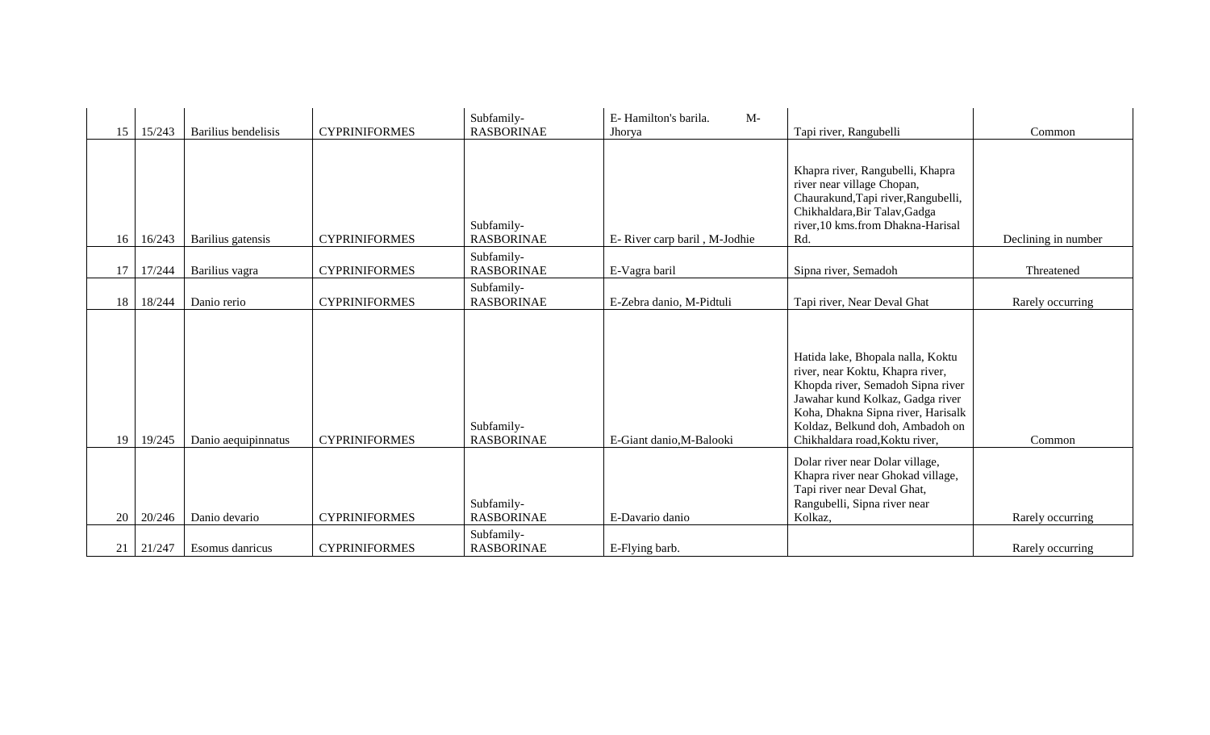| 15 | 15/243 | Barilius bendelisis | <b>CYPRINIFORMES</b> | Subfamily-<br><b>RASBORINAE</b> | E-Hamilton's barila.<br>$M-$<br>Jhorya | Tapi river, Rangubelli                                                                                                                                                                                                                                    | Common              |
|----|--------|---------------------|----------------------|---------------------------------|----------------------------------------|-----------------------------------------------------------------------------------------------------------------------------------------------------------------------------------------------------------------------------------------------------------|---------------------|
|    |        |                     |                      |                                 |                                        |                                                                                                                                                                                                                                                           |                     |
|    |        |                     |                      |                                 |                                        | Khapra river, Rangubelli, Khapra<br>river near village Chopan,                                                                                                                                                                                            |                     |
|    |        |                     |                      |                                 |                                        | Chaurakund, Tapi river, Rangubelli,<br>Chikhaldara, Bir Talav, Gadga                                                                                                                                                                                      |                     |
|    |        |                     |                      | Subfamily-                      |                                        | river, 10 kms.from Dhakna-Harisal                                                                                                                                                                                                                         |                     |
| 16 | 16/243 | Barilius gatensis   | <b>CYPRINIFORMES</b> | <b>RASBORINAE</b>               | E- River carp baril, M-Jodhie          | Rd.                                                                                                                                                                                                                                                       | Declining in number |
| 17 | 17/244 | Barilius vagra      | <b>CYPRINIFORMES</b> | Subfamily-<br><b>RASBORINAE</b> | E-Vagra baril                          | Sipna river, Semadoh                                                                                                                                                                                                                                      | Threatened          |
|    |        |                     |                      | Subfamily-                      |                                        |                                                                                                                                                                                                                                                           |                     |
| 18 | 18/244 | Danio rerio         | <b>CYPRINIFORMES</b> | <b>RASBORINAE</b>               | E-Zebra danio, M-Pidtuli               | Tapi river, Near Deval Ghat                                                                                                                                                                                                                               | Rarely occurring    |
| 19 | 19/245 | Danio aequipinnatus | <b>CYPRINIFORMES</b> | Subfamily-<br><b>RASBORINAE</b> | E-Giant danio, M-Balooki               | Hatida lake, Bhopala nalla, Koktu<br>river, near Koktu, Khapra river,<br>Khopda river, Semadoh Sipna river<br>Jawahar kund Kolkaz, Gadga river<br>Koha, Dhakna Sipna river, Harisalk<br>Koldaz, Belkund doh, Ambadoh on<br>Chikhaldara road, Koktu river, | Common              |
| 20 | 20/246 | Danio devario       | <b>CYPRINIFORMES</b> | Subfamily-<br><b>RASBORINAE</b> | E-Davario danio                        | Dolar river near Dolar village,<br>Khapra river near Ghokad village,<br>Tapi river near Deval Ghat,<br>Rangubelli, Sipna river near<br>Kolkaz,                                                                                                            | Rarely occurring    |
|    |        |                     |                      | Subfamily-                      |                                        |                                                                                                                                                                                                                                                           |                     |
| 21 | 21/247 | Esomus danricus     | <b>CYPRINIFORMES</b> | <b>RASBORINAE</b>               | E-Flying barb.                         |                                                                                                                                                                                                                                                           | Rarely occurring    |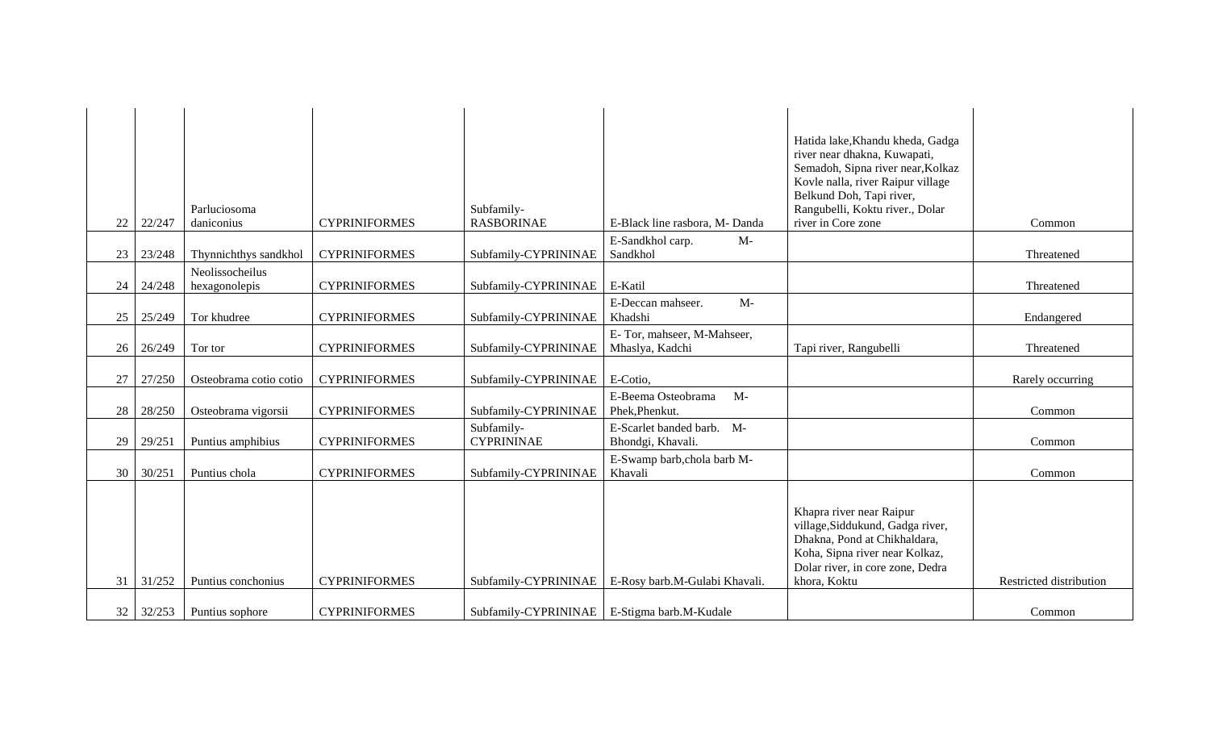| 22 | 22/247 | Parluciosoma<br>daniconius       | <b>CYPRINIFORMES</b> | Subfamily-<br><b>RASBORINAE</b>               | E-Black line rasbora, M-Danda                  | Hatida lake, Khandu kheda, Gadga<br>river near dhakna, Kuwapati,<br>Semadoh, Sipna river near, Kolkaz<br>Kovle nalla, river Raipur village<br>Belkund Doh, Tapi river,<br>Rangubelli, Koktu river., Dolar<br>river in Core zone | Common                  |
|----|--------|----------------------------------|----------------------|-----------------------------------------------|------------------------------------------------|---------------------------------------------------------------------------------------------------------------------------------------------------------------------------------------------------------------------------------|-------------------------|
|    |        |                                  |                      |                                               | E-Sandkhol carp.<br>$M-$                       |                                                                                                                                                                                                                                 |                         |
| 23 | 23/248 | Thynnichthys sandkhol            | <b>CYPRINIFORMES</b> | Subfamily-CYPRININAE                          | Sandkhol                                       |                                                                                                                                                                                                                                 | Threatened              |
| 24 | 24/248 | Neolissocheilus<br>hexagonolepis | <b>CYPRINIFORMES</b> | Subfamily-CYPRININAE                          | E-Katil                                        |                                                                                                                                                                                                                                 | Threatened              |
| 25 | 25/249 | Tor khudree                      | <b>CYPRINIFORMES</b> | Subfamily-CYPRININAE                          | $M-$<br>E-Deccan mahseer.<br>Khadshi           |                                                                                                                                                                                                                                 | Endangered              |
| 26 | 26/249 | Tor tor                          | <b>CYPRINIFORMES</b> | Subfamily-CYPRININAE                          | E-Tor, mahseer, M-Mahseer,<br>Mhaslya, Kadchi  | Tapi river, Rangubelli                                                                                                                                                                                                          | Threatened              |
| 27 | 27/250 | Osteobrama cotio cotio           | <b>CYPRINIFORMES</b> | Subfamily-CYPRININAE                          | E-Cotio,                                       |                                                                                                                                                                                                                                 | Rarely occurring        |
| 28 | 28/250 | Osteobrama vigorsii              | <b>CYPRINIFORMES</b> | Subfamily-CYPRININAE                          | $M-$<br>E-Beema Osteobrama<br>Phek, Phenkut.   |                                                                                                                                                                                                                                 | Common                  |
| 29 | 29/251 | Puntius amphibius                | <b>CYPRINIFORMES</b> | Subfamily-<br><b>CYPRININAE</b>               | E-Scarlet banded barb. M-<br>Bhondgi, Khavali. |                                                                                                                                                                                                                                 | Common                  |
| 30 | 30/251 | Puntius chola                    | <b>CYPRINIFORMES</b> | Subfamily-CYPRININAE                          | E-Swamp barb, chola barb M-<br>Khavali         |                                                                                                                                                                                                                                 | Common                  |
| 31 | 31/252 | Puntius conchonius               | <b>CYPRINIFORMES</b> | Subfamily-CYPRININAE                          | E-Rosy barb.M-Gulabi Khavali.                  | Khapra river near Raipur<br>village, Siddukund, Gadga river,<br>Dhakna, Pond at Chikhaldara,<br>Koha, Sipna river near Kolkaz,<br>Dolar river, in core zone, Dedra<br>khora, Koktu                                              | Restricted distribution |
| 32 | 32/253 | Puntius sophore                  | <b>CYPRINIFORMES</b> | Subfamily-CYPRININAE   E-Stigma barb.M-Kudale |                                                |                                                                                                                                                                                                                                 | Common                  |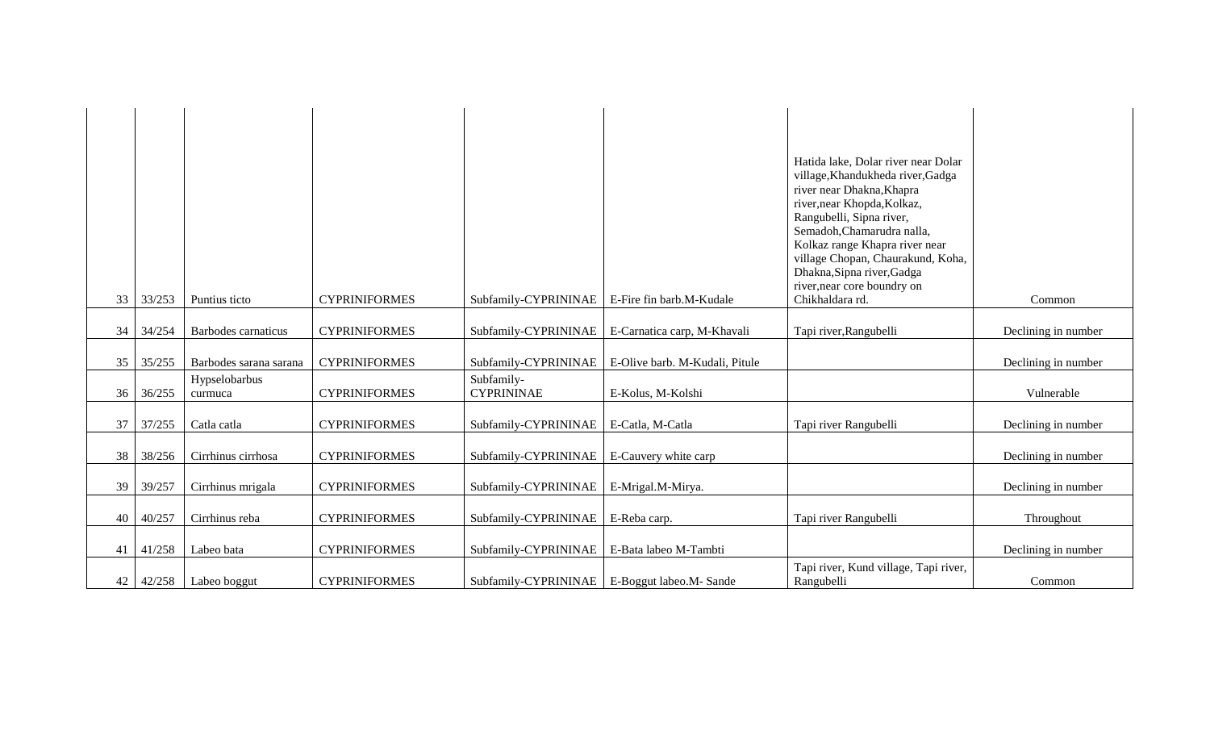|    |        |                          |                      |                                                |                                                    | Hatida lake, Dolar river near Dolar<br>village, Khandukheda river, Gadga<br>river near Dhakna, Khapra<br>river, near Khopda, Kolkaz,<br>Rangubelli, Sipna river,<br>Semadoh, Chamarudra nalla,<br>Kolkaz range Khapra river near<br>village Chopan, Chaurakund, Koha,<br>Dhakna, Sipna river, Gadga<br>river, near core boundry on |                     |
|----|--------|--------------------------|----------------------|------------------------------------------------|----------------------------------------------------|------------------------------------------------------------------------------------------------------------------------------------------------------------------------------------------------------------------------------------------------------------------------------------------------------------------------------------|---------------------|
| 33 | 33/253 | Puntius ticto            | <b>CYPRINIFORMES</b> | Subfamily-CYPRININAE                           | E-Fire fin barb.M-Kudale                           | Chikhaldara rd.                                                                                                                                                                                                                                                                                                                    | Common              |
| 34 | 34/254 | Barbodes carnaticus      | <b>CYPRINIFORMES</b> |                                                | Subfamily-CYPRININAE   E-Carnatica carp, M-Khavali | Tapi river, Rangubelli                                                                                                                                                                                                                                                                                                             | Declining in number |
| 35 | 35/255 | Barbodes sarana sarana   | <b>CYPRINIFORMES</b> | Subfamily-CYPRININAE                           | E-Olive barb. M-Kudali, Pitule                     |                                                                                                                                                                                                                                                                                                                                    | Declining in number |
| 36 | 36/255 | Hypselobarbus<br>curmuca | <b>CYPRINIFORMES</b> | Subfamily-<br><b>CYPRININAE</b>                | E-Kolus, M-Kolshi                                  |                                                                                                                                                                                                                                                                                                                                    | Vulnerable          |
| 37 | 37/255 | Catla catla              | <b>CYPRINIFORMES</b> | Subfamily-CYPRININAE                           | E-Catla, M-Catla                                   | Tapi river Rangubelli                                                                                                                                                                                                                                                                                                              | Declining in number |
| 38 | 38/256 | Cirrhinus cirrhosa       | <b>CYPRINIFORMES</b> | Subfamily-CYPRININAE                           | E-Cauvery white carp                               |                                                                                                                                                                                                                                                                                                                                    | Declining in number |
| 39 | 39/257 | Cirrhinus mrigala        | <b>CYPRINIFORMES</b> | Subfamily-CYPRININAE                           | E-Mrigal.M-Mirya.                                  |                                                                                                                                                                                                                                                                                                                                    | Declining in number |
| 40 | 40/257 | Cirrhinus reba           | <b>CYPRINIFORMES</b> | Subfamily-CYPRININAE                           | E-Reba carp.                                       | Tapi river Rangubelli                                                                                                                                                                                                                                                                                                              | Throughout          |
| 41 | 41/258 | Labeo bata               | <b>CYPRINIFORMES</b> | Subfamily-CYPRININAE                           | E-Bata labeo M-Tambti                              |                                                                                                                                                                                                                                                                                                                                    | Declining in number |
| 42 | 42/258 | Labeo boggut             | <b>CYPRINIFORMES</b> | Subfamily-CYPRININAE   E-Boggut labeo.M- Sande |                                                    | Tapi river, Kund village, Tapi river,<br>Rangubelli                                                                                                                                                                                                                                                                                | Common              |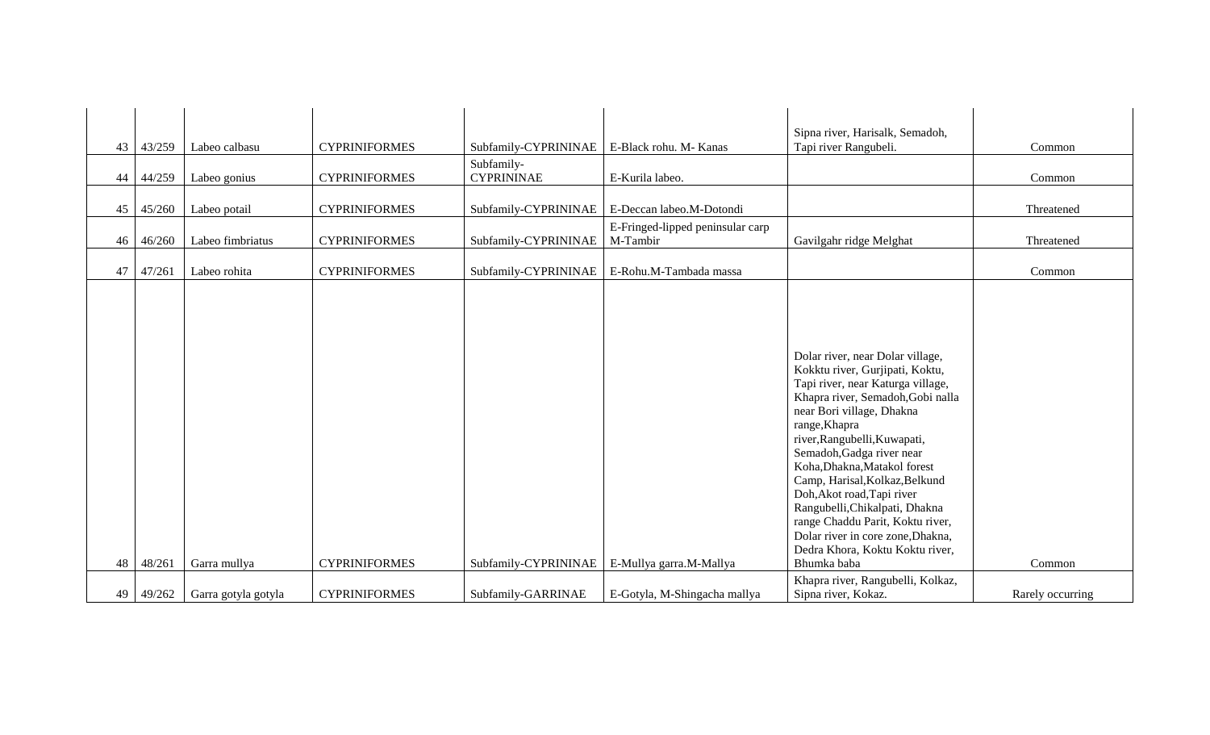| 43<br>44<br>45 | 43/259<br>44/259<br>45/260 | Labeo calbasu<br>Labeo gonius<br>Labeo potail | <b>CYPRINIFORMES</b><br><b>CYPRINIFORMES</b><br><b>CYPRINIFORMES</b> | Subfamily-CYPRININAE<br>Subfamily-<br><b>CYPRININAE</b><br>Subfamily-CYPRININAE | E-Black rohu. M- Kanas<br>E-Kurila labeo.<br>E-Deccan labeo.M-Dotondi | Sipna river, Harisalk, Semadoh,<br>Tapi river Rangubeli.                                                                                                                                                                                                                                                                                                                                                                                                                                                              | Common<br>Common<br>Threatened |
|----------------|----------------------------|-----------------------------------------------|----------------------------------------------------------------------|---------------------------------------------------------------------------------|-----------------------------------------------------------------------|-----------------------------------------------------------------------------------------------------------------------------------------------------------------------------------------------------------------------------------------------------------------------------------------------------------------------------------------------------------------------------------------------------------------------------------------------------------------------------------------------------------------------|--------------------------------|
| 46             | 46/260                     | Labeo fimbriatus                              | <b>CYPRINIFORMES</b>                                                 | Subfamily-CYPRININAE                                                            | E-Fringed-lipped peninsular carp<br>M-Tambir                          | Gavilgahr ridge Melghat                                                                                                                                                                                                                                                                                                                                                                                                                                                                                               | Threatened                     |
| 47             | 47/261                     | Labeo rohita                                  | <b>CYPRINIFORMES</b>                                                 | Subfamily-CYPRININAE                                                            | E-Rohu.M-Tambada massa                                                |                                                                                                                                                                                                                                                                                                                                                                                                                                                                                                                       | Common                         |
| 48             | 48/261                     | Garra mullya                                  | <b>CYPRINIFORMES</b>                                                 | Subfamily-CYPRININAE                                                            | E-Mullya garra.M-Mallya                                               | Dolar river, near Dolar village,<br>Kokktu river, Gurjipati, Koktu,<br>Tapi river, near Katurga village,<br>Khapra river, Semadoh, Gobi nalla<br>near Bori village, Dhakna<br>range, Khapra<br>river, Rangubelli, Kuwapati,<br>Semadoh, Gadga river near<br>Koha, Dhakna, Matakol forest<br>Camp, Harisal, Kolkaz, Belkund<br>Doh, Akot road, Tapi river<br>Rangubelli, Chikalpati, Dhakna<br>range Chaddu Parit, Koktu river,<br>Dolar river in core zone, Dhakna,<br>Dedra Khora, Koktu Koktu river,<br>Bhumka baba | Common                         |
|                |                            |                                               |                                                                      |                                                                                 |                                                                       | Khapra river, Rangubelli, Kolkaz,                                                                                                                                                                                                                                                                                                                                                                                                                                                                                     |                                |
| 49             | 49/262                     | Garra gotyla gotyla                           | <b>CYPRINIFORMES</b>                                                 | Subfamily-GARRINAE                                                              | E-Gotyla, M-Shingacha mallya                                          | Sipna river, Kokaz.                                                                                                                                                                                                                                                                                                                                                                                                                                                                                                   | Rarely occurring               |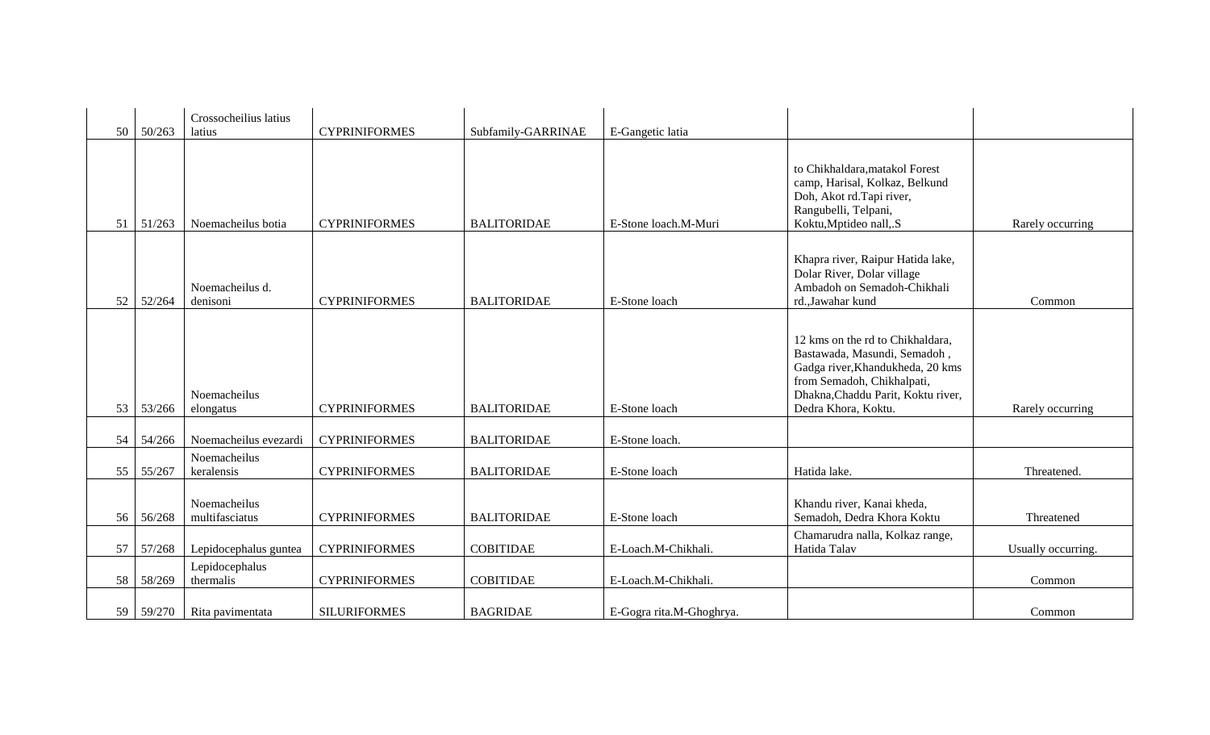| 50 | 50/263 | Crossocheilius latius<br>latius | <b>CYPRINIFORMES</b> | Subfamily-GARRINAE | E-Gangetic latia         |                                                                                                                                                                                                 |                    |
|----|--------|---------------------------------|----------------------|--------------------|--------------------------|-------------------------------------------------------------------------------------------------------------------------------------------------------------------------------------------------|--------------------|
| 51 | 51/263 | Noemacheilus botia              | <b>CYPRINIFORMES</b> | <b>BALITORIDAE</b> | E-Stone loach.M-Muri     | to Chikhaldara, matakol Forest<br>camp, Harisal, Kolkaz, Belkund<br>Doh, Akot rd.Tapi river,<br>Rangubelli, Telpani,<br>Koktu, Mptideo nall, S                                                  | Rarely occurring   |
| 52 | 52/264 | Noemacheilus d.<br>denisoni     | <b>CYPRINIFORMES</b> | <b>BALITORIDAE</b> | E-Stone loach            | Khapra river, Raipur Hatida lake,<br>Dolar River, Dolar village<br>Ambadoh on Semadoh-Chikhali<br>rd., Jawahar kund                                                                             | Common             |
| 53 | 53/266 | Noemacheilus<br>elongatus       | <b>CYPRINIFORMES</b> | <b>BALITORIDAE</b> | E-Stone loach            | 12 kms on the rd to Chikhaldara,<br>Bastawada, Masundi, Semadoh,<br>Gadga river, Khandukheda, 20 kms<br>from Semadoh, Chikhalpati,<br>Dhakna, Chaddu Parit, Koktu river,<br>Dedra Khora, Koktu. | Rarely occurring   |
| 54 | 54/266 | Noemacheilus evezardi           | <b>CYPRINIFORMES</b> | <b>BALITORIDAE</b> | E-Stone loach.           |                                                                                                                                                                                                 |                    |
| 55 | 55/267 | Noemacheilus<br>keralensis      | <b>CYPRINIFORMES</b> | <b>BALITORIDAE</b> | E-Stone loach            | Hatida lake.                                                                                                                                                                                    | Threatened.        |
| 56 | 56/268 | Noemacheilus<br>multifasciatus  | <b>CYPRINIFORMES</b> | <b>BALITORIDAE</b> | E-Stone loach            | Khandu river, Kanai kheda,<br>Semadoh, Dedra Khora Koktu                                                                                                                                        | Threatened         |
| 57 | 57/268 | Lepidocephalus guntea           | <b>CYPRINIFORMES</b> | <b>COBITIDAE</b>   | E-Loach.M-Chikhali.      | Chamarudra nalla, Kolkaz range,<br>Hatida Talav                                                                                                                                                 | Usually occurring. |
| 58 | 58/269 | Lepidocephalus<br>thermalis     | <b>CYPRINIFORMES</b> | <b>COBITIDAE</b>   | E-Loach.M-Chikhali.      |                                                                                                                                                                                                 | Common             |
| 59 | 59/270 | Rita pavimentata                | <b>SILURIFORMES</b>  | <b>BAGRIDAE</b>    | E-Gogra rita.M-Ghoghrya. |                                                                                                                                                                                                 | Common             |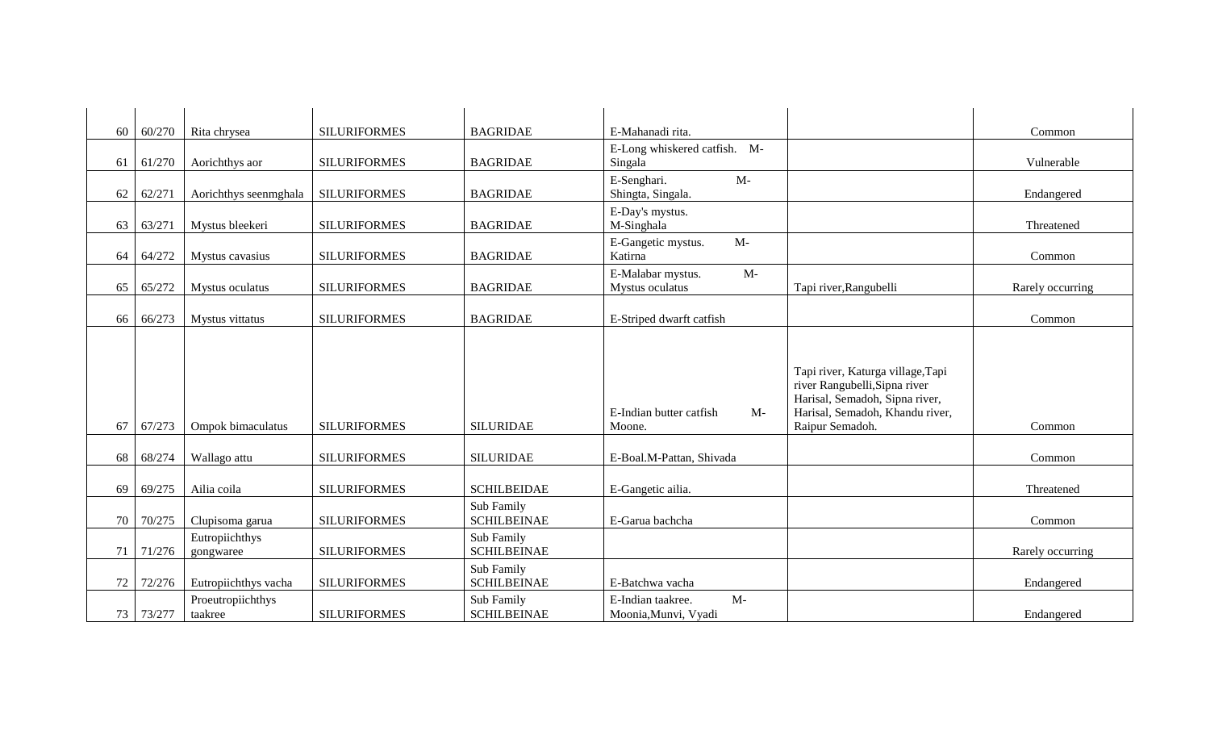| 60 | 60/270 | Rita chrysea                 | <b>SILURIFORMES</b> | <b>BAGRIDAE</b>                  | E-Mahanadi rita.                                  |                                                                                                                                                            | Common           |
|----|--------|------------------------------|---------------------|----------------------------------|---------------------------------------------------|------------------------------------------------------------------------------------------------------------------------------------------------------------|------------------|
| 61 | 61/270 | Aorichthys aor               | <b>SILURIFORMES</b> | <b>BAGRIDAE</b>                  | E-Long whiskered catfish. M-<br>Singala           |                                                                                                                                                            | Vulnerable       |
| 62 | 62/271 | Aorichthys seenmghala        | <b>SILURIFORMES</b> | <b>BAGRIDAE</b>                  | E-Senghari.<br>$M-$<br>Shingta, Singala.          |                                                                                                                                                            | Endangered       |
| 63 | 63/271 | Mystus bleekeri              | <b>SILURIFORMES</b> | <b>BAGRIDAE</b>                  | E-Day's mystus.<br>M-Singhala                     |                                                                                                                                                            | Threatened       |
| 64 | 64/272 | Mystus cavasius              | <b>SILURIFORMES</b> | <b>BAGRIDAE</b>                  | E-Gangetic mystus.<br>$M-$<br>Katirna             |                                                                                                                                                            | Common           |
| 65 | 65/272 | Mystus oculatus              | <b>SILURIFORMES</b> | <b>BAGRIDAE</b>                  | $M-$<br>E-Malabar mystus.<br>Mystus oculatus      | Tapi river, Rangubelli                                                                                                                                     | Rarely occurring |
| 66 | 66/273 | Mystus vittatus              | <b>SILURIFORMES</b> | <b>BAGRIDAE</b>                  | E-Striped dwarft catfish                          |                                                                                                                                                            | Common           |
| 67 | 67/273 | Ompok bimaculatus            | <b>SILURIFORMES</b> | <b>SILURIDAE</b>                 | E-Indian butter catfish<br>$M-$<br>Moone.         | Tapi river, Katurga village, Tapi<br>river Rangubelli, Sipna river<br>Harisal, Semadoh, Sipna river,<br>Harisal, Semadoh, Khandu river,<br>Raipur Semadoh. | Common           |
| 68 | 68/274 | Wallago attu                 | <b>SILURIFORMES</b> | <b>SILURIDAE</b>                 | E-Boal.M-Pattan, Shivada                          |                                                                                                                                                            | Common           |
| 69 | 69/275 | Ailia coila                  | <b>SILURIFORMES</b> | <b>SCHILBEIDAE</b>               | E-Gangetic ailia.                                 |                                                                                                                                                            | Threatened       |
| 70 | 70/275 | Clupisoma garua              | <b>SILURIFORMES</b> | Sub Family<br><b>SCHILBEINAE</b> | E-Garua bachcha                                   |                                                                                                                                                            | Common           |
| 71 | 71/276 | Eutropiichthys<br>gongwaree  | <b>SILURIFORMES</b> | Sub Family<br><b>SCHILBEINAE</b> |                                                   |                                                                                                                                                            | Rarely occurring |
| 72 | 72/276 | Eutropiichthys vacha         | <b>SILURIFORMES</b> | Sub Family<br><b>SCHILBEINAE</b> | E-Batchwa vacha                                   |                                                                                                                                                            | Endangered       |
| 73 | 73/277 | Proeutropiichthys<br>taakree | <b>SILURIFORMES</b> | Sub Family<br><b>SCHILBEINAE</b> | $M-$<br>E-Indian taakree.<br>Moonia, Munvi, Vyadi |                                                                                                                                                            | Endangered       |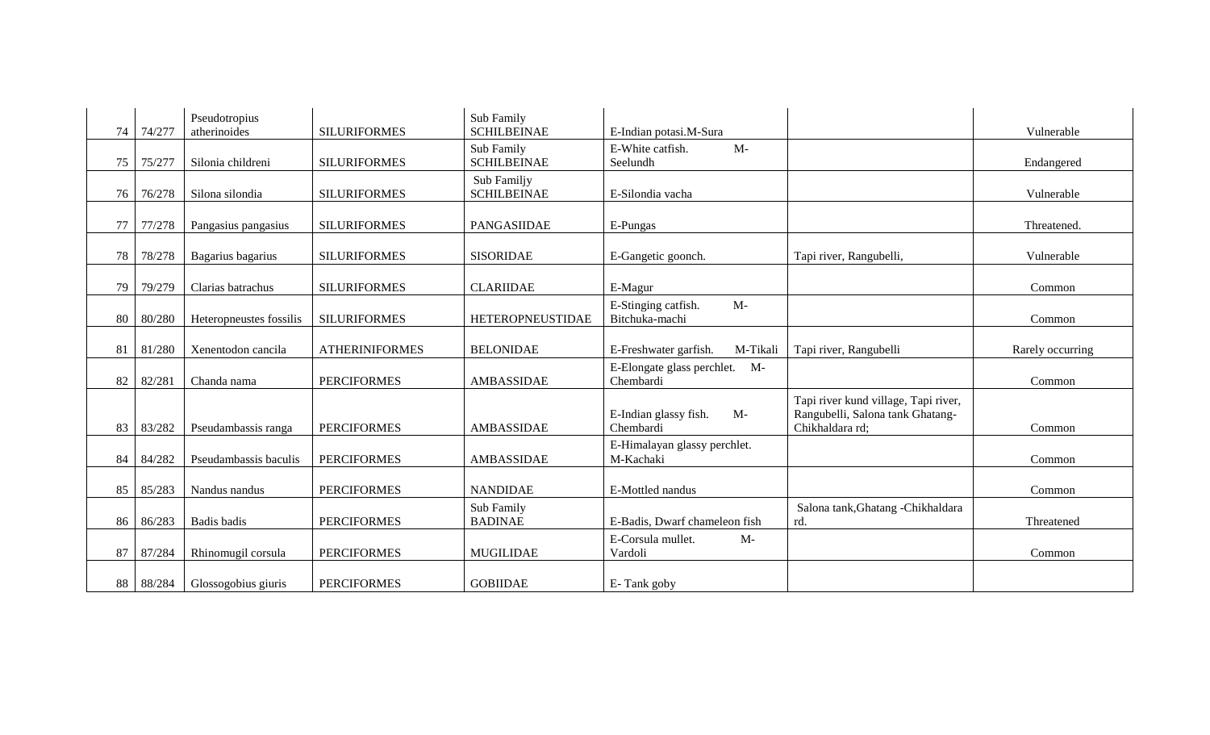| 74 | 74/277 | Pseudotropius<br>atherinoides | <b>SILURIFORMES</b>   | Sub Family<br><b>SCHILBEINAE</b>  | E-Indian potasi.M-Sura                        |                                                                                             | Vulnerable       |
|----|--------|-------------------------------|-----------------------|-----------------------------------|-----------------------------------------------|---------------------------------------------------------------------------------------------|------------------|
| 75 | 75/277 | Silonia childreni             | <b>SILURIFORMES</b>   | Sub Family<br><b>SCHILBEINAE</b>  | $M-$<br>E-White catfish.<br>Seelundh          |                                                                                             | Endangered       |
| 76 | 76/278 | Silona silondia               | <b>SILURIFORMES</b>   | Sub Familjy<br><b>SCHILBEINAE</b> | E-Silondia vacha                              |                                                                                             | Vulnerable       |
| 77 | 77/278 | Pangasius pangasius           | <b>SILURIFORMES</b>   | PANGASIIDAE                       | E-Pungas                                      |                                                                                             | Threatened.      |
| 78 | 78/278 | Bagarius bagarius             | <b>SILURIFORMES</b>   | <b>SISORIDAE</b>                  | E-Gangetic goonch.                            | Tapi river, Rangubelli,                                                                     | Vulnerable       |
| 79 | 79/279 | Clarias batrachus             | <b>SILURIFORMES</b>   | <b>CLARIIDAE</b>                  | E-Magur                                       |                                                                                             | Common           |
| 80 | 80/280 | Heteropneustes fossilis       | <b>SILURIFORMES</b>   | <b>HETEROPNEUSTIDAE</b>           | E-Stinging catfish.<br>$M-$<br>Bitchuka-machi |                                                                                             | Common           |
| 81 | 81/280 | Xenentodon cancila            | <b>ATHERINIFORMES</b> | <b>BELONIDAE</b>                  | E-Freshwater garfish.<br>M-Tikali             | Tapi river, Rangubelli                                                                      | Rarely occurring |
| 82 | 82/281 | Chanda nama                   | <b>PERCIFORMES</b>    | AMBASSIDAE                        | E-Elongate glass perchlet. M-<br>Chembardi    |                                                                                             | Common           |
| 83 | 83/282 | Pseudambassis ranga           | <b>PERCIFORMES</b>    | AMBASSIDAE                        | $M-$<br>E-Indian glassy fish.<br>Chembardi    | Tapi river kund village, Tapi river,<br>Rangubelli, Salona tank Ghatang-<br>Chikhaldara rd; | Common           |
| 84 | 84/282 | Pseudambassis baculis         | <b>PERCIFORMES</b>    | AMBASSIDAE                        | E-Himalayan glassy perchlet.<br>M-Kachaki     |                                                                                             | Common           |
| 85 | 85/283 | Nandus nandus                 | <b>PERCIFORMES</b>    | <b>NANDIDAE</b>                   | E-Mottled nandus                              |                                                                                             | Common           |
| 86 | 86/283 | Badis badis                   | <b>PERCIFORMES</b>    | Sub Family<br><b>BADINAE</b>      | E-Badis, Dwarf chameleon fish                 | Salona tank, Ghatang - Chikhaldara<br>rd.                                                   | Threatened       |
| 87 | 87/284 | Rhinomugil corsula            | <b>PERCIFORMES</b>    | <b>MUGILIDAE</b>                  | E-Corsula mullet.<br>$M-$<br>Vardoli          |                                                                                             | Common           |
| 88 | 88/284 | Glossogobius giuris           | <b>PERCIFORMES</b>    | <b>GOBIIDAE</b>                   | E-Tank goby                                   |                                                                                             |                  |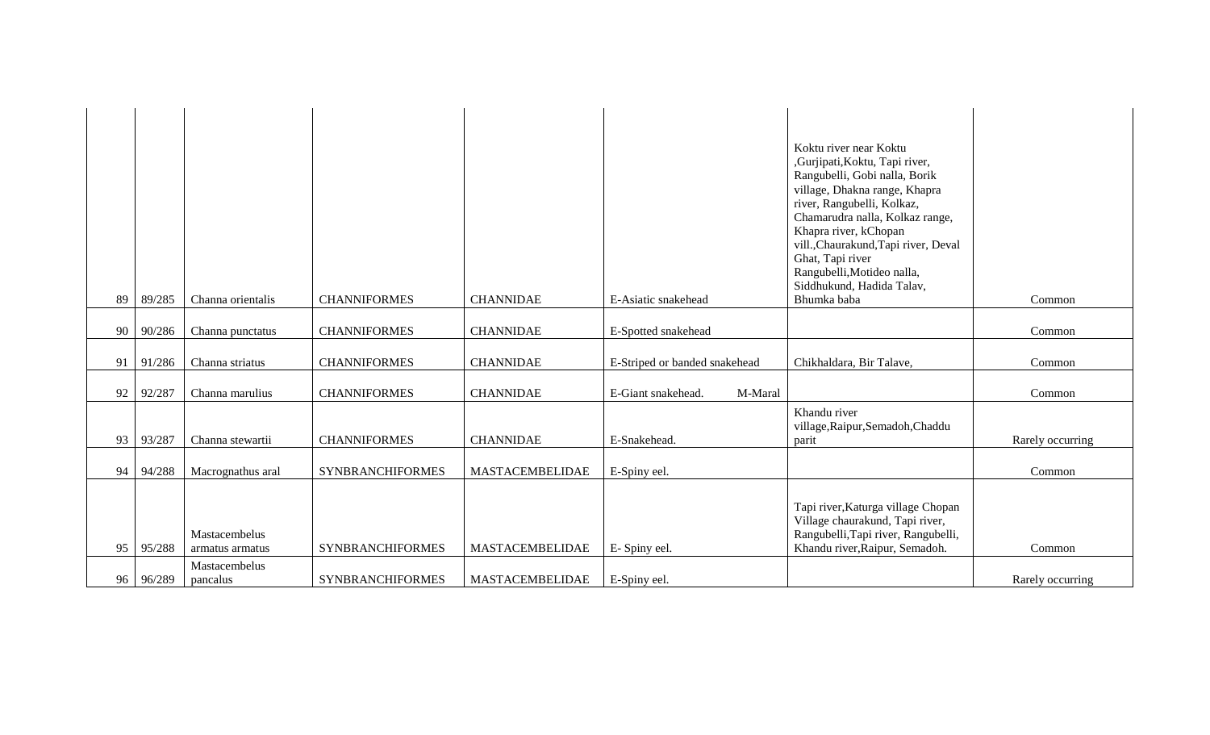| 89 | 89/285 | Channa orientalis                | <b>CHANNIFORMES</b>     | <b>CHANNIDAE</b>       | E-Asiatic snakehead           | Koktu river near Koktu<br>,Gurjipati,Koktu, Tapi river,<br>Rangubelli, Gobi nalla, Borik<br>village, Dhakna range, Khapra<br>river, Rangubelli, Kolkaz,<br>Chamarudra nalla, Kolkaz range,<br>Khapra river, kChopan<br>vill., Chaurakund, Tapi river, Deval<br>Ghat, Tapi river<br>Rangubelli, Motideo nalla,<br>Siddhukund, Hadida Talav,<br>Bhumka baba | Common           |
|----|--------|----------------------------------|-------------------------|------------------------|-------------------------------|-----------------------------------------------------------------------------------------------------------------------------------------------------------------------------------------------------------------------------------------------------------------------------------------------------------------------------------------------------------|------------------|
|    |        |                                  |                         |                        |                               |                                                                                                                                                                                                                                                                                                                                                           |                  |
| 90 | 90/286 | Channa punctatus                 | <b>CHANNIFORMES</b>     | <b>CHANNIDAE</b>       | E-Spotted snakehead           |                                                                                                                                                                                                                                                                                                                                                           | Common           |
| 91 | 91/286 | Channa striatus                  | <b>CHANNIFORMES</b>     | <b>CHANNIDAE</b>       | E-Striped or banded snakehead | Chikhaldara, Bir Talave,                                                                                                                                                                                                                                                                                                                                  | Common           |
| 92 | 92/287 | Channa marulius                  | <b>CHANNIFORMES</b>     | <b>CHANNIDAE</b>       | E-Giant snakehead.<br>M-Maral |                                                                                                                                                                                                                                                                                                                                                           | Common           |
| 93 | 93/287 | Channa stewartii                 | <b>CHANNIFORMES</b>     | <b>CHANNIDAE</b>       | E-Snakehead.                  | Khandu river<br>village, Raipur, Semadoh, Chaddu<br>parit                                                                                                                                                                                                                                                                                                 | Rarely occurring |
| 94 | 94/288 | Macrognathus aral                | <b>SYNBRANCHIFORMES</b> | MASTACEMBELIDAE        | E-Spiny eel.                  |                                                                                                                                                                                                                                                                                                                                                           | Common           |
| 95 | 95/288 | Mastacembelus<br>armatus armatus | <b>SYNBRANCHIFORMES</b> | MASTACEMBELIDAE        | E-Spiny eel.                  | Tapi river, Katurga village Chopan<br>Village chaurakund, Tapi river,<br>Rangubelli, Tapi river, Rangubelli,<br>Khandu river, Raipur, Semadoh.                                                                                                                                                                                                            | Common           |
| 96 | 96/289 | Mastacembelus<br>pancalus        | <b>SYNBRANCHIFORMES</b> | <b>MASTACEMBELIDAE</b> | E-Spiny eel.                  |                                                                                                                                                                                                                                                                                                                                                           | Rarely occurring |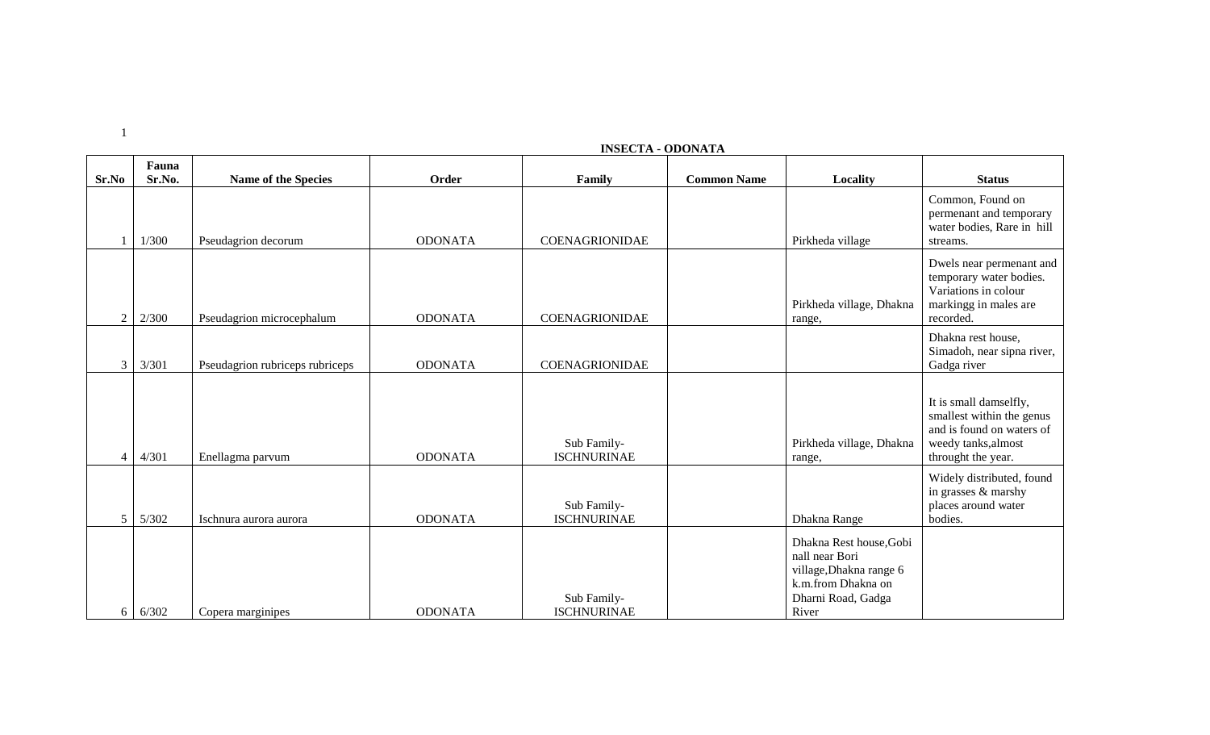|                | Fauna  |                                 |                |                                   |                    |                                                                                                                           |                                                                                                                               |
|----------------|--------|---------------------------------|----------------|-----------------------------------|--------------------|---------------------------------------------------------------------------------------------------------------------------|-------------------------------------------------------------------------------------------------------------------------------|
| Sr.No          | Sr.No. | <b>Name of the Species</b>      | Order          | Family                            | <b>Common Name</b> | Locality                                                                                                                  | <b>Status</b>                                                                                                                 |
|                | 1/300  | Pseudagrion decorum             | <b>ODONATA</b> | <b>COENAGRIONIDAE</b>             |                    | Pirkheda village                                                                                                          | Common, Found on<br>permenant and temporary<br>water bodies, Rare in hill<br>streams.                                         |
| $\overline{2}$ | 2/300  | Pseudagrion microcephalum       | <b>ODONATA</b> | <b>COENAGRIONIDAE</b>             |                    | Pirkheda village, Dhakna<br>range,                                                                                        | Dwels near permenant and<br>temporary water bodies.<br>Variations in colour<br>markingg in males are<br>recorded.             |
| $\mathfrak{Z}$ | 3/301  | Pseudagrion rubriceps rubriceps | <b>ODONATA</b> | COENAGRIONIDAE                    |                    |                                                                                                                           | Dhakna rest house,<br>Simadoh, near sipna river,<br>Gadga river                                                               |
| $\overline{4}$ | 4/301  | Enellagma parvum                | <b>ODONATA</b> | Sub Family-<br><b>ISCHNURINAE</b> |                    | Pirkheda village, Dhakna<br>range,                                                                                        | It is small damselfly,<br>smallest within the genus<br>and is found on waters of<br>weedy tanks, almost<br>throught the year. |
| 5              | 5/302  | Ischnura aurora aurora          | <b>ODONATA</b> | Sub Family-<br><b>ISCHNURINAE</b> |                    | Dhakna Range                                                                                                              | Widely distributed, found<br>in grasses & marshy<br>places around water<br>bodies.                                            |
| 6              | 6/302  | Copera marginipes               | <b>ODONATA</b> | Sub Family-<br><b>ISCHNURINAE</b> |                    | Dhakna Rest house, Gobi<br>nall near Bori<br>village, Dhakna range 6<br>k.m.from Dhakna on<br>Dharni Road, Gadga<br>River |                                                                                                                               |

### **INSECTA - ODONATA**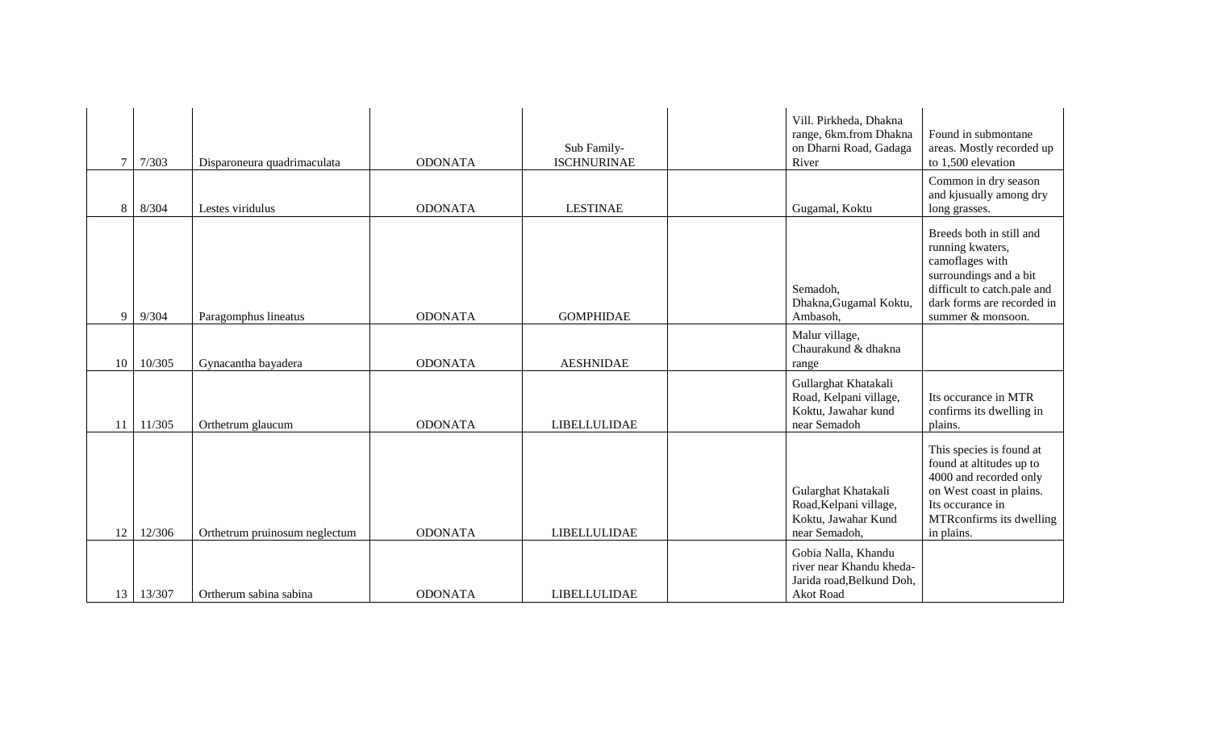| $\tau$          | 7/303  | Disparoneura quadrimaculata   | <b>ODONATA</b> | Sub Family-<br><b>ISCHNURINAE</b> | Vill. Pirkheda, Dhakna<br>range, 6km.from Dhakna<br>on Dharni Road, Gadaga<br>River       | Found in submontane<br>areas. Mostly recorded up<br>to 1,500 elevation                                                                                                      |
|-----------------|--------|-------------------------------|----------------|-----------------------------------|-------------------------------------------------------------------------------------------|-----------------------------------------------------------------------------------------------------------------------------------------------------------------------------|
| 8               | 8/304  | Lestes viridulus              | <b>ODONATA</b> | <b>LESTINAE</b>                   | Gugamal, Koktu                                                                            | Common in dry season<br>and kjusually among dry<br>long grasses.                                                                                                            |
| 9               | 9/304  | Paragomphus lineatus          | <b>ODONATA</b> | <b>GOMPHIDAE</b>                  | Semadoh,<br>Dhakna, Gugamal Koktu,<br>Ambasoh,                                            | Breeds both in still and<br>running kwaters,<br>camoflages with<br>surroundings and a bit<br>difficult to catch.pale and<br>dark forms are recorded in<br>summer & monsoon. |
| 10              | 10/305 | Gynacantha bayadera           | <b>ODONATA</b> | <b>AESHNIDAE</b>                  | Malur village,<br>Chaurakund & dhakna<br>range                                            |                                                                                                                                                                             |
| 11              | 11/305 | Orthetrum glaucum             | <b>ODONATA</b> | <b>LIBELLULIDAE</b>               | Gullarghat Khatakali<br>Road, Kelpani village,<br>Koktu, Jawahar kund<br>near Semadoh     | Its occurance in MTR<br>confirms its dwelling in<br>plains.                                                                                                                 |
| 12              | 12/306 | Orthetrum pruinosum neglectum | <b>ODONATA</b> | <b>LIBELLULIDAE</b>               | Gularghat Khatakali<br>Road, Kelpani village,<br>Koktu, Jawahar Kund<br>near Semadoh,     | This species is found at<br>found at altitudes up to<br>4000 and recorded only<br>on West coast in plains.<br>Its occurance in<br>MTRconfirms its dwelling<br>in plains.    |
| 13 <sup>1</sup> | 13/307 | Ortherum sabina sabina        | <b>ODONATA</b> | <b>LIBELLULIDAE</b>               | Gobia Nalla, Khandu<br>river near Khandu kheda-<br>Jarida road, Belkund Doh,<br>Akot Road |                                                                                                                                                                             |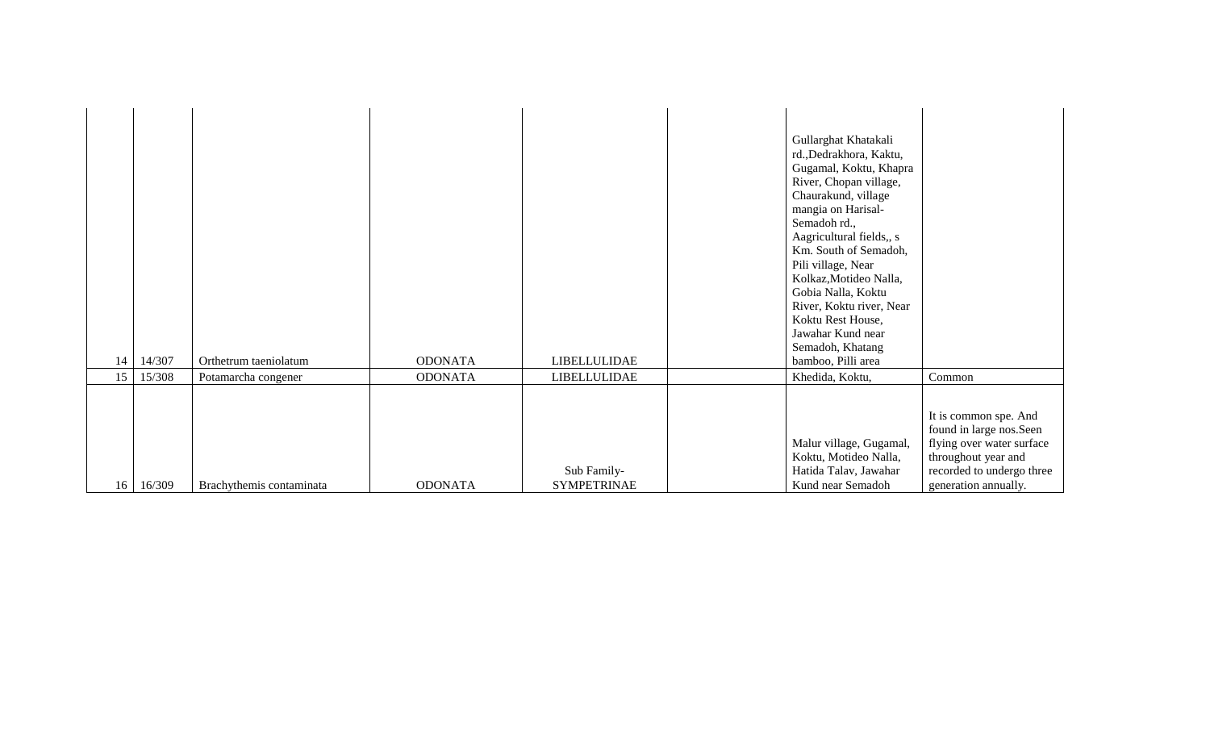| 14<br>15 | 14/307<br>15/308 | Orthetrum taeniolatum<br>Potamarcha congener | <b>ODONATA</b><br><b>ODONATA</b> | <b>LIBELLULIDAE</b><br><b>LIBELLULIDAE</b> | Koktu Rest House,<br>Jawahar Kund near<br>Semadoh, Khatang<br>bamboo, Pilli area<br>Khedida, Koktu,<br>Malur village, Gugamal,<br>Koktu, Motideo Nalla,                                                                                                                                                                 | Common<br>It is common spe. And<br>found in large nos.Seen<br>flying over water surface<br>throughout year and |
|----------|------------------|----------------------------------------------|----------------------------------|--------------------------------------------|-------------------------------------------------------------------------------------------------------------------------------------------------------------------------------------------------------------------------------------------------------------------------------------------------------------------------|----------------------------------------------------------------------------------------------------------------|
|          |                  |                                              |                                  |                                            | Gullarghat Khatakali<br>rd., Dedrakhora, Kaktu,<br>Gugamal, Koktu, Khapra<br>River, Chopan village,<br>Chaurakund, village<br>mangia on Harisal-<br>Semadoh rd.,<br>Aagricultural fields,, s<br>Km. South of Semadoh,<br>Pili village, Near<br>Kolkaz, Motideo Nalla,<br>Gobia Nalla, Koktu<br>River, Koktu river, Near |                                                                                                                |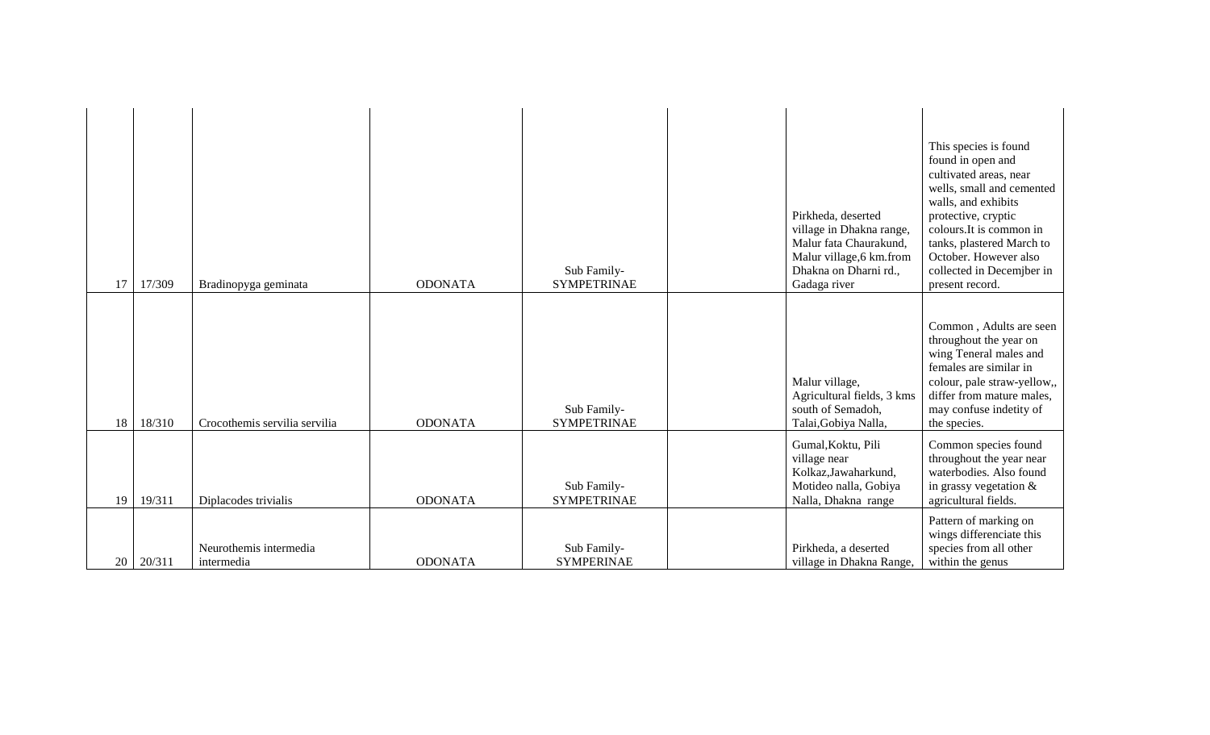| 17 | 17/309 | Bradinopyga geminata                 | <b>ODONATA</b> | Sub Family-<br><b>SYMPETRINAE</b> | Pirkheda, deserted<br>village in Dhakna range,<br>Malur fata Chaurakund,<br>Malur village, 6 km.from<br>Dhakna on Dharni rd.,<br>Gadaga river | This species is found<br>found in open and<br>cultivated areas, near<br>wells, small and cemented<br>walls, and exhibits<br>protective, cryptic<br>colours. It is common in<br>tanks, plastered March to<br>October. However also<br>collected in Decemjber in<br>present record. |
|----|--------|--------------------------------------|----------------|-----------------------------------|-----------------------------------------------------------------------------------------------------------------------------------------------|-----------------------------------------------------------------------------------------------------------------------------------------------------------------------------------------------------------------------------------------------------------------------------------|
| 18 | 18/310 | Crocothemis servilia servilia        | <b>ODONATA</b> | Sub Family-<br><b>SYMPETRINAE</b> | Malur village,<br>Agricultural fields, 3 kms<br>south of Semadoh,<br>Talai, Gobiya Nalla,                                                     | Common, Adults are seen<br>throughout the year on<br>wing Teneral males and<br>females are similar in<br>colour, pale straw-yellow,,<br>differ from mature males,<br>may confuse indetity of<br>the species.                                                                      |
| 19 | 19/311 | Diplacodes trivialis                 | <b>ODONATA</b> | Sub Family-<br><b>SYMPETRINAE</b> | Gumal, Koktu, Pili<br>village near<br>Kolkaz, Jawaharkund,<br>Motideo nalla, Gobiya<br>Nalla, Dhakna range                                    | Common species found<br>throughout the year near<br>waterbodies. Also found<br>in grassy vegetation $\&$<br>agricultural fields.                                                                                                                                                  |
| 20 | 20/311 | Neurothemis intermedia<br>intermedia | <b>ODONATA</b> | Sub Family-<br><b>SYMPERINAE</b>  | Pirkheda, a deserted<br>village in Dhakna Range,                                                                                              | Pattern of marking on<br>wings differenciate this<br>species from all other<br>within the genus                                                                                                                                                                                   |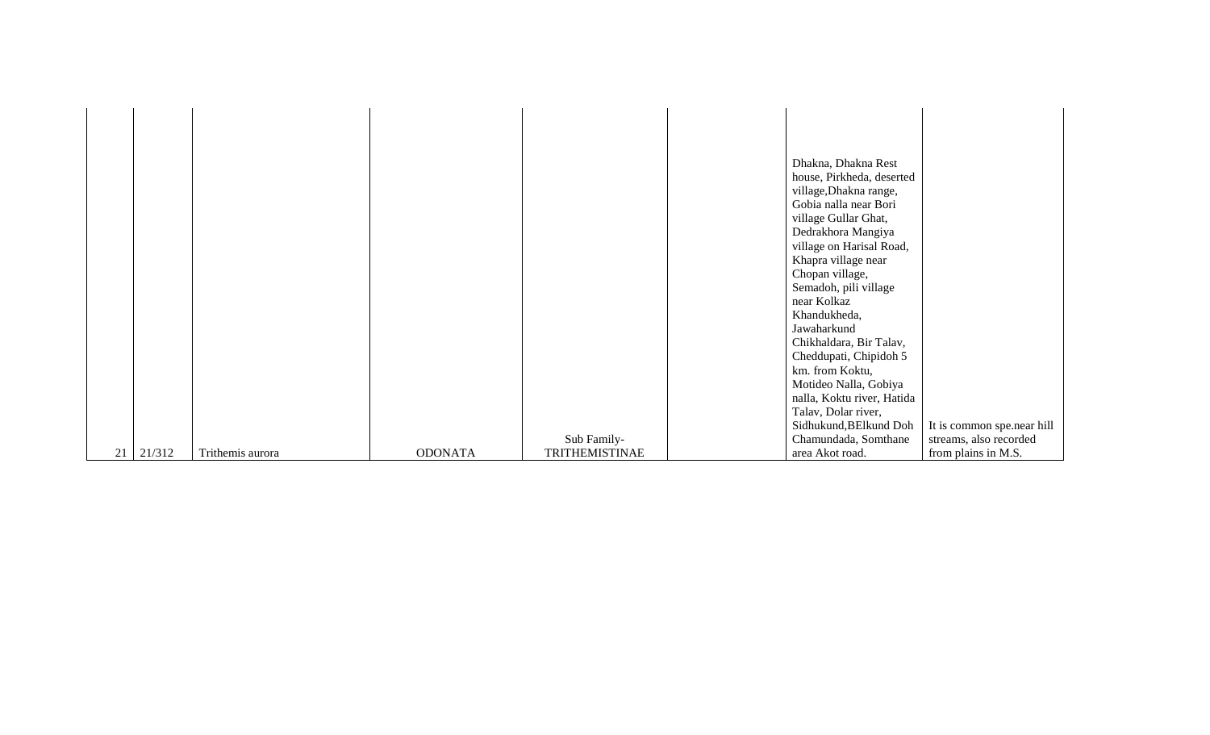|                  |                  |                |                       | Dhakna, Dhakna Rest                             |                            |
|------------------|------------------|----------------|-----------------------|-------------------------------------------------|----------------------------|
|                  |                  |                |                       | house, Pirkheda, deserted                       |                            |
|                  |                  |                |                       | village, Dhakna range,                          |                            |
|                  |                  |                |                       | Gobia nalla near Bori                           |                            |
|                  |                  |                |                       | village Gullar Ghat,                            |                            |
|                  |                  |                |                       | Dedrakhora Mangiya                              |                            |
|                  |                  |                |                       | village on Harisal Road,<br>Khapra village near |                            |
|                  |                  |                |                       | Chopan village,                                 |                            |
|                  |                  |                |                       | Semadoh, pili village                           |                            |
|                  |                  |                |                       | near Kolkaz                                     |                            |
|                  |                  |                |                       | Khandukheda,                                    |                            |
|                  |                  |                |                       | Jawaharkund                                     |                            |
|                  |                  |                |                       | Chikhaldara, Bir Talav,                         |                            |
|                  |                  |                |                       | Cheddupati, Chipidoh 5                          |                            |
|                  |                  |                |                       | km. from Koktu,                                 |                            |
|                  |                  |                |                       | Motideo Nalla, Gobiya                           |                            |
|                  |                  |                |                       | nalla, Koktu river, Hatida                      |                            |
|                  |                  |                |                       | Talav, Dolar river,                             |                            |
|                  |                  |                |                       | Sidhukund, BElkund Doh                          | It is common spe.near hill |
|                  |                  |                | Sub Family-           | Chamundada, Somthane                            | streams, also recorded     |
| $21 \mid 21/312$ | Trithemis aurora | <b>ODONATA</b> | <b>TRITHEMISTINAE</b> | area Akot road.                                 | from plains in M.S.        |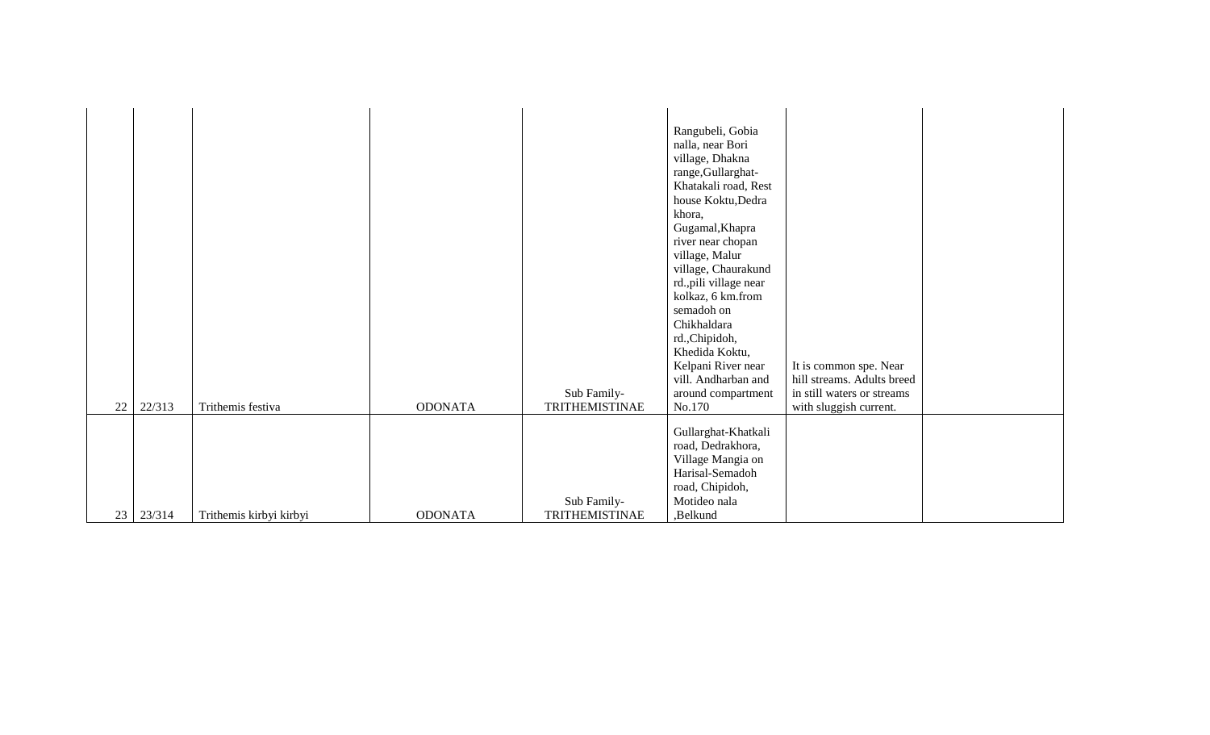| 22 | 22/313 | Trithemis festiva       | <b>ODONATA</b> | Sub Family-<br>TRITHEMISTINAE | Rangubeli, Gobia<br>nalla, near Bori<br>village, Dhakna<br>range, Gullarghat-<br>Khatakali road, Rest<br>house Koktu, Dedra<br>khora,<br>Gugamal, Khapra<br>river near chopan<br>village, Malur<br>village, Chaurakund<br>rd., pili village near<br>kolkaz, 6 km.from<br>semadoh on<br>Chikhaldara<br>rd., Chipidoh,<br>Khedida Koktu,<br>Kelpani River near<br>vill. Andharban and<br>around compartment<br>No.170 | It is common spe. Near<br>hill streams. Adults breed<br>in still waters or streams<br>with sluggish current. |  |
|----|--------|-------------------------|----------------|-------------------------------|---------------------------------------------------------------------------------------------------------------------------------------------------------------------------------------------------------------------------------------------------------------------------------------------------------------------------------------------------------------------------------------------------------------------|--------------------------------------------------------------------------------------------------------------|--|
| 23 | 23/314 | Trithemis kirbyi kirbyi | <b>ODONATA</b> | Sub Family-<br>TRITHEMISTINAE | Gullarghat-Khatkali<br>road, Dedrakhora,<br>Village Mangia on<br>Harisal-Semadoh<br>road, Chipidoh,<br>Motideo nala<br>,Belkund                                                                                                                                                                                                                                                                                     |                                                                                                              |  |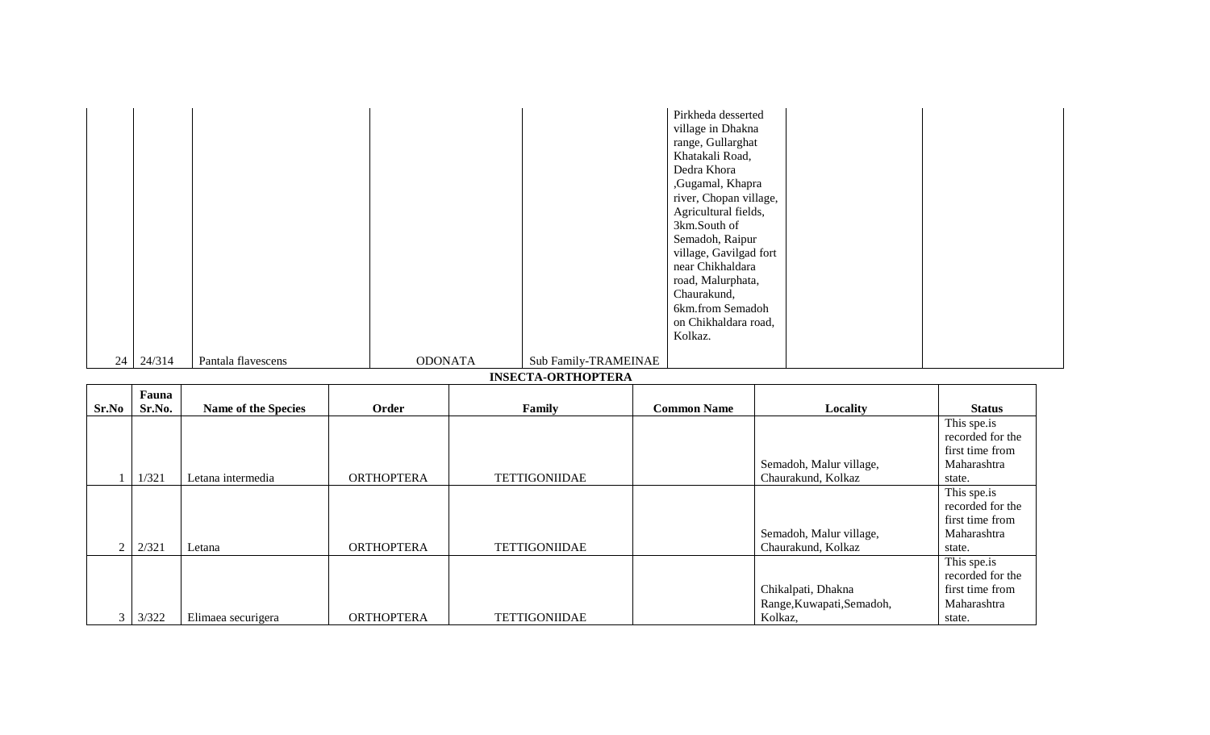| 24 24/314 | Pantala flavescens | <b>ODONATA</b> | Sub Family-TRAMEINAE      | Pirkheda desserted<br>village in Dhakna<br>range, Gullarghat<br>Khatakali Road,<br>Dedra Khora<br>,Gugamal, Khapra<br>river, Chopan village,<br>Agricultural fields,<br>3km.South of<br>Semadoh, Raipur<br>village, Gavilgad fort<br>near Chikhaldara<br>road, Malurphata,<br>Chaurakund,<br>6km.from Semadoh<br>on Chikhaldara road,<br>Kolkaz. |  |
|-----------|--------------------|----------------|---------------------------|--------------------------------------------------------------------------------------------------------------------------------------------------------------------------------------------------------------------------------------------------------------------------------------------------------------------------------------------------|--|
|           |                    |                | <b>INSECTA-ORTHOPTERA</b> |                                                                                                                                                                                                                                                                                                                                                  |  |

|                | Fauna  |                            |                   |                      |                    |                           |                  |
|----------------|--------|----------------------------|-------------------|----------------------|--------------------|---------------------------|------------------|
| Sr.No          | Sr.No. | <b>Name of the Species</b> | Order             | Family               | <b>Common Name</b> | Locality                  | <b>Status</b>    |
|                |        |                            |                   |                      |                    |                           | This spe.is      |
|                |        |                            |                   |                      |                    |                           | recorded for the |
|                |        |                            |                   |                      |                    |                           | first time from  |
|                |        |                            |                   |                      |                    | Semadoh, Malur village,   | Maharashtra      |
|                | 1/321  | Letana intermedia          | <b>ORTHOPTERA</b> | <b>TETTIGONIIDAE</b> |                    | Chaurakund, Kolkaz        | state.           |
|                |        |                            |                   |                      |                    |                           | This spe.is      |
|                |        |                            |                   |                      |                    |                           | recorded for the |
|                |        |                            |                   |                      |                    |                           | first time from  |
|                |        |                            |                   |                      |                    | Semadoh, Malur village,   | Maharashtra      |
| 2              | 2/321  | Letana                     | <b>ORTHOPTERA</b> | <b>TETTIGONIIDAE</b> |                    | Chaurakund, Kolkaz        | state.           |
|                |        |                            |                   |                      |                    |                           | This spe.is      |
|                |        |                            |                   |                      |                    |                           | recorded for the |
|                |        |                            |                   |                      |                    | Chikalpati, Dhakna        | first time from  |
|                |        |                            |                   |                      |                    | Range, Kuwapati, Semadoh, | Maharashtra      |
| $\mathfrak{Z}$ | 3/322  | Elimaea securigera         | <b>ORTHOPTERA</b> | <b>TETTIGONIIDAE</b> |                    | Kolkaz,                   | state.           |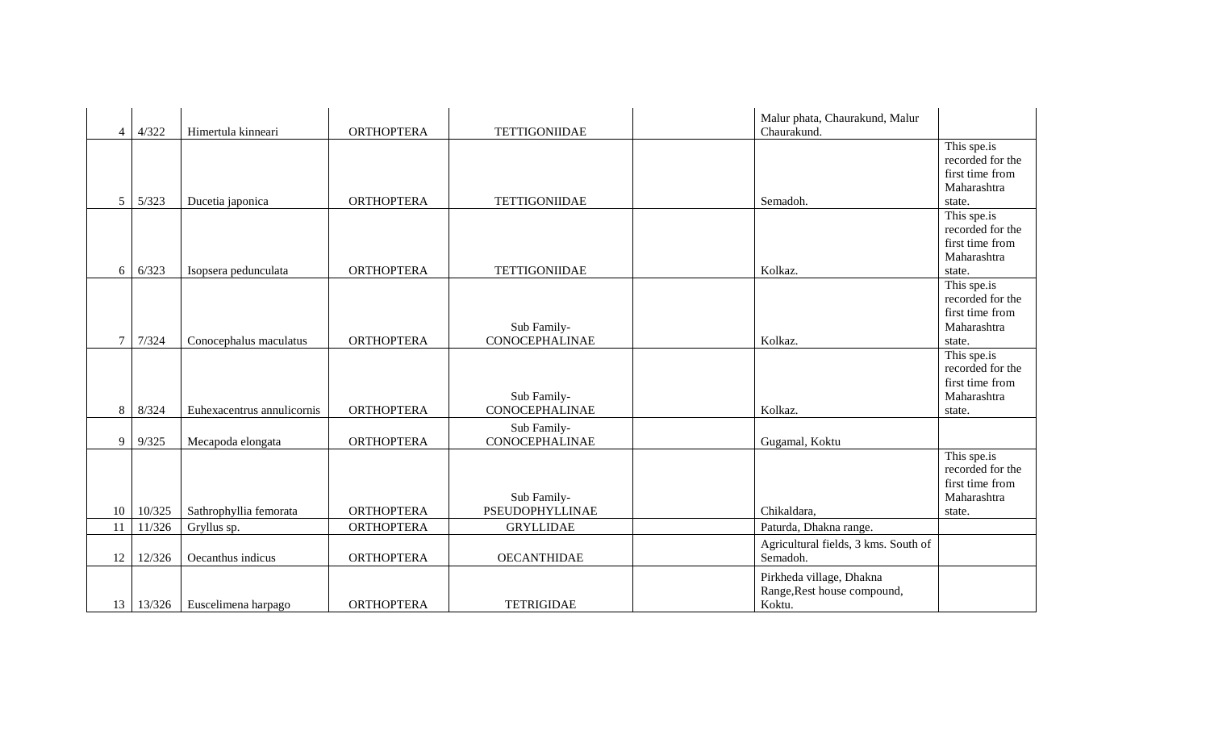| $\overline{4}$ | 4/322  | Himertula kinneari         | <b>ORTHOPTERA</b> | <b>TETTIGONIIDAE</b>                  | Malur phata, Chaurakund, Malur<br>Chaurakund.                     |                                                                             |
|----------------|--------|----------------------------|-------------------|---------------------------------------|-------------------------------------------------------------------|-----------------------------------------------------------------------------|
| 5              | 5/323  | Ducetia japonica           | <b>ORTHOPTERA</b> | <b>TETTIGONIIDAE</b>                  | Semadoh.                                                          | This spe.is<br>recorded for the<br>first time from<br>Maharashtra<br>state. |
| 6              | 6/323  | Isopsera pedunculata       | <b>ORTHOPTERA</b> | <b>TETTIGONIIDAE</b>                  | Kolkaz.                                                           | This spe.is<br>recorded for the<br>first time from<br>Maharashtra<br>state. |
|                | 7/324  | Conocephalus maculatus     | <b>ORTHOPTERA</b> | Sub Family-<br><b>CONOCEPHALINAE</b>  | Kolkaz.                                                           | This spe.is<br>recorded for the<br>first time from<br>Maharashtra<br>state. |
| 8              | 8/324  | Euhexacentrus annulicornis | <b>ORTHOPTERA</b> | Sub Family-<br><b>CONOCEPHALINAE</b>  | Kolkaz.                                                           | This spe.is<br>recorded for the<br>first time from<br>Maharashtra<br>state. |
| 9              | 9/325  | Mecapoda elongata          | <b>ORTHOPTERA</b> | Sub Family-<br><b>CONOCEPHALINAE</b>  | Gugamal, Koktu                                                    |                                                                             |
| 10             | 10/325 | Sathrophyllia femorata     | <b>ORTHOPTERA</b> | Sub Family-<br><b>PSEUDOPHYLLINAE</b> | Chikaldara,                                                       | This spe.is<br>recorded for the<br>first time from<br>Maharashtra<br>state. |
| 11             | 11/326 | Gryllus sp.                | <b>ORTHOPTERA</b> | <b>GRYLLIDAE</b>                      | Paturda, Dhakna range.                                            |                                                                             |
| 12             | 12/326 | Oecanthus indicus          | <b>ORTHOPTERA</b> | <b>OECANTHIDAE</b>                    | Agricultural fields, 3 kms. South of<br>Semadoh.                  |                                                                             |
| 13             | 13/326 | Euscelimena harpago        | <b>ORTHOPTERA</b> | <b>TETRIGIDAE</b>                     | Pirkheda village, Dhakna<br>Range, Rest house compound,<br>Koktu. |                                                                             |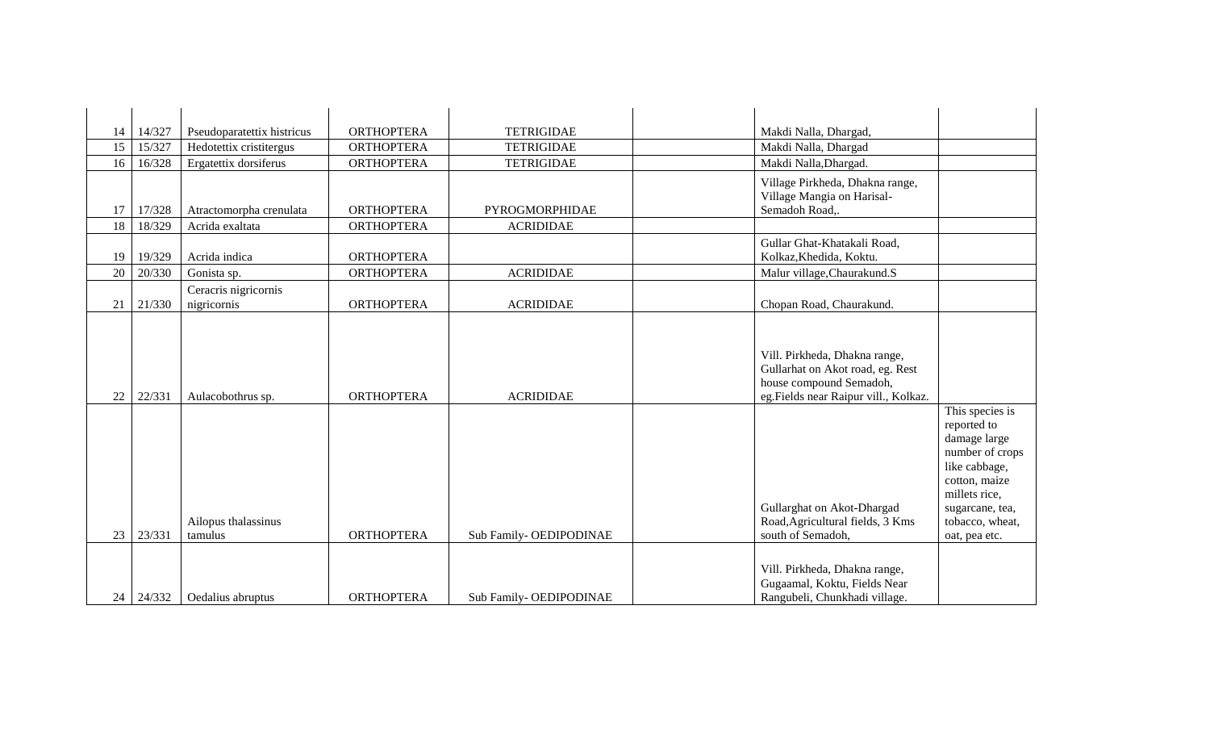| 14 | 14/327 | Pseudoparatettix histricus          | <b>ORTHOPTERA</b> | <b>TETRIGIDAE</b>       | Makdi Nalla, Dhargad,                                                                                                                                                                                                                                              |
|----|--------|-------------------------------------|-------------------|-------------------------|--------------------------------------------------------------------------------------------------------------------------------------------------------------------------------------------------------------------------------------------------------------------|
| 15 | 15/327 | Hedotettix cristitergus             | <b>ORTHOPTERA</b> | <b>TETRIGIDAE</b>       | Makdi Nalla, Dhargad                                                                                                                                                                                                                                               |
| 16 | 16/328 | Ergatettix dorsiferus               | <b>ORTHOPTERA</b> | <b>TETRIGIDAE</b>       | Makdi Nalla, Dhargad.                                                                                                                                                                                                                                              |
| 17 | 17/328 | Atractomorpha crenulata             | <b>ORTHOPTERA</b> | PYROGMORPHIDAE          | Village Pirkheda, Dhakna range,<br>Village Mangia on Harisal-<br>Semadoh Road,.                                                                                                                                                                                    |
| 18 | 18/329 | Acrida exaltata                     | <b>ORTHOPTERA</b> | <b>ACRIDIDAE</b>        |                                                                                                                                                                                                                                                                    |
| 19 | 19/329 | Acrida indica                       | <b>ORTHOPTERA</b> |                         | Gullar Ghat-Khatakali Road,<br>Kolkaz, Khedida, Koktu.                                                                                                                                                                                                             |
| 20 | 20/330 | Gonista sp.                         | <b>ORTHOPTERA</b> | <b>ACRIDIDAE</b>        | Malur village, Chaurakund.S                                                                                                                                                                                                                                        |
| 21 | 21/330 | Ceracris nigricornis<br>nigricornis | <b>ORTHOPTERA</b> | <b>ACRIDIDAE</b>        | Chopan Road, Chaurakund.                                                                                                                                                                                                                                           |
| 22 | 22/331 | Aulacobothrus sp.                   | <b>ORTHOPTERA</b> | <b>ACRIDIDAE</b>        | Vill. Pirkheda, Dhakna range,<br>Gullarhat on Akot road, eg. Rest<br>house compound Semadoh,<br>eg.Fields near Raipur vill., Kolkaz.                                                                                                                               |
| 23 | 23/331 | Ailopus thalassinus<br>tamulus      | <b>ORTHOPTERA</b> | Sub Family- OEDIPODINAE | This species is<br>reported to<br>damage large<br>number of crops<br>like cabbage,<br>cotton, maize<br>millets rice,<br>Gullarghat on Akot-Dhargad<br>sugarcane, tea,<br>Road, Agricultural fields, 3 Kms<br>tobacco, wheat,<br>south of Semadoh,<br>oat, pea etc. |
| 24 | 24/332 | Oedalius abruptus                   | <b>ORTHOPTERA</b> | Sub Family- OEDIPODINAE | Vill. Pirkheda, Dhakna range,<br>Gugaamal, Koktu, Fields Near<br>Rangubeli, Chunkhadi village.                                                                                                                                                                     |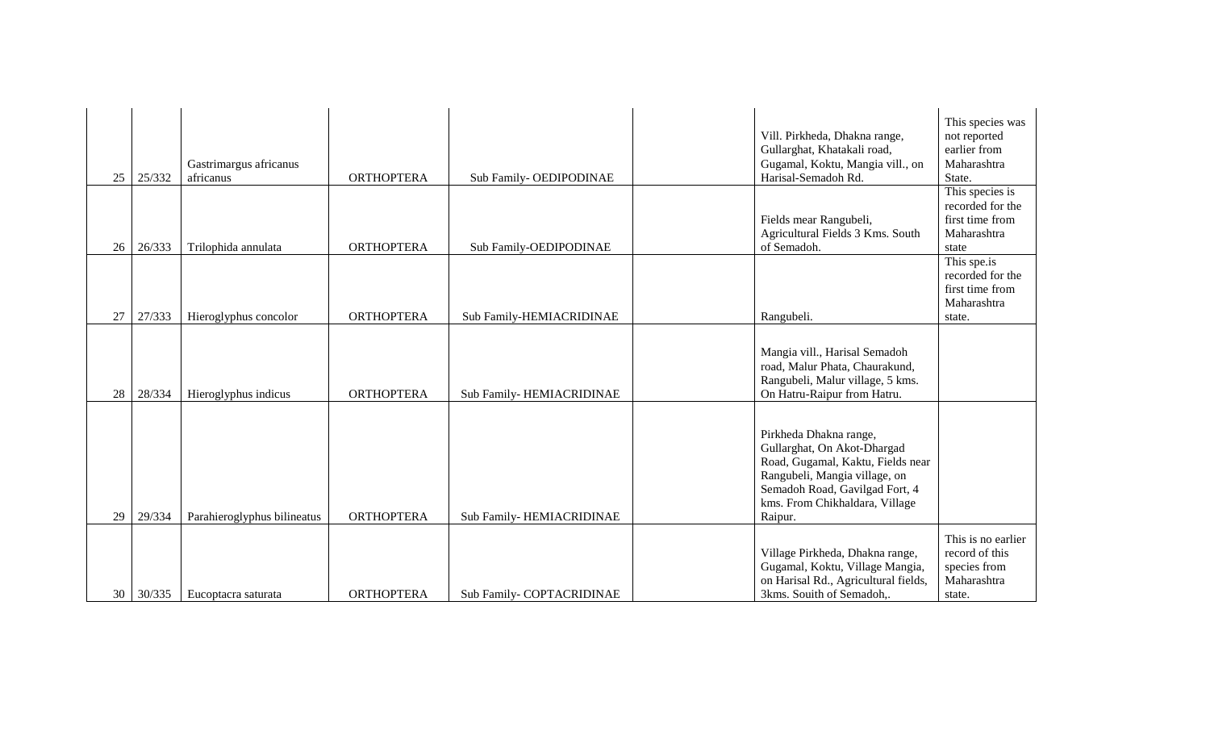| 25 | 25/332 | Gastrimargus africanus<br>africanus | <b>ORTHOPTERA</b> | Sub Family-OEDIPODINAE    | Vill. Pirkheda, Dhakna range,<br>Gullarghat, Khatakali road,<br>Gugamal, Koktu, Mangia vill., on<br>Harisal-Semadoh Rd.                                                                                    | This species was<br>not reported<br>earlier from<br>Maharashtra<br>State.      |
|----|--------|-------------------------------------|-------------------|---------------------------|------------------------------------------------------------------------------------------------------------------------------------------------------------------------------------------------------------|--------------------------------------------------------------------------------|
| 26 | 26/333 | Trilophida annulata                 | <b>ORTHOPTERA</b> | Sub Family-OEDIPODINAE    | Fields mear Rangubeli,<br>Agricultural Fields 3 Kms. South<br>of Semadoh.                                                                                                                                  | This species is<br>recorded for the<br>first time from<br>Maharashtra<br>state |
| 27 | 27/333 | Hieroglyphus concolor               | <b>ORTHOPTERA</b> | Sub Family-HEMIACRIDINAE  | Rangubeli.                                                                                                                                                                                                 | This spe.is<br>recorded for the<br>first time from<br>Maharashtra<br>state.    |
| 28 | 28/334 | Hieroglyphus indicus                | <b>ORTHOPTERA</b> | Sub Family-HEMIACRIDINAE  | Mangia vill., Harisal Semadoh<br>road, Malur Phata, Chaurakund,<br>Rangubeli, Malur village, 5 kms.<br>On Hatru-Raipur from Hatru.                                                                         |                                                                                |
| 29 | 29/334 | Parahieroglyphus bilineatus         | <b>ORTHOPTERA</b> | Sub Family-HEMIACRIDINAE  | Pirkheda Dhakna range,<br>Gullarghat, On Akot-Dhargad<br>Road, Gugamal, Kaktu, Fields near<br>Rangubeli, Mangia village, on<br>Semadoh Road, Gavilgad Fort, 4<br>kms. From Chikhaldara, Village<br>Raipur. |                                                                                |
| 30 | 30/335 | Eucoptacra saturata                 | <b>ORTHOPTERA</b> | Sub Family- COPTACRIDINAE | Village Pirkheda, Dhakna range,<br>Gugamal, Koktu, Village Mangia,<br>on Harisal Rd., Agricultural fields,<br>3kms. Souith of Semadoh,.                                                                    | This is no earlier<br>record of this<br>species from<br>Maharashtra<br>state.  |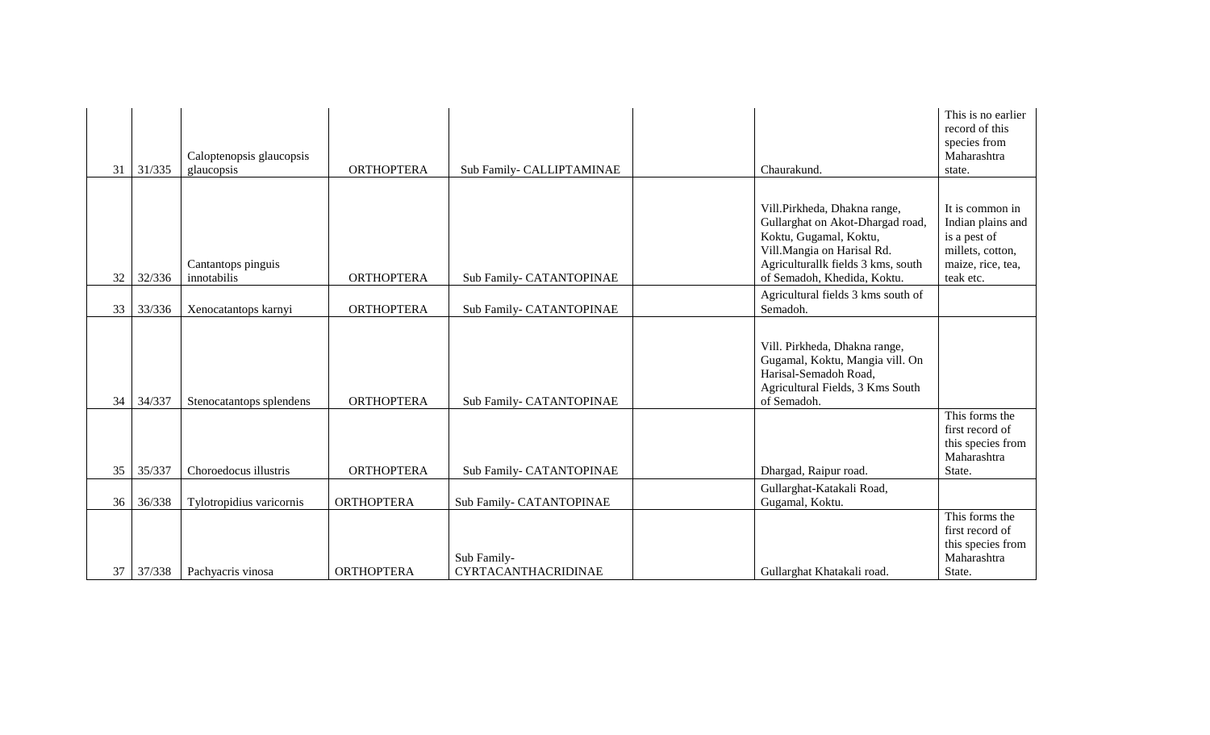| 31 | 31/335 | Caloptenopsis glaucopsis<br>glaucopsis | <b>ORTHOPTERA</b> | Sub Family- CALLIPTAMINAE                 | Chaurakund.                                                                                                                                                                                   | This is no earlier<br>record of this<br>species from<br>Maharashtra<br>state.                              |
|----|--------|----------------------------------------|-------------------|-------------------------------------------|-----------------------------------------------------------------------------------------------------------------------------------------------------------------------------------------------|------------------------------------------------------------------------------------------------------------|
| 32 | 32/336 | Cantantops pinguis<br>innotabilis      | <b>ORTHOPTERA</b> | Sub Family- CATANTOPINAE                  | Vill.Pirkheda, Dhakna range,<br>Gullarghat on Akot-Dhargad road,<br>Koktu, Gugamal, Koktu,<br>Vill.Mangia on Harisal Rd.<br>Agriculturallk fields 3 kms, south<br>of Semadoh, Khedida, Koktu. | It is common in<br>Indian plains and<br>is a pest of<br>millets, cotton,<br>maize, rice, tea,<br>teak etc. |
| 33 | 33/336 | Xenocatantops karnyi                   | <b>ORTHOPTERA</b> | Sub Family- CATANTOPINAE                  | Agricultural fields 3 kms south of<br>Semadoh.                                                                                                                                                |                                                                                                            |
| 34 | 34/337 | Stenocatantops splendens               | <b>ORTHOPTERA</b> | Sub Family- CATANTOPINAE                  | Vill. Pirkheda, Dhakna range,<br>Gugamal, Koktu, Mangia vill. On<br>Harisal-Semadoh Road,<br>Agricultural Fields, 3 Kms South<br>of Semadoh.                                                  |                                                                                                            |
| 35 | 35/337 | Choroedocus illustris                  | <b>ORTHOPTERA</b> | Sub Family- CATANTOPINAE                  | Dhargad, Raipur road.                                                                                                                                                                         | This forms the<br>first record of<br>this species from<br>Maharashtra<br>State.                            |
| 36 | 36/338 | Tylotropidius varicornis               | <b>ORTHOPTERA</b> | Sub Family- CATANTOPINAE                  | Gullarghat-Katakali Road,<br>Gugamal, Koktu.                                                                                                                                                  |                                                                                                            |
| 37 | 37/338 | Pachyacris vinosa                      | <b>ORTHOPTERA</b> | Sub Family-<br><b>CYRTACANTHACRIDINAE</b> | Gullarghat Khatakali road.                                                                                                                                                                    | This forms the<br>first record of<br>this species from<br>Maharashtra<br>State.                            |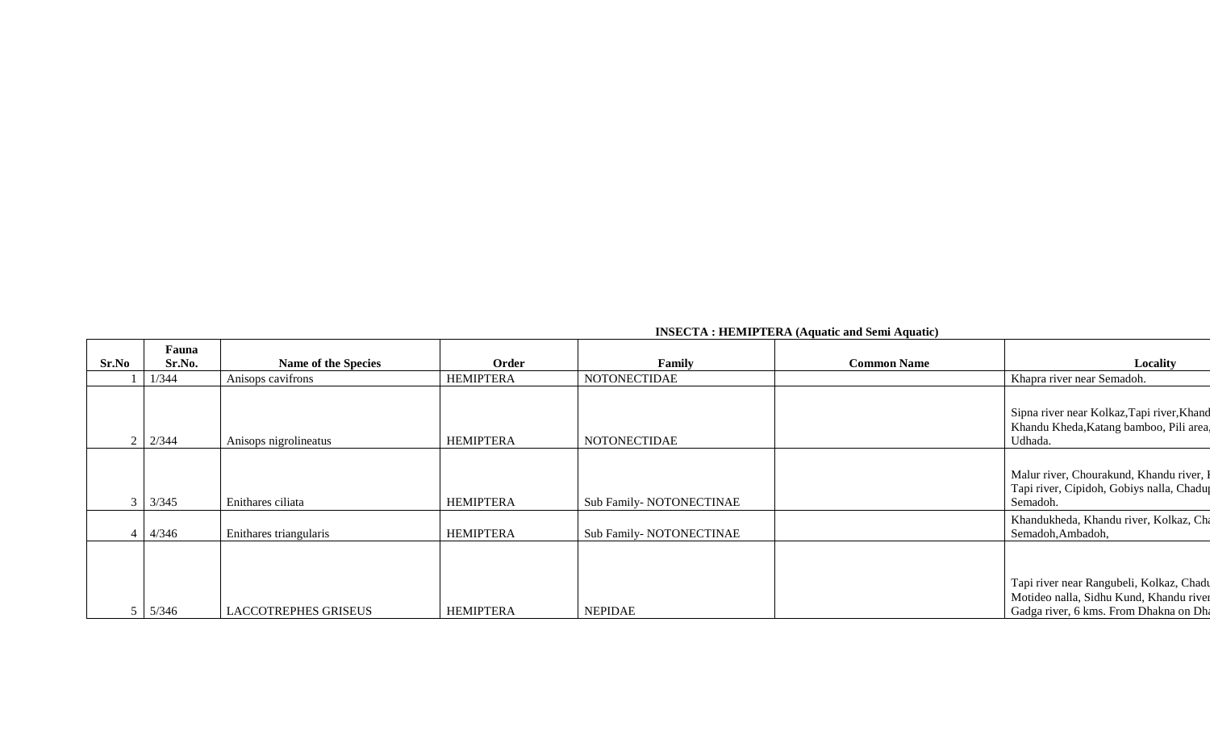| <b>INSECTA: HEMIPTERA (Aquatic and Semi Aquatic)</b> |  |
|------------------------------------------------------|--|
|------------------------------------------------------|--|

| Sr.No | Fauna<br>Sr.No. | <b>Name of the Species</b> | Order            | Family                   | <b>Common Name</b> | Locality                                                                                                                      |
|-------|-----------------|----------------------------|------------------|--------------------------|--------------------|-------------------------------------------------------------------------------------------------------------------------------|
|       | 1/344           | Anisops cavifrons          | <b>HEMIPTERA</b> | <b>NOTONECTIDAE</b>      |                    | Khapra river near Semadoh.                                                                                                    |
|       | 2/344           | Anisops nigrolineatus      | <b>HEMIPTERA</b> | NOTONECTIDAE             |                    | Sipna river near Kolkaz, Tapi river, Khand<br>Khandu Kheda, Katang bamboo, Pili area,<br>Udhada.                              |
|       | 3/345           | Enithares ciliata          | <b>HEMIPTERA</b> | Sub Family-NOTONECTINAE  |                    | Malur river, Chourakund, Khandu river, I<br>Tapi river, Cipidoh, Gobiys nalla, Chadup<br>Semadoh.                             |
|       | 4/346           | Enithares triangularis     | <b>HEMIPTERA</b> | Sub Family- NOTONECTINAE |                    | Khandukheda, Khandu river, Kolkaz, Cha<br>Semadoh, Ambadoh,                                                                   |
|       | 5/346           | LACCOTREPHES GRISEUS       | <b>HEMIPTERA</b> | <b>NEPIDAE</b>           |                    | Tapi river near Rangubeli, Kolkaz, Chadu<br>Motideo nalla, Sidhu Kund, Khandu river<br>Gadga river, 6 kms. From Dhakna on Dha |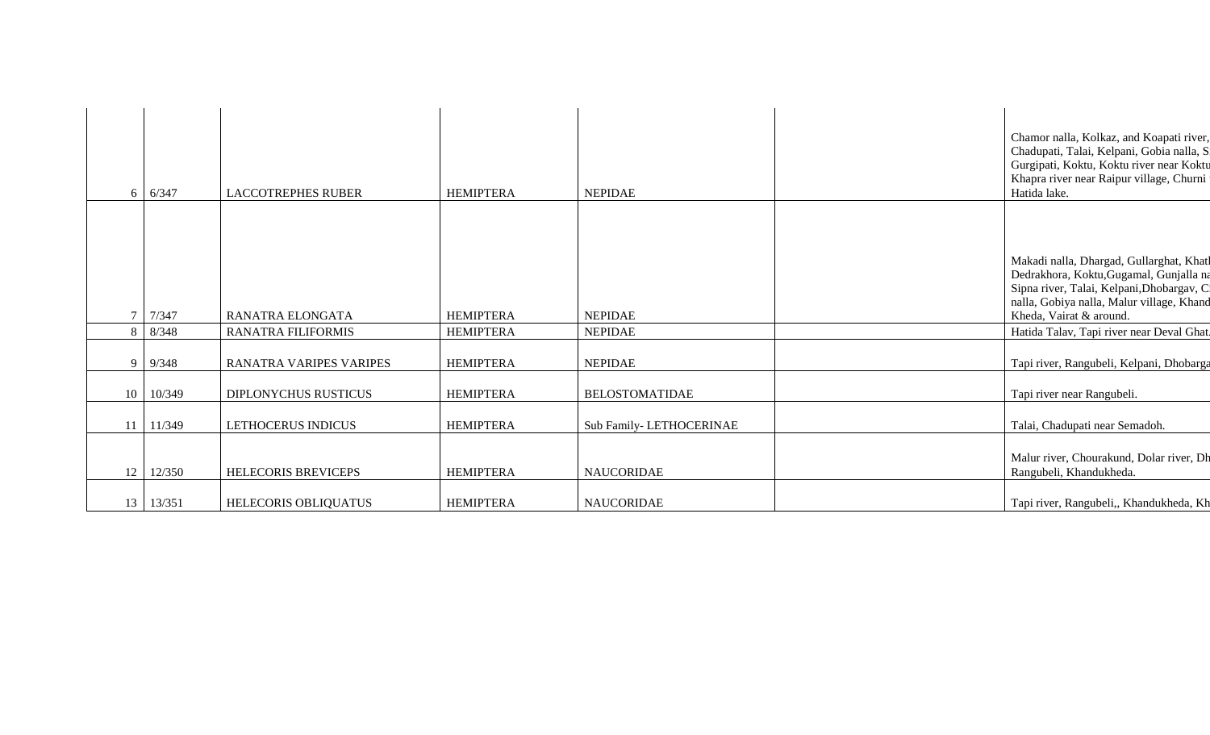| 6               | 6/347          | <b>LACCOTREPHES RUBER</b>      | <b>HEMIPTERA</b> | <b>NEPIDAE</b>          | Chamor nalla, Kolkaz, and Koapati river,<br>Chadupati, Talai, Kelpani, Gobia nalla, S<br>Gurgipati, Koktu, Koktu river near Koktu<br>Khapra river near Raipur village, Churni<br>Hatida lake.            |
|-----------------|----------------|--------------------------------|------------------|-------------------------|----------------------------------------------------------------------------------------------------------------------------------------------------------------------------------------------------------|
|                 |                |                                |                  |                         |                                                                                                                                                                                                          |
|                 | 7 7/347        | <b>RANATRA ELONGATA</b>        | <b>HEMIPTERA</b> | <b>NEPIDAE</b>          | Makadi nalla, Dhargad, Gullarghat, Khatl<br>Dedrakhora, Koktu, Gugamal, Gunjalla na<br>Sipna river, Talai, Kelpani, Dhobargav, C<br>nalla, Gobiya nalla, Malur village, Khand<br>Kheda, Vairat & around. |
|                 | 8/348          | <b>RANATRA FILIFORMIS</b>      | <b>HEMIPTERA</b> | <b>NEPIDAE</b>          | Hatida Talav, Tapi river near Deval Ghat.                                                                                                                                                                |
|                 |                |                                |                  |                         |                                                                                                                                                                                                          |
|                 | $9 \mid 9/348$ | <b>RANATRA VARIPES VARIPES</b> | <b>HEMIPTERA</b> | <b>NEPIDAE</b>          | Tapi river, Rangubeli, Kelpani, Dhobarga                                                                                                                                                                 |
|                 | 10 10/349      | DIPLONYCHUS RUSTICUS           | <b>HEMIPTERA</b> | <b>BELOSTOMATIDAE</b>   | Tapi river near Rangubeli.                                                                                                                                                                               |
| 11 <sup>1</sup> | 11/349         | LETHOCERUS INDICUS             | <b>HEMIPTERA</b> | Sub Family-LETHOCERINAE | Talai, Chadupati near Semadoh.                                                                                                                                                                           |
| 12              | 12/350         | HELECORIS BREVICEPS            | <b>HEMIPTERA</b> | <b>NAUCORIDAE</b>       | Malur river, Chourakund, Dolar river, Dh<br>Rangubeli, Khandukheda.                                                                                                                                      |
|                 | 13 13/351      | HELECORIS OBLIQUATUS           | <b>HEMIPTERA</b> | <b>NAUCORIDAE</b>       | Tapi river, Rangubeli,, Khandukheda, Kh                                                                                                                                                                  |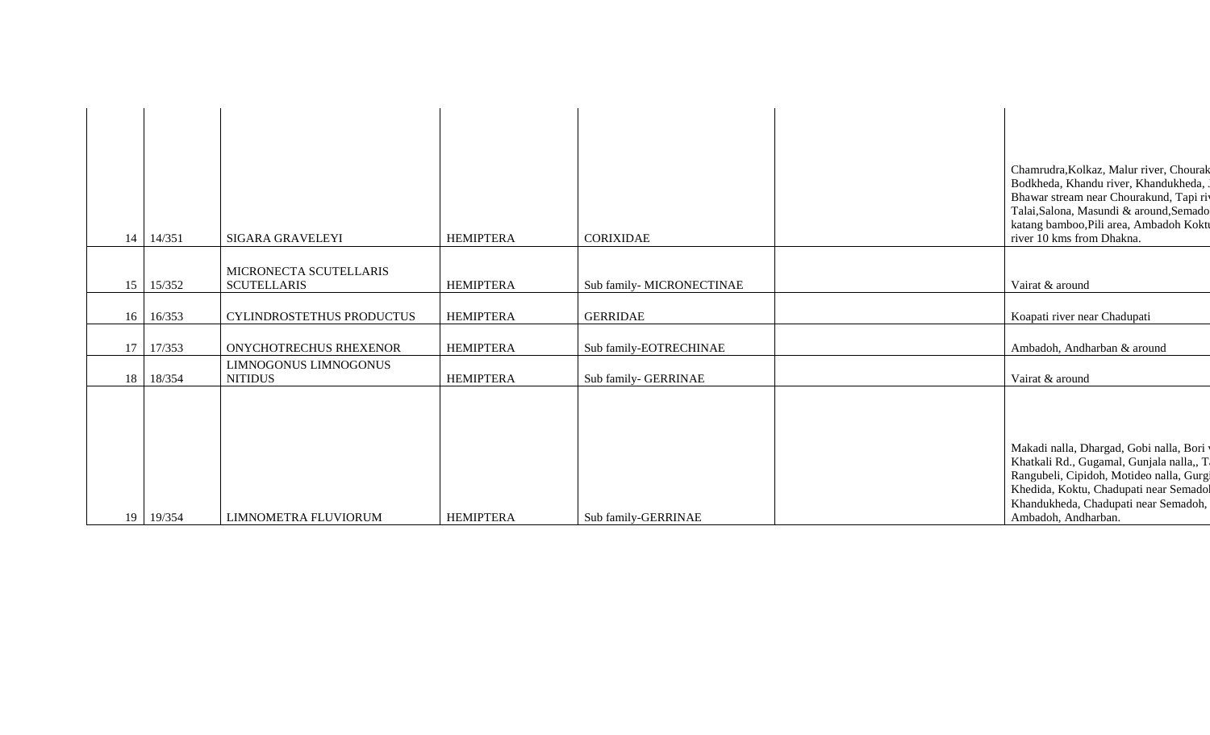| 14              | 14/351    | SIGARA GRAVELEYI                             | <b>HEMIPTERA</b> | CORIXIDAE                | Chamrudra, Kolkaz, Malur river, Chourak<br>Bodkheda, Khandu river, Khandukheda,<br>Bhawar stream near Chourakund, Tapi riv<br>Talai, Salona, Masundi & around, Semado<br>katang bamboo, Pili area, Ambadoh Koktu<br>river 10 kms from Dhakna. |
|-----------------|-----------|----------------------------------------------|------------------|--------------------------|-----------------------------------------------------------------------------------------------------------------------------------------------------------------------------------------------------------------------------------------------|
|                 |           |                                              |                  |                          |                                                                                                                                                                                                                                               |
|                 | 15 15/352 | MICRONECTA SCUTELLARIS<br><b>SCUTELLARIS</b> | <b>HEMIPTERA</b> | Sub family-MICRONECTINAE | Vairat & around                                                                                                                                                                                                                               |
| 16              | 16/353    | CYLINDROSTETHUS PRODUCTUS                    | <b>HEMIPTERA</b> | <b>GERRIDAE</b>          | Koapati river near Chadupati                                                                                                                                                                                                                  |
| 17 <sup>1</sup> | 17/353    | ONYCHOTRECHUS RHEXENOR                       | <b>HEMIPTERA</b> | Sub family-EOTRECHINAE   | Ambadoh, Andharban & around                                                                                                                                                                                                                   |
| 18              | 18/354    | LIMNOGONUS LIMNOGONUS<br><b>NITIDUS</b>      | <b>HEMIPTERA</b> | Sub family- GERRINAE     | Vairat & around                                                                                                                                                                                                                               |
|                 |           |                                              |                  |                          | Makadi nalla, Dhargad, Gobi nalla, Bori y<br>Khatkali Rd., Gugamal, Gunjala nalla,, T                                                                                                                                                         |
| 19              | 19/354    | LIMNOMETRA FLUVIORUM                         | <b>HEMIPTERA</b> | Sub family-GERRINAE      | Rangubeli, Cipidoh, Motideo nalla, Gurgi<br>Khedida, Koktu, Chadupati near Semadol<br>Khandukheda, Chadupati near Semadoh,<br>Ambadoh, Andharban.                                                                                             |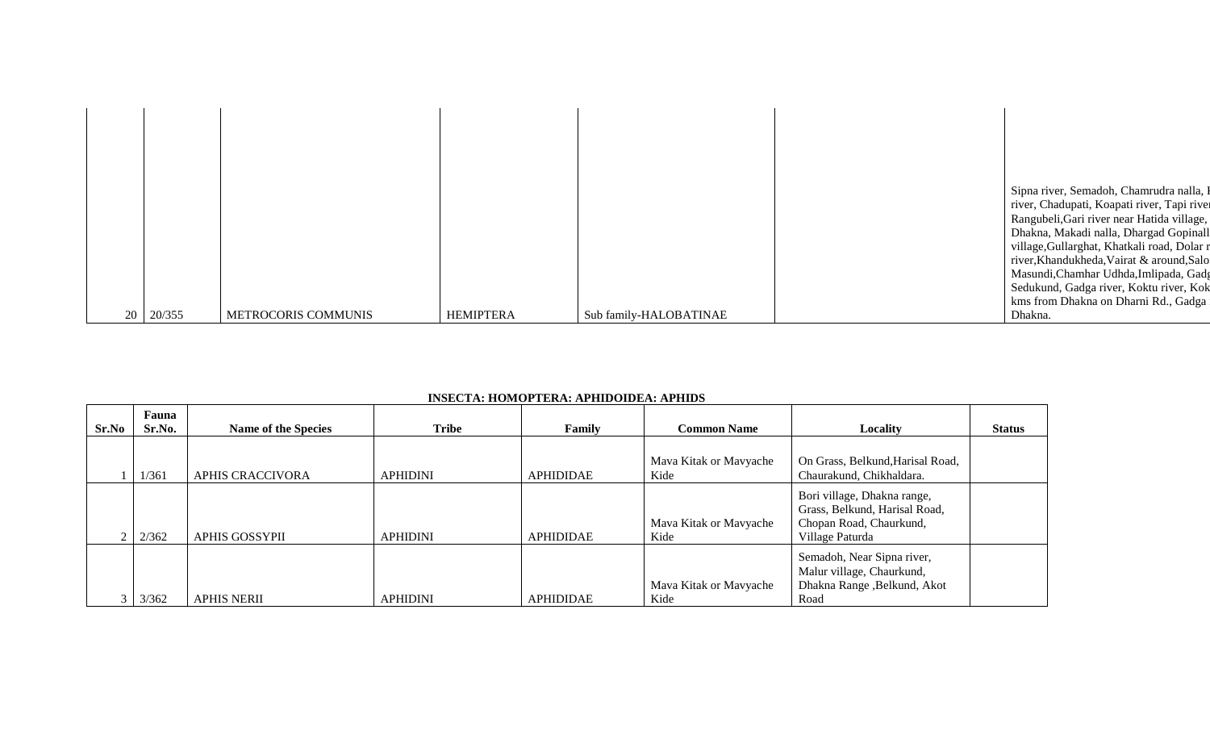|  |                  |                     |                  |                        | Sipna river, Semadoh, Chamrudra nalla, I    |
|--|------------------|---------------------|------------------|------------------------|---------------------------------------------|
|  |                  |                     |                  |                        | river, Chadupati, Koapati river, Tapi river |
|  |                  |                     |                  |                        | Rangubeli, Gari river near Hatida village,  |
|  |                  |                     |                  |                        | Dhakna, Makadi nalla, Dhargad Gopinall      |
|  |                  |                     |                  |                        | village, Gullarghat, Khatkali road, Dolar r |
|  |                  |                     |                  |                        | river, Khandukheda, Vairat & around, Salo   |
|  |                  |                     |                  |                        | Masundi, Chamhar Udhda, Imlipada, Gadg      |
|  |                  |                     |                  |                        | Sedukund, Gadga river, Koktu river, Kok     |
|  |                  |                     |                  |                        | kms from Dhakna on Dharni Rd., Gadga        |
|  | $20 \mid 20/355$ | METROCORIS COMMUNIS | <b>HEMIPTERA</b> | Sub family-HALOBATINAE | Dhakna.                                     |

| INSECTA: HOMOPTERA: APHIDOIDEA: APHIDS |
|----------------------------------------|
|----------------------------------------|

| Sr.No | Fauna<br>Sr.No. | <b>Name of the Species</b> | <b>Tribe</b>    | Family           | <b>Common Name</b>             | Locality                                                                                                   | <b>Status</b> |
|-------|-----------------|----------------------------|-----------------|------------------|--------------------------------|------------------------------------------------------------------------------------------------------------|---------------|
|       | 1/361           | APHIS CRACCIVORA           | <b>APHIDINI</b> | <b>APHIDIDAE</b> | Mava Kitak or Mavyache<br>Kide | On Grass, Belkund, Harisal Road,<br>Chaurakund, Chikhaldara.                                               |               |
|       | 2/362           | <b>APHIS GOSSYPII</b>      | <b>APHIDINI</b> | <b>APHIDIDAE</b> | Mava Kitak or Mavyache<br>Kide | Bori village, Dhakna range,<br>Grass, Belkund, Harisal Road,<br>Chopan Road, Chaurkund,<br>Village Paturda |               |
|       | 3/362           | <b>APHIS NERII</b>         | <b>APHIDINI</b> | <b>APHIDIDAE</b> | Mava Kitak or Mavyache<br>Kide | Semadoh, Near Sipna river,<br>Malur village, Chaurkund,<br>Dhakna Range , Belkund, Akot<br>Road            |               |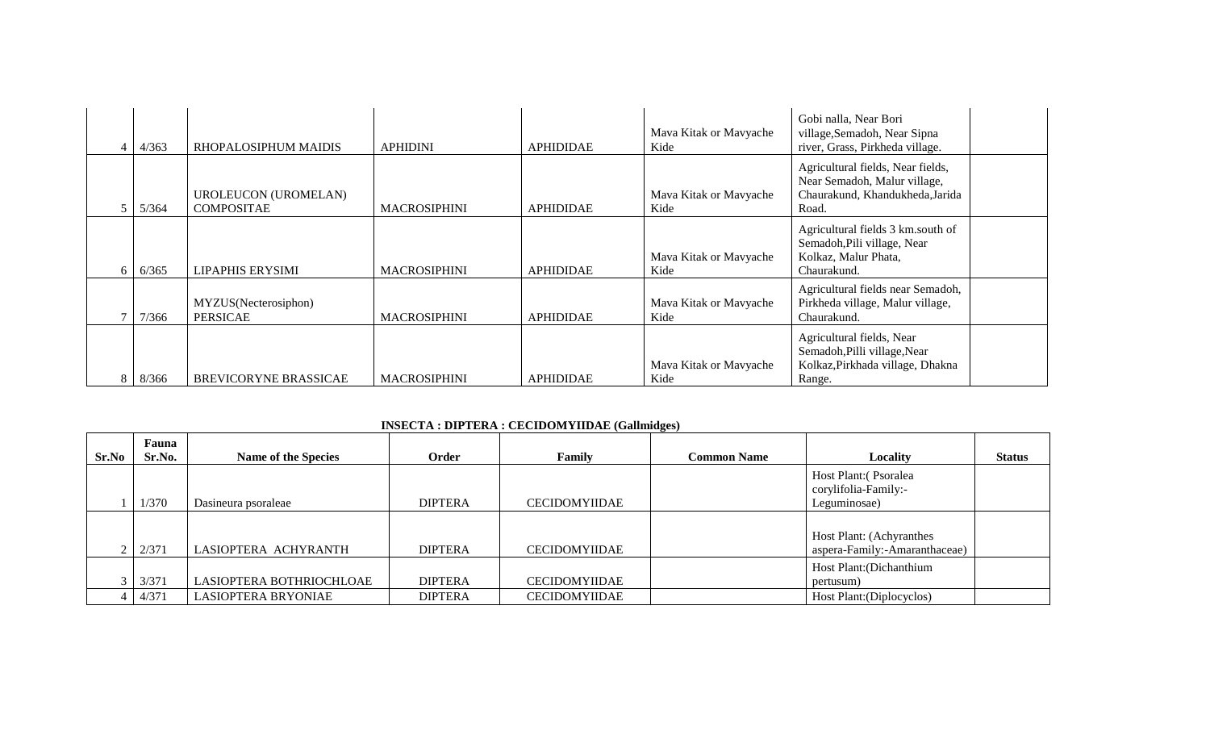| $\overline{\mathcal{L}}$ | 4/363 | RHOPALOSIPHUM MAIDIS                             | <b>APHIDINI</b>     | <b>APHIDIDAE</b> | Mava Kitak or Mavyache<br>Kide | Gobi nalla, Near Bori<br>village, Semadoh, Near Sipna<br>river, Grass, Pirkheda village.                      |  |
|--------------------------|-------|--------------------------------------------------|---------------------|------------------|--------------------------------|---------------------------------------------------------------------------------------------------------------|--|
|                          | 5/364 | <b>UROLEUCON (UROMELAN)</b><br><b>COMPOSITAE</b> | <b>MACROSIPHINI</b> | <b>APHIDIDAE</b> | Mava Kitak or Mavyache<br>Kide | Agricultural fields, Near fields,<br>Near Semadoh, Malur village,<br>Chaurakund, Khandukheda, Jarida<br>Road. |  |
| 6                        | 6/365 | LIPAPHIS ERYSIMI                                 | <b>MACROSIPHINI</b> | <b>APHIDIDAE</b> | Mava Kitak or Mavyache<br>Kide | Agricultural fields 3 km.south of<br>Semadoh, Pili village, Near<br>Kolkaz, Malur Phata,<br>Chaurakund.       |  |
|                          | 7/366 | MYZUS(Necterosiphon)<br><b>PERSICAE</b>          | <b>MACROSIPHINI</b> | <b>APHIDIDAE</b> | Mava Kitak or Mavyache<br>Kide | Agricultural fields near Semadoh,<br>Pirkheda village, Malur village,<br>Chaurakund.                          |  |
| 8                        | 8/366 | BREVICORYNE BRASSICAE                            | <b>MACROSIPHINI</b> | <b>APHIDIDAE</b> | Mava Kitak or Mavyache<br>Kide | Agricultural fields, Near<br>Semadoh, Pilli village, Near<br>Kolkaz, Pirkhada village, Dhakna<br>Range.       |  |

# **INSECTA : DIPTERA : CECIDOMYIIDAE (Gallmidges)**

| Sr.No | Fauna<br>Sr.No. | <b>Name of the Species</b> | Order          | <b>Family</b>        | <b>Common Name</b> | Locality                      | <b>Status</b> |
|-------|-----------------|----------------------------|----------------|----------------------|--------------------|-------------------------------|---------------|
|       |                 |                            |                |                      |                    |                               |               |
|       |                 |                            |                |                      |                    | Host Plant: (Psoralea         |               |
|       |                 |                            |                |                      |                    | corylifolia-Family:-          |               |
|       |                 |                            |                |                      |                    |                               |               |
|       | 1/370           | Dasineura psoraleae        | <b>DIPTERA</b> | <b>CECIDOMYIIDAE</b> |                    | Leguminosae)                  |               |
|       |                 |                            |                |                      |                    |                               |               |
|       |                 |                            |                |                      |                    |                               |               |
|       |                 |                            |                |                      |                    | Host Plant: (Achyranthes      |               |
|       | 2/371           | LASIOPTERA ACHYRANTH       | <b>DIPTERA</b> | <b>CECIDOMYIIDAE</b> |                    | aspera-Family:-Amaranthaceae) |               |
|       |                 |                            |                |                      |                    | Host Plant: (Dichanthium      |               |
|       |                 |                            |                |                      |                    |                               |               |
|       | 3/371           | LASIOPTERA BOTHRIOCHLOAE   | <b>DIPTERA</b> | <b>CECIDOMYIIDAE</b> |                    | pertusum)                     |               |
|       | 4/371           | LASIOPTERA BRYONIAE        | <b>DIPTERA</b> | CECIDOMYIIDAE        |                    | Host Plant: (Diplocyclos)     |               |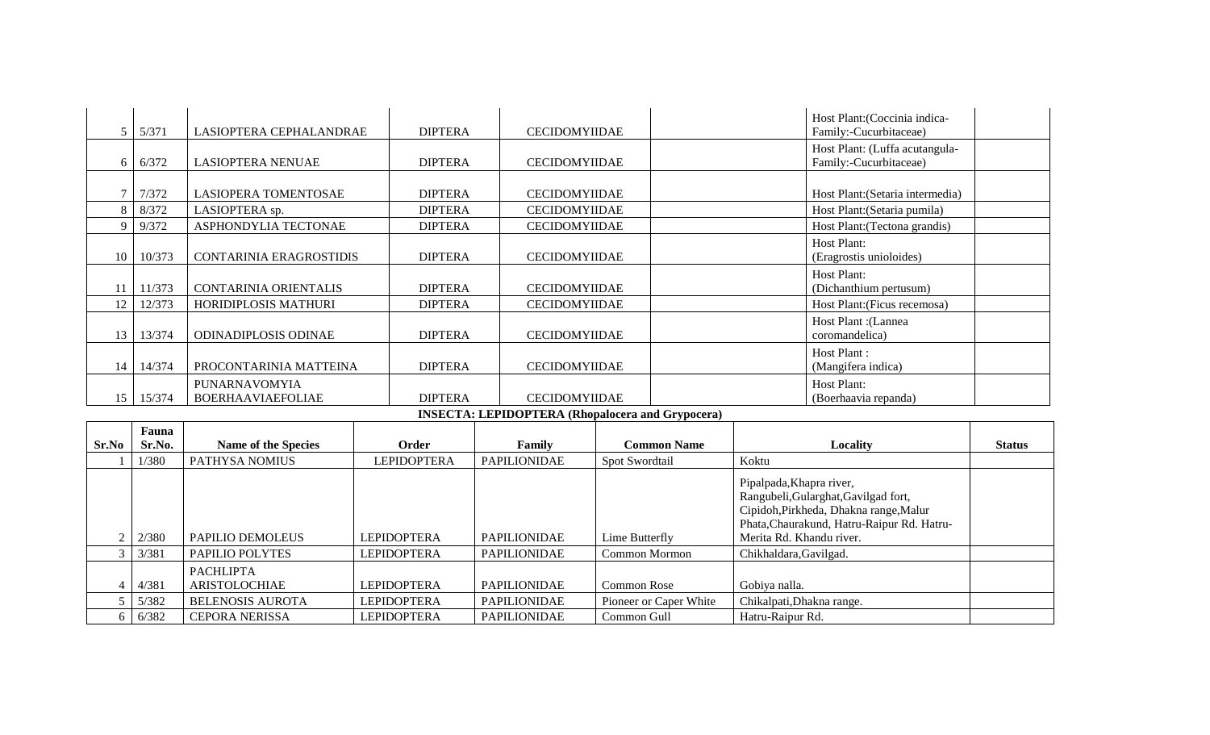|    | 5/371  | LASIOPTERA CEPHALANDRAE                          | <b>DIPTERA</b> | <b>CECIDOMYIIDAE</b> | Host Plant: (Coccinia indica-<br>Family:-Cucurbitaceae)  |
|----|--------|--------------------------------------------------|----------------|----------------------|----------------------------------------------------------|
|    | 6/372  | <b>LASIOPTERA NENUAE</b>                         | <b>DIPTERA</b> | CECIDOMYIIDAE        | Host Plant: (Luffa acutangula-<br>Family:-Cucurbitaceae) |
|    | 7/372  | LASIOPERA TOMENTOSAE                             | <b>DIPTERA</b> | <b>CECIDOMYIIDAE</b> | Host Plant: (Setaria intermedia)                         |
|    | 8/372  | LASIOPTERA sp.                                   | <b>DIPTERA</b> | <b>CECIDOMYIIDAE</b> | Host Plant: (Setaria pumila)                             |
|    | 9/372  | ASPHONDYLIA TECTONAE                             | <b>DIPTERA</b> | <b>CECIDOMYIIDAE</b> | Host Plant: (Tectona grandis)                            |
| 10 | 10/373 | <b>CONTARINIA ERAGROSTIDIS</b>                   | <b>DIPTERA</b> | <b>CECIDOMYIIDAE</b> | Host Plant:<br>(Eragrostis unioloides)                   |
|    | 11/373 | CONTARINIA ORIENTALIS                            | <b>DIPTERA</b> | <b>CECIDOMYIIDAE</b> | Host Plant:<br>(Dichanthium pertusum)                    |
| 12 | 12/373 | HORIDIPLOSIS MATHURI                             | <b>DIPTERA</b> | CECIDOMYIIDAE        | Host Plant: (Ficus recemosa)                             |
| 13 | 13/374 | <b>ODINADIPLOSIS ODINAE</b>                      | <b>DIPTERA</b> | <b>CECIDOMYIIDAE</b> | Host Plant : (Lannea<br>coromandelica)                   |
| 14 | 14/374 | PROCONTARINIA MATTEINA                           | <b>DIPTERA</b> | <b>CECIDOMYIIDAE</b> | Host Plant:<br>(Mangifera indica)                        |
| 15 | 15/374 | <b>PUNARNAVOMYIA</b><br><b>BOERHAAVIAEFOLIAE</b> | <b>DIPTERA</b> | <b>CECIDOMYIIDAE</b> | Host Plant:<br>(Boerhaavia repanda)<br>$\sim$ $\sim$     |

#### **INSECTA: LEPIDOPTERA (Rhopalocera and Grypocera)**

|       | Fauna  |                                   |                    |                     |                        |                                                                                                                                                          |               |
|-------|--------|-----------------------------------|--------------------|---------------------|------------------------|----------------------------------------------------------------------------------------------------------------------------------------------------------|---------------|
| Sr.No | Sr.No. | <b>Name of the Species</b>        | Order              | Family              | <b>Common Name</b>     | Locality                                                                                                                                                 | <b>Status</b> |
|       | 1/380  | PATHYSA NOMIUS                    | <b>LEPIDOPTERA</b> | <b>PAPILIONIDAE</b> | Spot Swordtail         | Koktu                                                                                                                                                    |               |
|       |        |                                   |                    |                     |                        | Pipalpada, Khapra river,<br>Rangubeli, Gularghat, Gavilgad fort,<br>Cipidoh, Pirkheda, Dhakna range, Malur<br>Phata, Chaurakund, Hatru-Raipur Rd. Hatru- |               |
|       | 2/380  | PAPILIO DEMOLEUS                  | <b>LEPIDOPTERA</b> | <b>PAPILIONIDAE</b> | Lime Butterfly         | Merita Rd. Khandu river.                                                                                                                                 |               |
|       | 3/381  | PAPILIO POLYTES                   | <b>LEPIDOPTERA</b> | <b>PAPILIONIDAE</b> | Common Mormon          | Chikhaldara, Gavilgad.                                                                                                                                   |               |
|       | 4/381  | <b>PACHLIPTA</b><br>ARISTOLOCHIAE | <b>LEPIDOPTERA</b> | <b>PAPILIONIDAE</b> | <b>Common Rose</b>     | Gobiya nalla.                                                                                                                                            |               |
|       | 5/382  | <b>BELENOSIS AUROTA</b>           | <b>LEPIDOPTERA</b> | <b>PAPILIONIDAE</b> | Pioneer or Caper White | Chikalpati, Dhakna range.                                                                                                                                |               |
|       | 6/382  | <b>CEPORA NERISSA</b>             | <b>LEPIDOPTERA</b> | <b>PAPILIONIDAE</b> | Common Gull            | Hatru-Raipur Rd.                                                                                                                                         |               |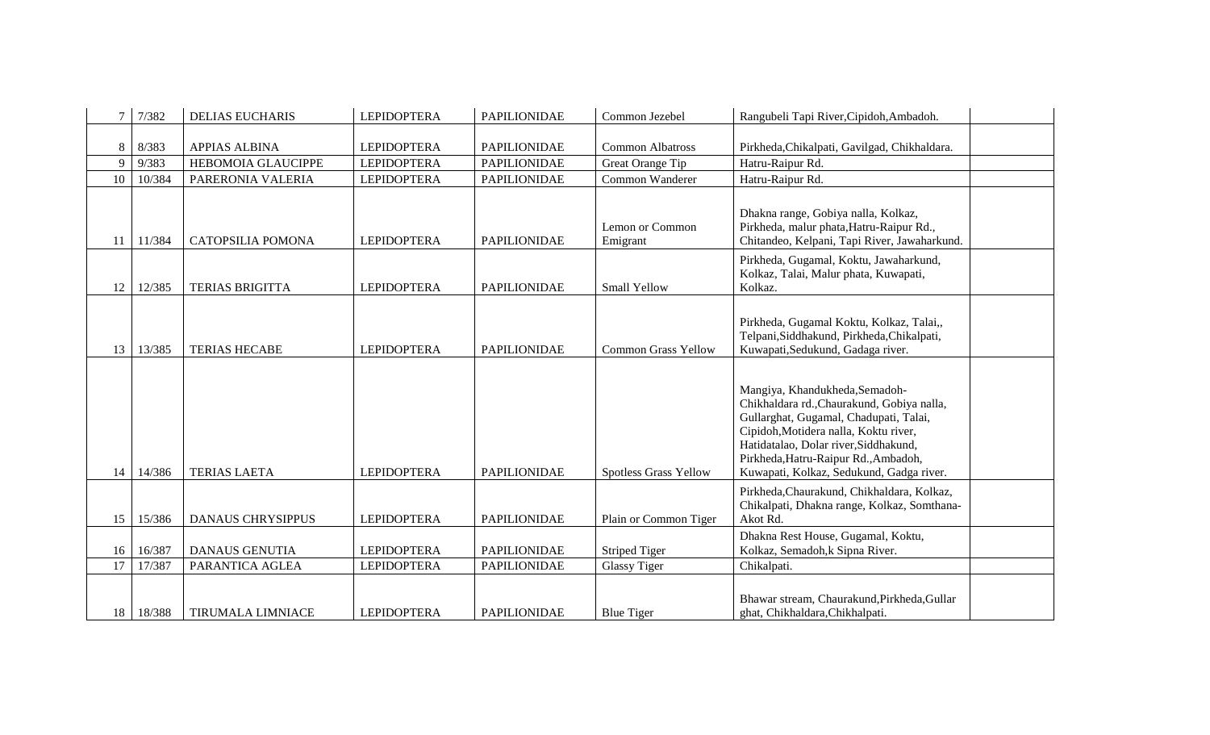| $\tau$       | 7/382  | <b>DELIAS EUCHARIS</b>    | <b>LEPIDOPTERA</b> | <b>PAPILIONIDAE</b> | Common Jezebel              | Rangubeli Tapi River, Cipidoh, Ambadoh.                                                                                                                                                                                                                                                      |  |
|--------------|--------|---------------------------|--------------------|---------------------|-----------------------------|----------------------------------------------------------------------------------------------------------------------------------------------------------------------------------------------------------------------------------------------------------------------------------------------|--|
|              |        |                           |                    |                     |                             |                                                                                                                                                                                                                                                                                              |  |
| 8            | 8/383  | <b>APPIAS ALBINA</b>      | <b>LEPIDOPTERA</b> | <b>PAPILIONIDAE</b> | <b>Common Albatross</b>     | Pirkheda, Chikalpati, Gavilgad, Chikhaldara.                                                                                                                                                                                                                                                 |  |
| $\mathbf{Q}$ | 9/383  | <b>HEBOMOIA GLAUCIPPE</b> | <b>LEPIDOPTERA</b> | <b>PAPILIONIDAE</b> | Great Orange Tip            | Hatru-Raipur Rd.                                                                                                                                                                                                                                                                             |  |
| 10           | 10/384 | PARERONIA VALERIA         | <b>LEPIDOPTERA</b> | <b>PAPILIONIDAE</b> | Common Wanderer             | Hatru-Raipur Rd.                                                                                                                                                                                                                                                                             |  |
| 11           | 11/384 | CATOPSILIA POMONA         | <b>LEPIDOPTERA</b> | <b>PAPILIONIDAE</b> | Lemon or Common<br>Emigrant | Dhakna range, Gobiya nalla, Kolkaz,<br>Pirkheda, malur phata, Hatru-Raipur Rd.,<br>Chitandeo, Kelpani, Tapi River, Jawaharkund.                                                                                                                                                              |  |
| 12           | 12/385 | <b>TERIAS BRIGITTA</b>    | <b>LEPIDOPTERA</b> | <b>PAPILIONIDAE</b> | <b>Small Yellow</b>         | Pirkheda, Gugamal, Koktu, Jawaharkund,<br>Kolkaz, Talai, Malur phata, Kuwapati,<br>Kolkaz.                                                                                                                                                                                                   |  |
| 13           | 13/385 | <b>TERIAS HECABE</b>      | <b>LEPIDOPTERA</b> | <b>PAPILIONIDAE</b> | <b>Common Grass Yellow</b>  | Pirkheda, Gugamal Koktu, Kolkaz, Talai,,<br>Telpani, Siddhakund, Pirkheda, Chikalpati,<br>Kuwapati, Sedukund, Gadaga river.                                                                                                                                                                  |  |
| 14           | 14/386 | <b>TERIAS LAETA</b>       | <b>LEPIDOPTERA</b> | <b>PAPILIONIDAE</b> | Spotless Grass Yellow       | Mangiya, Khandukheda, Semadoh-<br>Chikhaldara rd., Chaurakund, Gobiya nalla,<br>Gullarghat, Gugamal, Chadupati, Talai,<br>Cipidoh, Motidera nalla, Koktu river,<br>Hatidatalao, Dolar river, Siddhakund,<br>Pirkheda, Hatru-Raipur Rd., Ambadoh,<br>Kuwapati, Kolkaz, Sedukund, Gadga river. |  |
| 15           | 15/386 | <b>DANAUS CHRYSIPPUS</b>  | <b>LEPIDOPTERA</b> | <b>PAPILIONIDAE</b> | Plain or Common Tiger       | Pirkheda, Chaurakund, Chikhaldara, Kolkaz,<br>Chikalpati, Dhakna range, Kolkaz, Somthana-<br>Akot Rd.                                                                                                                                                                                        |  |
| 16           | 16/387 | <b>DANAUS GENUTIA</b>     | <b>LEPIDOPTERA</b> | <b>PAPILIONIDAE</b> | <b>Striped Tiger</b>        | Dhakna Rest House, Gugamal, Koktu,<br>Kolkaz, Semadoh, k Sipna River.                                                                                                                                                                                                                        |  |
| 17           | 17/387 | PARANTICA AGLEA           | <b>LEPIDOPTERA</b> | <b>PAPILIONIDAE</b> | <b>Glassy Tiger</b>         | Chikalpati.                                                                                                                                                                                                                                                                                  |  |
| 18           | 18/388 | <b>TIRUMALA LIMNIACE</b>  | <b>LEPIDOPTERA</b> | <b>PAPILIONIDAE</b> | <b>Blue Tiger</b>           | Bhawar stream, Chaurakund, Pirkheda, Gullar<br>ghat, Chikhaldara, Chikhalpati.                                                                                                                                                                                                               |  |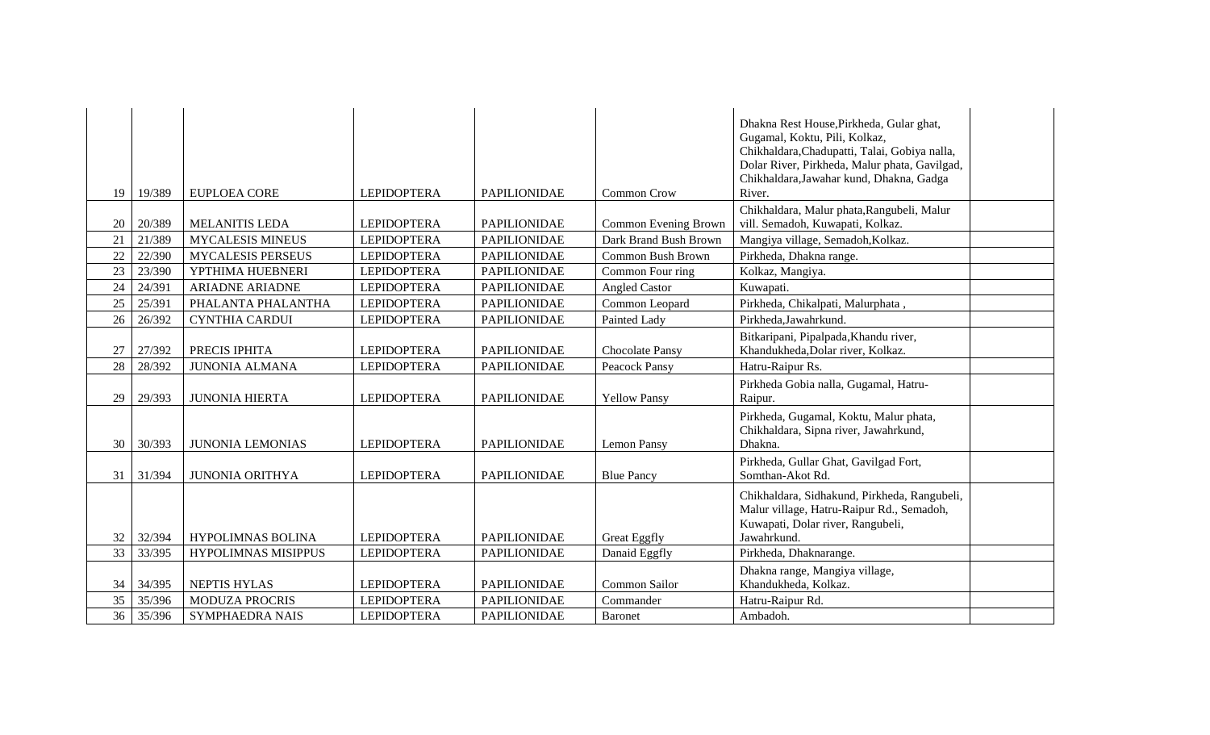|    |        |                            |                    |                     |                       | Dhakna Rest House, Pirkheda, Gular ghat,<br>Gugamal, Koktu, Pili, Kolkaz,<br>Chikhaldara, Chadupatti, Talai, Gobiya nalla,<br>Dolar River, Pirkheda, Malur phata, Gavilgad, |  |
|----|--------|----------------------------|--------------------|---------------------|-----------------------|-----------------------------------------------------------------------------------------------------------------------------------------------------------------------------|--|
| 19 | 19/389 | EUPLOEA CORE               | <b>LEPIDOPTERA</b> | <b>PAPILIONIDAE</b> | <b>Common Crow</b>    | Chikhaldara, Jawahar kund, Dhakna, Gadga<br>River.                                                                                                                          |  |
| 20 | 20/389 | <b>MELANITIS LEDA</b>      | <b>LEPIDOPTERA</b> | <b>PAPILIONIDAE</b> | Common Evening Brown  | Chikhaldara, Malur phata, Rangubeli, Malur<br>vill. Semadoh, Kuwapati, Kolkaz.                                                                                              |  |
| 21 | 21/389 | <b>MYCALESIS MINEUS</b>    | <b>LEPIDOPTERA</b> | <b>PAPILIONIDAE</b> | Dark Brand Bush Brown | Mangiya village, Semadoh, Kolkaz.                                                                                                                                           |  |
| 22 | 22/390 | <b>MYCALESIS PERSEUS</b>   | <b>LEPIDOPTERA</b> | <b>PAPILIONIDAE</b> | Common Bush Brown     | Pirkheda, Dhakna range.                                                                                                                                                     |  |
| 23 | 23/390 | YPTHIMA HUEBNERI           | <b>LEPIDOPTERA</b> | <b>PAPILIONIDAE</b> | Common Four ring      | Kolkaz, Mangiya.                                                                                                                                                            |  |
| 24 | 24/391 | <b>ARIADNE ARIADNE</b>     | <b>LEPIDOPTERA</b> | <b>PAPILIONIDAE</b> | <b>Angled Castor</b>  | Kuwapati.                                                                                                                                                                   |  |
| 25 | 25/391 | PHALANTA PHALANTHA         | <b>LEPIDOPTERA</b> | <b>PAPILIONIDAE</b> | Common Leopard        | Pirkheda, Chikalpati, Malurphata,                                                                                                                                           |  |
| 26 | 26/392 | <b>CYNTHIA CARDUI</b>      | <b>LEPIDOPTERA</b> | <b>PAPILIONIDAE</b> | Painted Lady          | Pirkheda, Jawahrkund.                                                                                                                                                       |  |
| 27 | 27/392 | PRECIS IPHITA              | <b>LEPIDOPTERA</b> | <b>PAPILIONIDAE</b> | Chocolate Pansy       | Bitkaripani, Pipalpada, Khandu river,<br>Khandukheda, Dolar river, Kolkaz.                                                                                                  |  |
| 28 | 28/392 | <b>JUNONIA ALMANA</b>      | <b>LEPIDOPTERA</b> | <b>PAPILIONIDAE</b> | Peacock Pansy         | Hatru-Raipur Rs.                                                                                                                                                            |  |
| 29 | 29/393 | <b>JUNONIA HIERTA</b>      | <b>LEPIDOPTERA</b> | PAPILIONIDAE        | <b>Yellow Pansy</b>   | Pirkheda Gobia nalla, Gugamal, Hatru-<br>Raipur.                                                                                                                            |  |
| 30 | 30/393 | <b>JUNONIA LEMONIAS</b>    | <b>LEPIDOPTERA</b> | <b>PAPILIONIDAE</b> | Lemon Pansy           | Pirkheda, Gugamal, Koktu, Malur phata,<br>Chikhaldara, Sipna river, Jawahrkund,<br>Dhakna.                                                                                  |  |
| 31 | 31/394 | <b>JUNONIA ORITHYA</b>     | <b>LEPIDOPTERA</b> | <b>PAPILIONIDAE</b> | <b>Blue Pancy</b>     | Pirkheda, Gullar Ghat, Gavilgad Fort,<br>Somthan-Akot Rd.                                                                                                                   |  |
| 32 | 32/394 | <b>HYPOLIMNAS BOLINA</b>   | <b>LEPIDOPTERA</b> | <b>PAPILIONIDAE</b> | <b>Great Eggfly</b>   | Chikhaldara, Sidhakund, Pirkheda, Rangubeli,<br>Malur village, Hatru-Raipur Rd., Semadoh,<br>Kuwapati, Dolar river, Rangubeli,<br>Jawahrkund.                               |  |
| 33 | 33/395 | <b>HYPOLIMNAS MISIPPUS</b> | <b>LEPIDOPTERA</b> | <b>PAPILIONIDAE</b> | Danaid Eggfly         | Pirkheda, Dhaknarange.                                                                                                                                                      |  |
| 34 | 34/395 | <b>NEPTIS HYLAS</b>        | <b>LEPIDOPTERA</b> | <b>PAPILIONIDAE</b> | Common Sailor         | Dhakna range, Mangiya village,<br>Khandukheda, Kolkaz.                                                                                                                      |  |
| 35 | 35/396 | <b>MODUZA PROCRIS</b>      | <b>LEPIDOPTERA</b> | <b>PAPILIONIDAE</b> | Commander             | Hatru-Raipur Rd.                                                                                                                                                            |  |
| 36 | 35/396 | <b>SYMPHAEDRA NAIS</b>     | <b>LEPIDOPTERA</b> | <b>PAPILIONIDAE</b> | Baronet               | Ambadoh.                                                                                                                                                                    |  |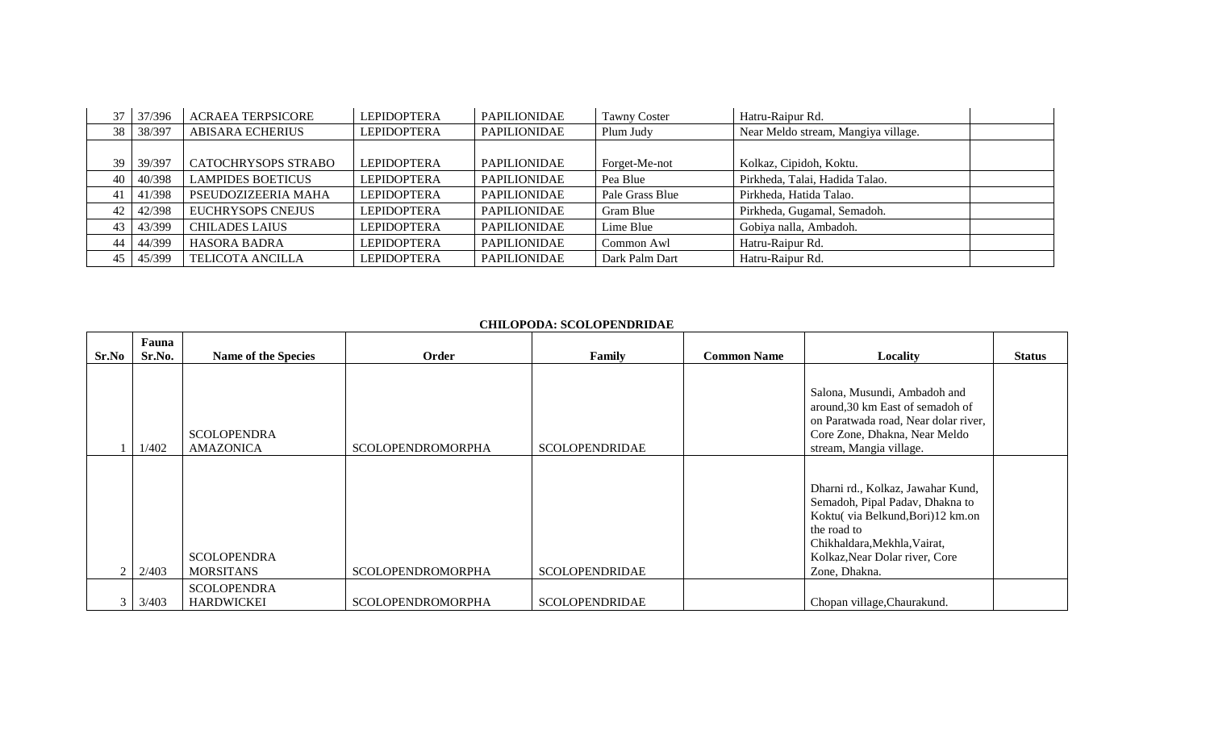| 37 | 37/396 | <b>ACRAEA TERPSICORE</b>   | <b>LEPIDOPTERA</b> | PAPILIONIDAE        | <b>Tawny Coster</b> | Hatru-Raipur Rd.                    |
|----|--------|----------------------------|--------------------|---------------------|---------------------|-------------------------------------|
| 38 | 38/397 | <b>ABISARA ECHERIUS</b>    | <b>LEPIDOPTERA</b> | <b>PAPILIONIDAE</b> | Plum Judy           | Near Meldo stream, Mangiya village. |
|    |        |                            |                    |                     |                     |                                     |
| 39 | 39/397 | <b>CATOCHRYSOPS STRABO</b> | <b>LEPIDOPTERA</b> | PAPILIONIDAE        | Forget-Me-not       | Kolkaz, Cipidoh, Koktu.             |
| 40 | 40/398 | <b>LAMPIDES BOETICUS</b>   | <b>LEPIDOPTERA</b> | <b>PAPILIONIDAE</b> | Pea Blue            | Pirkheda, Talai, Hadida Talao.      |
| 41 | 41/398 | PSEUDOZIZEERIA MAHA        | <b>LEPIDOPTERA</b> | PAPILIONIDAE        | Pale Grass Blue     | Pirkheda, Hatida Talao.             |
| 42 | 42/398 | <b>EUCHRYSOPS CNEJUS</b>   | <b>LEPIDOPTERA</b> | <b>PAPILIONIDAE</b> | Gram Blue           | Pirkheda, Gugamal, Semadoh.         |
| 43 | 43/399 | <b>CHILADES LAIUS</b>      | <b>LEPIDOPTERA</b> | <b>PAPILIONIDAE</b> | Lime Blue           | Gobiya nalla, Ambadoh.              |
| 44 | 44/399 | <b>HASORA BADRA</b>        | <b>LEPIDOPTERA</b> | <b>PAPILIONIDAE</b> | Common Awl          | Hatru-Raipur Rd.                    |
| 45 | 45/399 | <b>TELICOTA ANCILLA</b>    | <b>LEPIDOPTERA</b> | <b>PAPILIONIDAE</b> | Dark Palm Dart      | Hatru-Raipur Rd.                    |

### **CHILOPODA: SCOLOPENDRIDAE**

|       | Fauna  |                                         |                          |                       |                    |                                                                                                                                                                                                            |               |
|-------|--------|-----------------------------------------|--------------------------|-----------------------|--------------------|------------------------------------------------------------------------------------------------------------------------------------------------------------------------------------------------------------|---------------|
| Sr.No | Sr.No. | <b>Name of the Species</b>              | Order                    | Family                | <b>Common Name</b> | <b>Locality</b>                                                                                                                                                                                            | <b>Status</b> |
|       | 1/402  | <b>SCOLOPENDRA</b><br><b>AMAZONICA</b>  | <b>SCOLOPENDROMORPHA</b> | <b>SCOLOPENDRIDAE</b> |                    | Salona, Musundi, Ambadoh and<br>around, 30 km East of semadoh of<br>on Paratwada road, Near dolar river,<br>Core Zone, Dhakna, Near Meldo<br>stream, Mangia village.                                       |               |
|       | 2/403  | <b>SCOLOPENDRA</b><br><b>MORSITANS</b>  | <b>SCOLOPENDROMORPHA</b> | <b>SCOLOPENDRIDAE</b> |                    | Dharni rd., Kolkaz, Jawahar Kund,<br>Semadoh, Pipal Padav, Dhakna to<br>Koktu(via Belkund, Bori)12 km.on<br>the road to<br>Chikhaldara, Mekhla, Vairat,<br>Kolkaz, Near Dolar river, Core<br>Zone, Dhakna. |               |
|       | 3/403  | <b>SCOLOPENDRA</b><br><b>HARDWICKEI</b> | <b>SCOLOPENDROMORPHA</b> | <b>SCOLOPENDRIDAE</b> |                    | Chopan village, Chaurakund.                                                                                                                                                                                |               |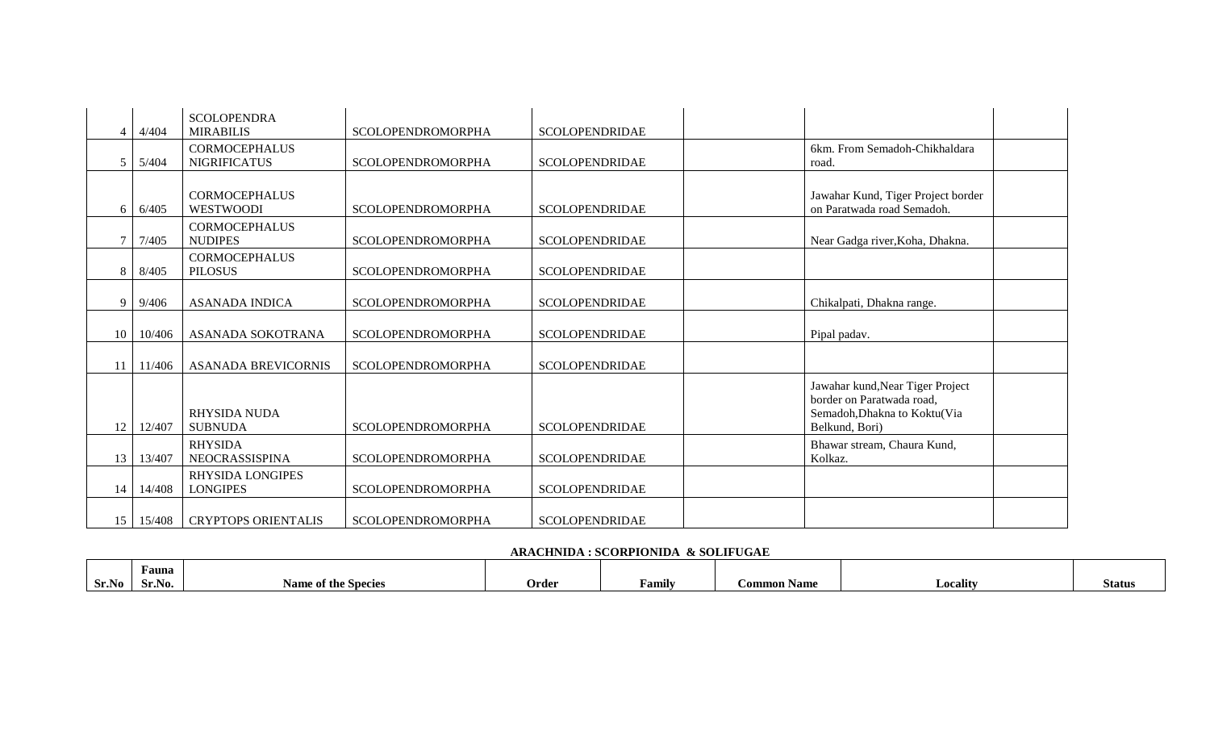|              | 4/404  | <b>SCOLOPENDRA</b><br><b>MIRABILIS</b>      | <b>SCOLOPENDROMORPHA</b> | <b>SCOLOPENDRIDAE</b> |                                                                                                                 |  |
|--------------|--------|---------------------------------------------|--------------------------|-----------------------|-----------------------------------------------------------------------------------------------------------------|--|
|              | 5/404  | <b>CORMOCEPHALUS</b><br><b>NIGRIFICATUS</b> | <b>SCOLOPENDROMORPHA</b> | <b>SCOLOPENDRIDAE</b> | 6km. From Semadoh-Chikhaldara<br>road.                                                                          |  |
| 6            | 6/405  | <b>CORMOCEPHALUS</b><br><b>WESTWOODI</b>    | <b>SCOLOPENDROMORPHA</b> | <b>SCOLOPENDRIDAE</b> | Jawahar Kund, Tiger Project border<br>on Paratwada road Semadoh.                                                |  |
|              | 7/405  | <b>CORMOCEPHALUS</b><br><b>NUDIPES</b>      | <b>SCOLOPENDROMORPHA</b> | <b>SCOLOPENDRIDAE</b> | Near Gadga river, Koha, Dhakna.                                                                                 |  |
| 8            | 8/405  | <b>CORMOCEPHALUS</b><br><b>PILOSUS</b>      | <b>SCOLOPENDROMORPHA</b> | <b>SCOLOPENDRIDAE</b> |                                                                                                                 |  |
| <sup>9</sup> | 9/406  | <b>ASANADA INDICA</b>                       | <b>SCOLOPENDROMORPHA</b> | <b>SCOLOPENDRIDAE</b> | Chikalpati, Dhakna range.                                                                                       |  |
| 10           | 10/406 | ASANADA SOKOTRANA                           | SCOLOPENDROMORPHA        | <b>SCOLOPENDRIDAE</b> | Pipal padav.                                                                                                    |  |
| 11           | 11/406 | <b>ASANADA BREVICORNIS</b>                  | SCOLOPENDROMORPHA        | <b>SCOLOPENDRIDAE</b> |                                                                                                                 |  |
| 12           | 12/407 | <b>RHYSIDA NUDA</b><br><b>SUBNUDA</b>       | <b>SCOLOPENDROMORPHA</b> | <b>SCOLOPENDRIDAE</b> | Jawahar kund, Near Tiger Project<br>border on Paratwada road,<br>Semadoh, Dhakna to Koktu(Via<br>Belkund, Bori) |  |
| 13           | 13/407 | <b>RHYSIDA</b><br>NEOCRASSISPINA            | <b>SCOLOPENDROMORPHA</b> | <b>SCOLOPENDRIDAE</b> | Bhawar stream, Chaura Kund,<br>Kolkaz.                                                                          |  |
| 14           | 14/408 | <b>RHYSIDA LONGIPES</b><br><b>LONGIPES</b>  | <b>SCOLOPENDROMORPHA</b> | <b>SCOLOPENDRIDAE</b> |                                                                                                                 |  |
| 15           | 15/408 | <b>CRYPTOPS ORIENTALIS</b>                  | <b>SCOLOPENDROMORPHA</b> | <b>SCOLOPENDRIDAE</b> |                                                                                                                 |  |

# **ARACHNIDA : SCORPIONIDA & SOLIFUGAE**

|       | Fauna  |                                 |       |        |                 |                            |               |
|-------|--------|---------------------------------|-------|--------|-----------------|----------------------------|---------------|
| Sr.No | Sr.No. | e of the Species<br><b>Name</b> | Order | √amily | Name<br>.`ommon | $\blacksquare$<br>Locality | <b>Status</b> |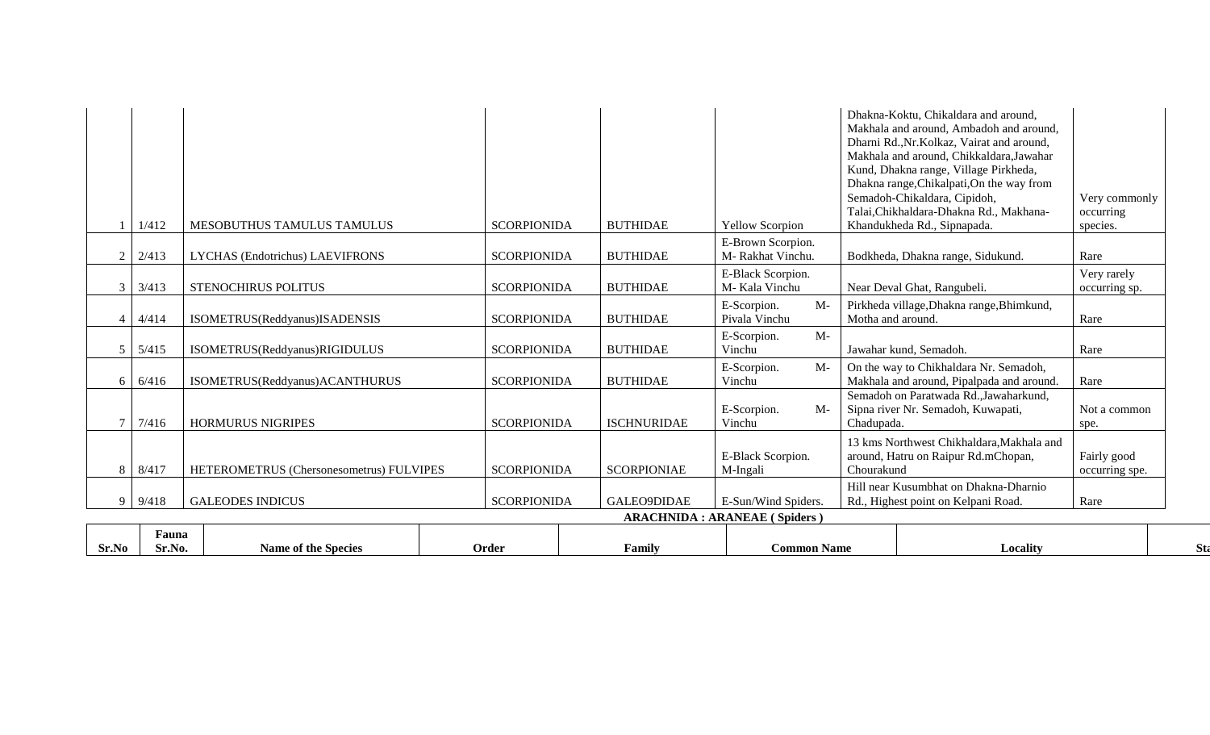| Fauna<br>Sr.No<br>Sr.No. | <b>Name of the Species</b>               | Order              | Family             | <b>Common Name</b>                    |                   | Locality                                                                                                                                                                                                                                                                                                                                                                  |                                        |
|--------------------------|------------------------------------------|--------------------|--------------------|---------------------------------------|-------------------|---------------------------------------------------------------------------------------------------------------------------------------------------------------------------------------------------------------------------------------------------------------------------------------------------------------------------------------------------------------------------|----------------------------------------|
|                          |                                          |                    |                    | <b>ARACHNIDA : ARANEAE (Spiders)</b>  |                   |                                                                                                                                                                                                                                                                                                                                                                           |                                        |
| 9/418<br>9               | <b>GALEODES INDICUS</b>                  | <b>SCORPIONIDA</b> | GALEO9DIDAE        | E-Sun/Wind Spiders.                   |                   | Hill near Kusumbhat on Dhakna-Dharnio<br>Rd., Highest point on Kelpani Road.                                                                                                                                                                                                                                                                                              | Rare                                   |
| 8<br>8/417               | HETEROMETRUS (Chersonesometrus) FULVIPES | <b>SCORPIONIDA</b> | <b>SCORPIONIAE</b> | E-Black Scorpion.<br>M-Ingali         | Chourakund        | 13 kms Northwest Chikhaldara, Makhala and<br>around, Hatru on Raipur Rd.mChopan,                                                                                                                                                                                                                                                                                          | Fairly good<br>occurring spe.          |
| $\overline{7}$<br>7/416  | <b>HORMURUS NIGRIPES</b>                 | <b>SCORPIONIDA</b> | <b>ISCHNURIDAE</b> | E-Scorpion.<br>$M-$<br>Vinchu         | Chadupada.        | Semadoh on Paratwada Rd., Jawaharkund,<br>Sipna river Nr. Semadoh, Kuwapati,                                                                                                                                                                                                                                                                                              | Not a common<br>spe.                   |
| 6/416<br>6               | ISOMETRUS(Reddyanus) ACANTHURUS          | <b>SCORPIONIDA</b> | <b>BUTHIDAE</b>    | $M-$<br>E-Scorpion.<br>Vinchu         |                   | On the way to Chikhaldara Nr. Semadoh,<br>Makhala and around, Pipalpada and around.                                                                                                                                                                                                                                                                                       | Rare                                   |
| 5<br>5/415               | ISOMETRUS(Reddyanus)RIGIDULUS            | <b>SCORPIONIDA</b> | <b>BUTHIDAE</b>    | $M-$<br>E-Scorpion.<br>Vinchu         |                   | Jawahar kund, Semadoh.                                                                                                                                                                                                                                                                                                                                                    | Rare                                   |
| 4/414<br>$\overline{4}$  | ISOMETRUS(Reddyanus)ISADENSIS            | <b>SCORPIONIDA</b> | <b>BUTHIDAE</b>    | $M-$<br>E-Scorpion.<br>Pivala Vinchu  | Motha and around. | Pirkheda village, Dhakna range, Bhimkund,                                                                                                                                                                                                                                                                                                                                 | Rare                                   |
| 3<br>3/413               | <b>STENOCHIRUS POLITUS</b>               | <b>SCORPIONIDA</b> | <b>BUTHIDAE</b>    | E-Black Scorpion.<br>M-Kala Vinchu    |                   | Near Deval Ghat, Rangubeli.                                                                                                                                                                                                                                                                                                                                               | Very rarely<br>occurring sp.           |
| 2/413<br>$\overline{2}$  | LYCHAS (Endotrichus) LAEVIFRONS          | <b>SCORPIONIDA</b> | <b>BUTHIDAE</b>    | E-Brown Scorpion.<br>M-Rakhat Vinchu. |                   | Bodkheda, Dhakna range, Sidukund.                                                                                                                                                                                                                                                                                                                                         | Rare                                   |
| 1/412                    | MESOBUTHUS TAMULUS TAMULUS               | <b>SCORPIONIDA</b> | <b>BUTHIDAE</b>    | <b>Yellow Scorpion</b>                |                   | Dhakna-Koktu, Chikaldara and around,<br>Makhala and around, Ambadoh and around,<br>Dharni Rd., Nr. Kolkaz, Vairat and around,<br>Makhala and around, Chikkaldara, Jawahar<br>Kund, Dhakna range, Village Pirkheda,<br>Dhakna range, Chikalpati, On the way from<br>Semadoh-Chikaldara, Cipidoh,<br>Talai, Chikhaldara-Dhakna Rd., Makhana-<br>Khandukheda Rd., Sipnapada. | Very commonly<br>occurring<br>species. |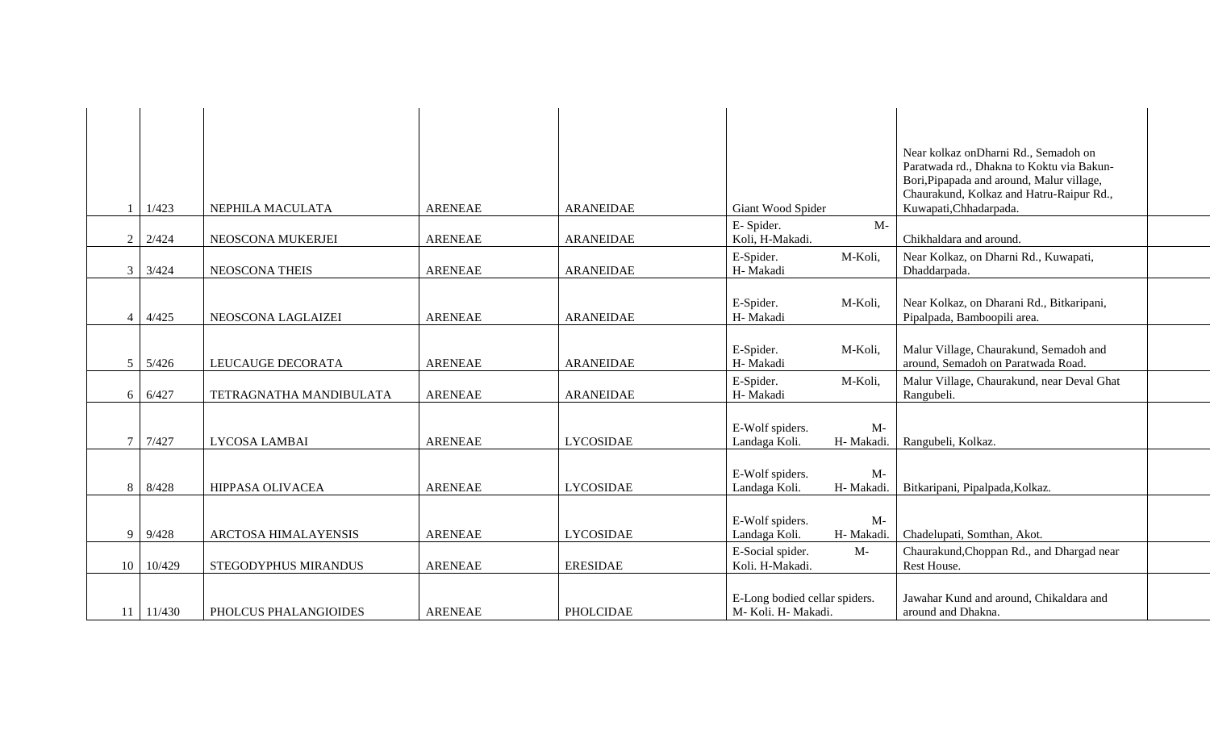|                |        |                         |                |                  |                                                        | Near kolkaz onDharni Rd., Semadoh on<br>Paratwada rd., Dhakna to Koktu via Bakun-<br>Bori, Pipapada and around, Malur village,<br>Chaurakund, Kolkaz and Hatru-Raipur Rd., |
|----------------|--------|-------------------------|----------------|------------------|--------------------------------------------------------|----------------------------------------------------------------------------------------------------------------------------------------------------------------------------|
|                | 1/423  | NEPHILA MACULATA        | <b>ARENEAE</b> | <b>ARANEIDAE</b> | Giant Wood Spider<br>$M -$                             | Kuwapati, Chhadarpada.                                                                                                                                                     |
| 2              | 2/424  | NEOSCONA MUKERJEI       | <b>ARENEAE</b> | <b>ARANEIDAE</b> | E-Spider.<br>Koli, H-Makadi.                           | Chikhaldara and around.                                                                                                                                                    |
| $\overline{3}$ | 3/424  | <b>NEOSCONA THEIS</b>   | <b>ARENEAE</b> | <b>ARANEIDAE</b> | E-Spider.<br>M-Koli,<br>H- Makadi                      | Near Kolkaz, on Dharni Rd., Kuwapati,<br>Dhaddarpada.                                                                                                                      |
| $\overline{4}$ | 4/425  | NEOSCONA LAGLAIZEI      | <b>ARENEAE</b> | <b>ARANEIDAE</b> | E-Spider.<br>M-Koli,<br>H- Makadi                      | Near Kolkaz, on Dharani Rd., Bitkaripani,<br>Pipalpada, Bamboopili area.                                                                                                   |
| 5              | 5/426  | LEUCAUGE DECORATA       | <b>ARENEAE</b> | <b>ARANEIDAE</b> | E-Spider.<br>M-Koli,<br>H- Makadi                      | Malur Village, Chaurakund, Semadoh and<br>around, Semadoh on Paratwada Road.                                                                                               |
| 6 <sup>1</sup> | 6/427  | TETRAGNATHA MANDIBULATA | <b>ARENEAE</b> | <b>ARANEIDAE</b> | E-Spider.<br>M-Koli,<br>H- Makadi                      | Malur Village, Chaurakund, near Deval Ghat<br>Rangubeli.                                                                                                                   |
| $\overline{7}$ | 7/427  | LYCOSA LAMBAI           | <b>ARENEAE</b> | <b>LYCOSIDAE</b> | E-Wolf spiders.<br>$M-$<br>Landaga Koli.<br>H- Makadi. | Rangubeli, Kolkaz.                                                                                                                                                         |
| 8              | 8/428  | HIPPASA OLIVACEA        | <b>ARENEAE</b> | <b>LYCOSIDAE</b> | E-Wolf spiders.<br>$M-$<br>Landaga Koli.<br>H- Makadi. | Bitkaripani, Pipalpada, Kolkaz.                                                                                                                                            |
| 9              | 9/428  | ARCTOSA HIMALAYENSIS    | <b>ARENEAE</b> | <b>LYCOSIDAE</b> | E-Wolf spiders.<br>$M-$<br>Landaga Koli.<br>H- Makadi. | Chadelupati, Somthan, Akot.                                                                                                                                                |
| 10             | 10/429 | STEGODYPHUS MIRANDUS    | <b>ARENEAE</b> | <b>ERESIDAE</b>  | E-Social spider.<br>$M-$<br>Koli. H-Makadi.            | Chaurakund, Choppan Rd., and Dhargad near<br>Rest House.                                                                                                                   |
| 11             | 11/430 | PHOLCUS PHALANGIOIDES   | <b>ARENEAE</b> | <b>PHOLCIDAE</b> | E-Long bodied cellar spiders.<br>M- Koli. H- Makadi.   | Jawahar Kund and around, Chikaldara and<br>around and Dhakna.                                                                                                              |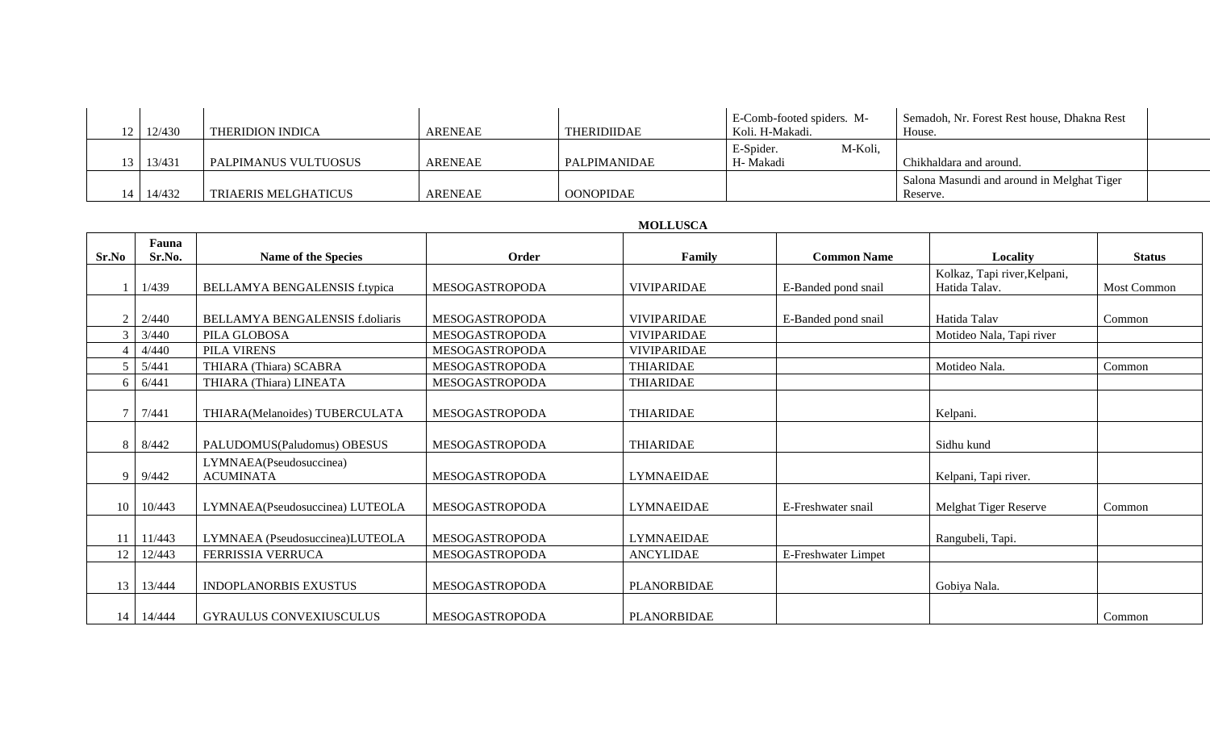| 12/430 | <b>THERIDION INDICA</b> | ARENEAE        | <b>THERIDIIDAE</b> | E-Comb-footed spiders. M-<br>Koli. H-Makadi. | Semadoh, Nr. Forest Rest house, Dhakna Rest<br>House.  |
|--------|-------------------------|----------------|--------------------|----------------------------------------------|--------------------------------------------------------|
| 13/431 | PALPIMANUS VULTUOSUS    | <b>ARENEAE</b> | PALPIMANIDAE       | M-Koli,<br>E-Spider.<br>H- Makadi            | Chikhaldara and around.                                |
| 14/432 | TRIAERIS MELGHATICUS    | <b>ARENEAE</b> | <b>OONOPIDAE</b>   |                                              | Salona Masundi and around in Melghat Tiger<br>Reserve. |

### **MOLLUSCA**

| Sr.No          | Fauna<br>Sr.No. | <b>Name of the Species</b>                  | Order                 | Family             | <b>Common Name</b>  | Locality                     | <b>Status</b> |
|----------------|-----------------|---------------------------------------------|-----------------------|--------------------|---------------------|------------------------------|---------------|
|                |                 |                                             |                       |                    |                     | Kolkaz, Tapi river, Kelpani, |               |
|                | 1/439           | BELLAMYA BENGALENSIS f.typica               | <b>MESOGASTROPODA</b> | <b>VIVIPARIDAE</b> | E-Banded pond snail | Hatida Talav.                | Most Common   |
|                |                 |                                             |                       |                    |                     |                              |               |
| $\overline{2}$ | 2/440           | BELLAMYA BENGALENSIS f.doliaris             | MESOGASTROPODA        | <b>VIVIPARIDAE</b> | E-Banded pond snail | Hatida Talav                 | Common        |
| $\mathcal{F}$  | 3/440           | PILA GLOBOSA                                | <b>MESOGASTROPODA</b> | <b>VIVIPARIDAE</b> |                     | Motideo Nala, Tapi river     |               |
|                | 4/440           | PILA VIRENS                                 | MESOGASTROPODA        | <b>VIVIPARIDAE</b> |                     |                              |               |
| 5              | 5/441           | THIARA (Thiara) SCABRA                      | MESOGASTROPODA        | <b>THIARIDAE</b>   |                     | Motideo Nala.                | Common        |
| 6              | 6/441           | THIARA (Thiara) LINEATA                     | MESOGASTROPODA        | <b>THIARIDAE</b>   |                     |                              |               |
|                | 7/441           | THIARA(Melanoides) TUBERCULATA              | MESOGASTROPODA        | <b>THIARIDAE</b>   |                     | Kelpani.                     |               |
| -8             | 8/442           | PALUDOMUS(Paludomus) OBESUS                 | MESOGASTROPODA        | <b>THIARIDAE</b>   |                     | Sidhu kund                   |               |
| <b>Q</b>       | 9/442           | LYMNAEA(Pseudosuccinea)<br><b>ACUMINATA</b> | MESOGASTROPODA        | <b>LYMNAEIDAE</b>  |                     | Kelpani, Tapi river.         |               |
| 10             | 10/443          | LYMNAEA(Pseudosuccinea) LUTEOLA             | MESOGASTROPODA        | <b>LYMNAEIDAE</b>  | E-Freshwater snail  | Melghat Tiger Reserve        | Common        |
|                | 11/443          | LYMNAEA (Pseudosuccinea)LUTEOLA             | MESOGASTROPODA        | <b>LYMNAEIDAE</b>  |                     | Rangubeli, Tapi.             |               |
| 12             | 12/443          | FERRISSIA VERRUCA                           | MESOGASTROPODA        | <b>ANCYLIDAE</b>   | E-Freshwater Limpet |                              |               |
| 13             | 13/444          | <b>INDOPLANORBIS EXUSTUS</b>                | MESOGASTROPODA        | PLANORBIDAE        |                     | Gobiya Nala.                 |               |
| 14             | 14/444          | <b>GYRAULUS CONVEXIUSCULUS</b>              | <b>MESOGASTROPODA</b> | <b>PLANORBIDAE</b> |                     |                              | Common        |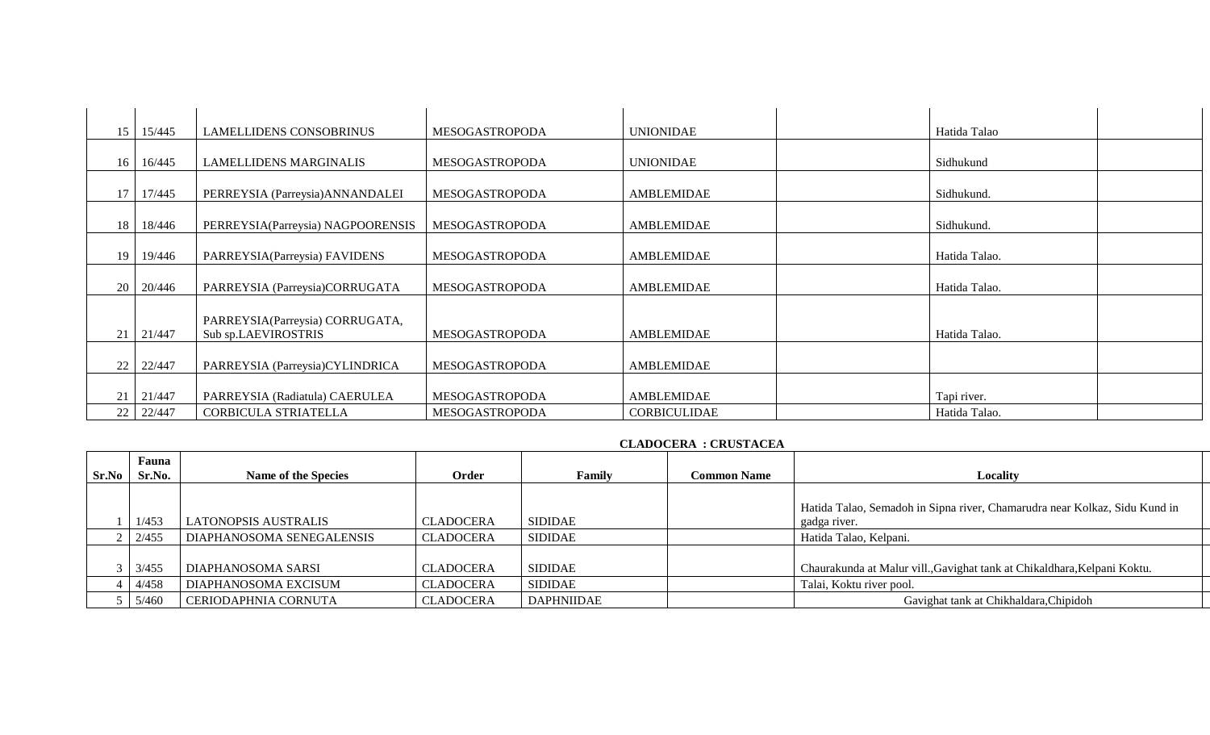| 15              | 15/445           | <b>LAMELLIDENS CONSOBRINUS</b>    | <b>MESOGASTROPODA</b> | <b>UNIONIDAE</b>    | Hatida Talao  |  |
|-----------------|------------------|-----------------------------------|-----------------------|---------------------|---------------|--|
|                 |                  |                                   |                       |                     |               |  |
| 16 <sup>1</sup> | 16/445           | <b>LAMELLIDENS MARGINALIS</b>     | <b>MESOGASTROPODA</b> | <b>UNIONIDAE</b>    | Sidhukund     |  |
|                 |                  |                                   |                       |                     |               |  |
| 17              | 17/445           | PERREYSIA (Parreysia) ANNANDALEI  | MESOGASTROPODA        | AMBLEMIDAE          | Sidhukund.    |  |
|                 |                  |                                   |                       |                     |               |  |
| 18              | 18/446           | PERREYSIA(Parreysia) NAGPOORENSIS | <b>MESOGASTROPODA</b> | <b>AMBLEMIDAE</b>   | Sidhukund.    |  |
|                 |                  |                                   |                       |                     |               |  |
|                 | 19 19/446        | PARREYSIA(Parreysia) FAVIDENS     | <b>MESOGASTROPODA</b> | <b>AMBLEMIDAE</b>   | Hatida Talao. |  |
|                 |                  |                                   |                       |                     |               |  |
|                 | $20 \mid 20/446$ | PARREYSIA (Parreysia)CORRUGATA    | <b>MESOGASTROPODA</b> | <b>AMBLEMIDAE</b>   | Hatida Talao. |  |
|                 |                  |                                   |                       |                     |               |  |
|                 |                  | PARREYSIA(Parreysia) CORRUGATA,   |                       |                     |               |  |
| 21              | 21/447           | Sub sp.LAEVIROSTRIS               | <b>MESOGASTROPODA</b> | <b>AMBLEMIDAE</b>   | Hatida Talao. |  |
|                 |                  |                                   |                       |                     |               |  |
| 22              | 22/447           | PARREYSIA (Parreysia)CYLINDRICA   | MESOGASTROPODA        | AMBLEMIDAE          |               |  |
|                 |                  |                                   |                       |                     |               |  |
| 21              | 21/447           | PARREYSIA (Radiatula) CAERULEA    | <b>MESOGASTROPODA</b> | AMBLEMIDAE          | Tapi river.   |  |
| 22              | 22/447           | CORBICULA STRIATELLA              | <b>MESOGASTROPODA</b> | <b>CORBICULIDAE</b> | Hatida Talao. |  |

# **CLADOCERA : CRUSTACEA**

| Sr.No | Fauna<br>Sr.No. | <b>Name of the Species</b>  | Order            | Family            | <b>Common Name</b> | Locality                                                                   |
|-------|-----------------|-----------------------------|------------------|-------------------|--------------------|----------------------------------------------------------------------------|
|       |                 |                             |                  |                   |                    |                                                                            |
|       |                 |                             |                  |                   |                    | Hatida Talao, Semadoh in Sipna river, Chamarudra near Kolkaz, Sidu Kund in |
|       | 1/453           | <b>LATONOPSIS AUSTRALIS</b> | <b>CLADOCERA</b> | <b>SIDIDAE</b>    |                    | gadga river.                                                               |
|       | 2/455           | DIAPHANOSOMA SENEGALENSIS   | <b>CLADOCERA</b> | <b>SIDIDAE</b>    |                    | Hatida Talao, Kelpani.                                                     |
|       |                 |                             |                  |                   |                    |                                                                            |
|       | 3/455           | DIAPHANOSOMA SARSI          | <b>CLADOCERA</b> | <b>SIDIDAE</b>    |                    | Chaurakunda at Malur vill., Gavighat tank at Chikaldhara, Kelpani Koktu.   |
|       | 4/458           | DIAPHANOSOMA EXCISUM        | <b>CLADOCERA</b> | <b>SIDIDAE</b>    |                    | Talai, Koktu river pool.                                                   |
|       | 5/460           | CERIODAPHNIA CORNUTA        | <b>CLADOCERA</b> | <b>DAPHNIIDAE</b> |                    | Gavighat tank at Chikhaldara, Chipidoh                                     |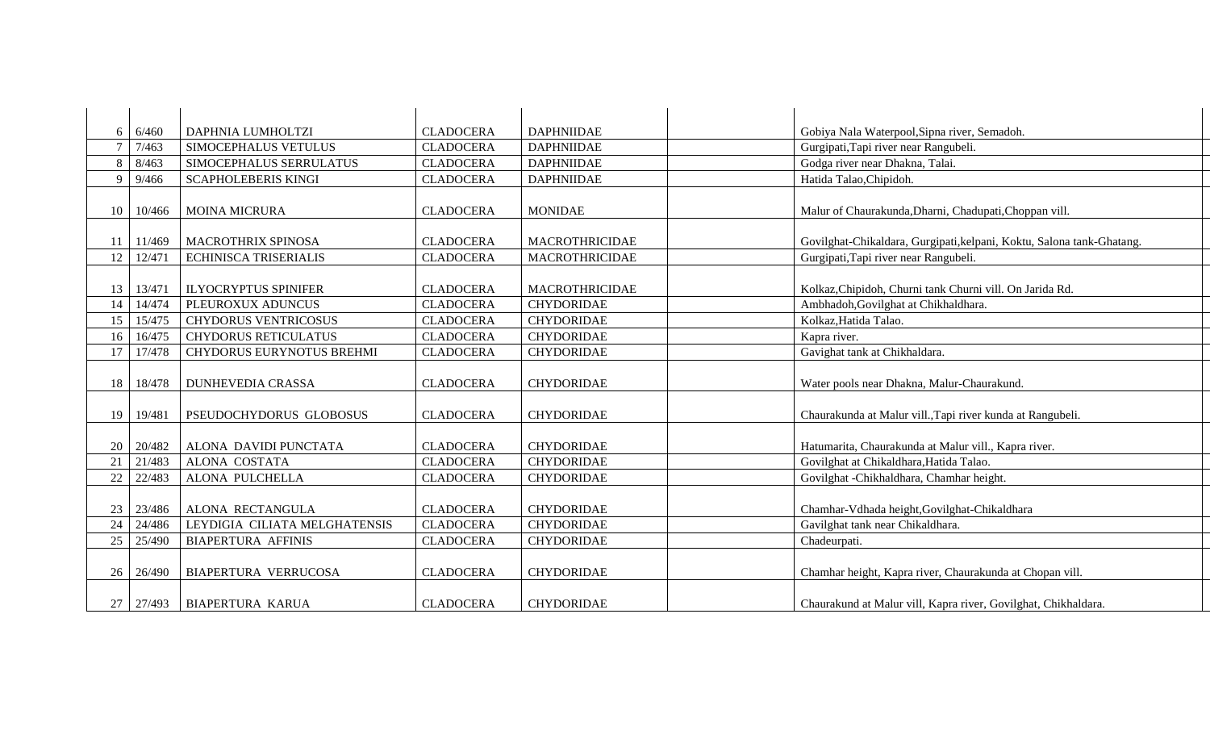| 6               | 6/460            | DAPHNIA LUMHOLTZI             | <b>CLADOCERA</b> | <b>DAPHNIIDAE</b>     | Gobiya Nala Waterpool, Sipna river, Semadoh.                          |
|-----------------|------------------|-------------------------------|------------------|-----------------------|-----------------------------------------------------------------------|
|                 | 7/463            | SIMOCEPHALUS VETULUS          | <b>CLADOCERA</b> | <b>DAPHNIIDAE</b>     | Gurgipati, Tapi river near Rangubeli.                                 |
| 8               | 8/463            | SIMOCEPHALUS SERRULATUS       | <b>CLADOCERA</b> | <b>DAPHNIIDAE</b>     | Godga river near Dhakna, Talai.                                       |
| 9               | 9/466            | <b>SCAPHOLEBERIS KINGI</b>    | <b>CLADOCERA</b> | <b>DAPHNIIDAE</b>     | Hatida Talao, Chipidoh.                                               |
|                 |                  |                               |                  |                       |                                                                       |
| 10 <sup>1</sup> | 10/466           | <b>MOINA MICRURA</b>          | <b>CLADOCERA</b> | <b>MONIDAE</b>        | Malur of Chaurakunda, Dharni, Chadupati, Choppan vill.                |
|                 |                  |                               |                  |                       |                                                                       |
|                 | $11 \mid 11/469$ | <b>MACROTHRIX SPINOSA</b>     | <b>CLADOCERA</b> | <b>MACROTHRICIDAE</b> | Govilghat-Chikaldara, Gurgipati, kelpani, Koktu, Salona tank-Ghatang. |
| 12              | 12/471           | <b>ECHINISCA TRISERIALIS</b>  | <b>CLADOCERA</b> | <b>MACROTHRICIDAE</b> | Gurgipati, Tapi river near Rangubeli.                                 |
|                 |                  |                               |                  |                       |                                                                       |
|                 | 13   13/471      | <b>ILYOCRYPTUS SPINIFER</b>   | <b>CLADOCERA</b> | <b>MACROTHRICIDAE</b> | Kolkaz, Chipidoh, Churni tank Churni vill. On Jarida Rd.              |
| 14              | 14/474           | PLEUROXUX ADUNCUS             | <b>CLADOCERA</b> | <b>CHYDORIDAE</b>     | Ambhadoh, Govilghat at Chikhaldhara.                                  |
| 15              | 15/475           | <b>CHYDORUS VENTRICOSUS</b>   | <b>CLADOCERA</b> | <b>CHYDORIDAE</b>     | Kolkaz, Hatida Talao.                                                 |
| 16              | 16/475           | <b>CHYDORUS RETICULATUS</b>   | <b>CLADOCERA</b> | <b>CHYDORIDAE</b>     | Kapra river.                                                          |
| 17 <sup>1</sup> | 17/478           | CHYDORUS EURYNOTUS BREHMI     | <b>CLADOCERA</b> | <b>CHYDORIDAE</b>     | Gavighat tank at Chikhaldara.                                         |
|                 |                  |                               |                  |                       |                                                                       |
| 18              | 18/478           | <b>DUNHEVEDIA CRASSA</b>      | <b>CLADOCERA</b> | <b>CHYDORIDAE</b>     | Water pools near Dhakna, Malur-Chaurakund.                            |
|                 |                  |                               |                  |                       |                                                                       |
| 19              | 19/481           | PSEUDOCHYDORUS GLOBOSUS       | <b>CLADOCERA</b> | <b>CHYDORIDAE</b>     | Chaurakunda at Malur vill., Tapi river kunda at Rangubeli.            |
|                 |                  |                               |                  |                       |                                                                       |
|                 | 20   20/482      | ALONA DAVIDI PUNCTATA         | <b>CLADOCERA</b> | <b>CHYDORIDAE</b>     | Hatumarita, Chaurakunda at Malur vill., Kapra river.                  |
| 21              | 21/483           | <b>ALONA COSTATA</b>          | <b>CLADOCERA</b> | <b>CHYDORIDAE</b>     | Govilghat at Chikaldhara, Hatida Talao.                               |
| 22              | 22/483           | ALONA PULCHELLA               | <b>CLADOCERA</b> | <b>CHYDORIDAE</b>     | Govilghat -Chikhaldhara, Chamhar height.                              |
|                 |                  |                               |                  |                       |                                                                       |
|                 | $23 \mid 23/486$ | <b>ALONA RECTANGULA</b>       | <b>CLADOCERA</b> | <b>CHYDORIDAE</b>     | Chamhar-Vdhada height, Govilghat-Chikaldhara                          |
| 24              | 24/486           | LEYDIGIA CILIATA MELGHATENSIS | <b>CLADOCERA</b> | <b>CHYDORIDAE</b>     | Gavilghat tank near Chikaldhara.                                      |
| 25              | 25/490           | <b>BIAPERTURA AFFINIS</b>     | <b>CLADOCERA</b> | <b>CHYDORIDAE</b>     | Chadeurpati.                                                          |
|                 |                  |                               |                  |                       |                                                                       |
|                 |                  |                               |                  |                       |                                                                       |
| 26 <sup>1</sup> | 26/490           | BIAPERTURA VERRUCOSA          | <b>CLADOCERA</b> | <b>CHYDORIDAE</b>     | Chamhar height, Kapra river, Chaurakunda at Chopan vill.              |
|                 |                  |                               |                  |                       |                                                                       |